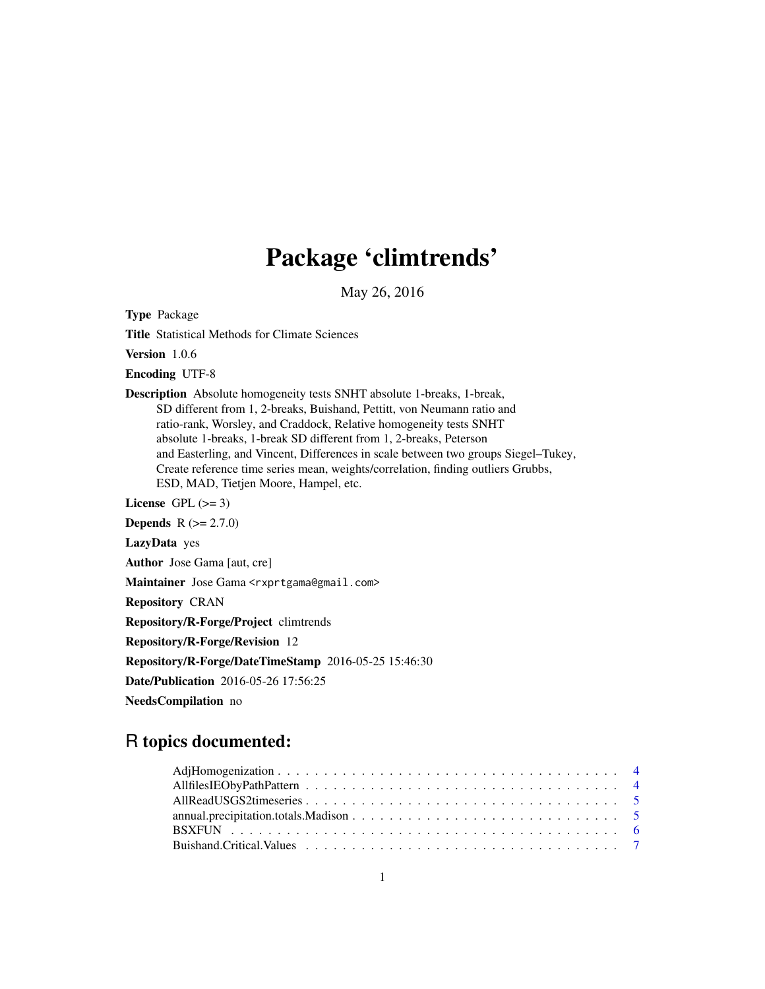# Package 'climtrends'

May 26, 2016

Type Package

Title Statistical Methods for Climate Sciences

Version 1.0.6

Encoding UTF-8

Description Absolute homogeneity tests SNHT absolute 1-breaks, 1-break, SD different from 1, 2-breaks, Buishand, Pettitt, von Neumann ratio and ratio-rank, Worsley, and Craddock, Relative homogeneity tests SNHT absolute 1-breaks, 1-break SD different from 1, 2-breaks, Peterson and Easterling, and Vincent, Differences in scale between two groups Siegel–Tukey, Create reference time series mean, weights/correlation, finding outliers Grubbs, ESD, MAD, Tietjen Moore, Hampel, etc.

License GPL  $(>= 3)$ 

**Depends**  $R (= 2.7.0)$ 

LazyData yes

Author Jose Gama [aut, cre]

Maintainer Jose Gama <rxprtgama@gmail.com>

Repository CRAN

Repository/R-Forge/Project climtrends

Repository/R-Forge/Revision 12

Repository/R-Forge/DateTimeStamp 2016-05-25 15:46:30

Date/Publication 2016-05-26 17:56:25

NeedsCompilation no

# R topics documented: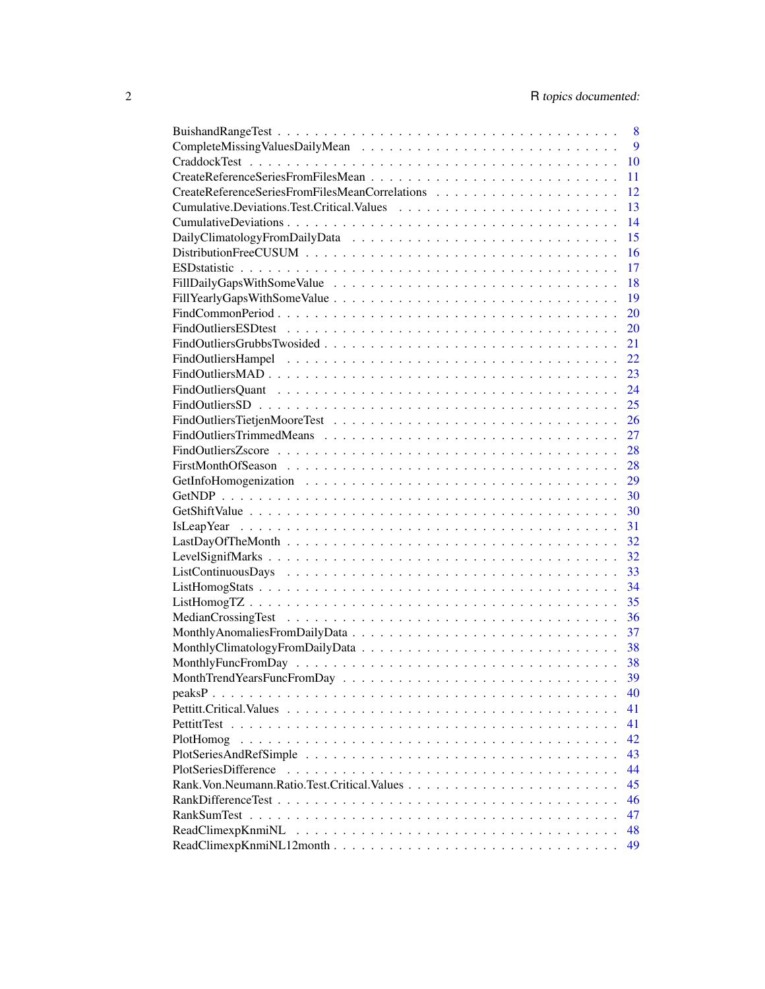|           | 8  |
|-----------|----|
|           | 9  |
|           | 10 |
|           | 11 |
|           | 12 |
|           | 13 |
|           | 14 |
|           | 15 |
|           | 16 |
|           | 17 |
|           | 18 |
|           | 19 |
|           | 20 |
|           | 20 |
|           | 21 |
|           | 22 |
|           | 23 |
|           | 24 |
|           | 25 |
|           | 26 |
|           | 27 |
|           | 28 |
|           | 28 |
|           | 29 |
|           | 30 |
|           | 30 |
|           | 31 |
|           | 32 |
|           | 32 |
|           | 33 |
|           | 34 |
|           | 35 |
|           | 36 |
|           |    |
|           |    |
|           |    |
|           |    |
|           | 40 |
|           | 41 |
|           | 41 |
| PlotHomog | 42 |
|           | 43 |
|           | 44 |
|           | 45 |
|           | 46 |
|           | 47 |
|           | 48 |
|           | 49 |
|           |    |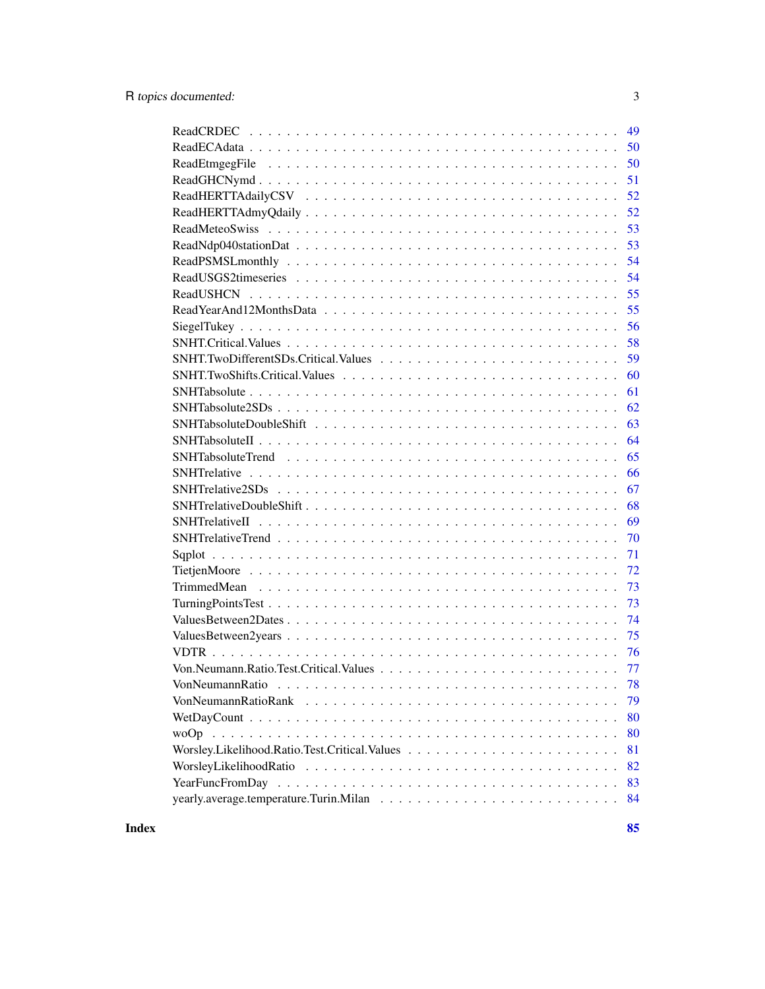| 49 |
|----|
| 50 |
| 50 |
| 51 |
| 52 |
| 52 |
| 53 |
| 53 |
| 54 |
| 54 |
| 55 |
| 55 |
| 56 |
| 58 |
| 59 |
| 60 |
| 61 |
| 62 |
| 63 |
| 64 |
| 65 |
| 66 |
| 67 |
| 68 |
| 69 |
| 70 |
| 71 |
| 72 |
| 73 |
| 73 |
| 74 |
| 75 |
| 76 |
|    |
|    |
| 79 |
| 80 |
| 80 |
| 81 |
| 82 |
| 83 |
| 84 |
|    |

**Index [85](#page-84-0) and 2008 and 2008 and 2008 and 2008 and 2008 and 2008 and 2008 and 2008 and 2008 and 2008 and 2008 an**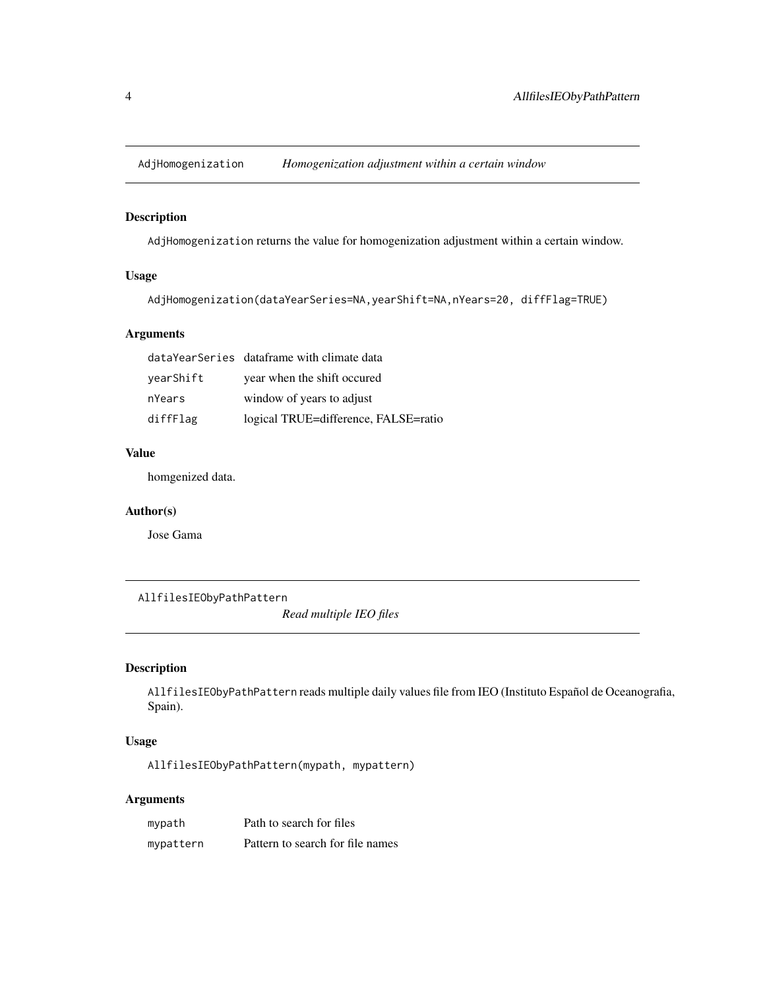<span id="page-3-0"></span>

# Description

AdjHomogenization returns the value for homogenization adjustment within a certain window.

# Usage

```
AdjHomogenization(dataYearSeries=NA,yearShift=NA,nYears=20, diffFlag=TRUE)
```
# Arguments

|           | dataYearSeries dataframe with climate data |
|-----------|--------------------------------------------|
| yearShift | year when the shift occured                |
| nYears    | window of years to adjust                  |
| diffFlag  | logical TRUE=difference, FALSE=ratio       |

# Value

homgenized data.

### Author(s)

Jose Gama

AllfilesIEObyPathPattern

*Read multiple IEO files*

# Description

AllfilesIEObyPathPattern reads multiple daily values file from IEO (Instituto Español de Oceanografia, Spain).

# Usage

AllfilesIEObyPathPattern(mypath, mypattern)

### Arguments

| mypath    | Path to search for files         |
|-----------|----------------------------------|
| mypattern | Pattern to search for file names |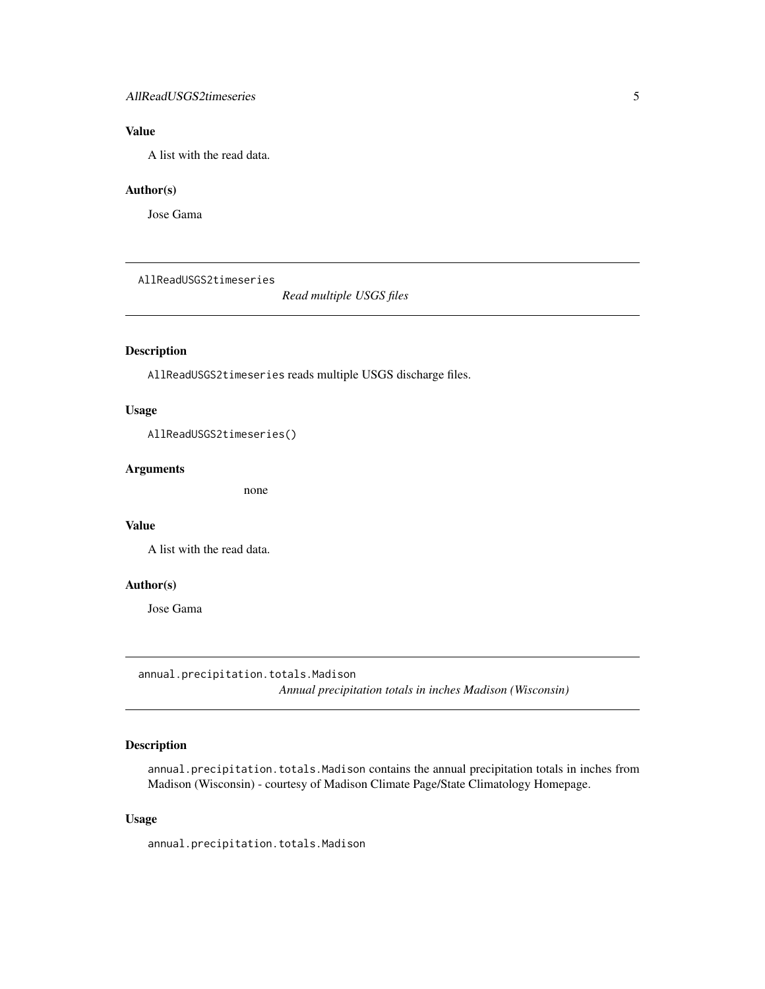### <span id="page-4-0"></span>AllReadUSGS2timeseries 5

# Value

A list with the read data.

#### Author(s)

Jose Gama

AllReadUSGS2timeseries

*Read multiple USGS files*

# Description

AllReadUSGS2timeseries reads multiple USGS discharge files.

#### Usage

AllReadUSGS2timeseries()

#### Arguments

none

#### Value

A list with the read data.

#### Author(s)

Jose Gama

annual.precipitation.totals.Madison *Annual precipitation totals in inches Madison (Wisconsin)*

### Description

annual.precipitation.totals.Madison contains the annual precipitation totals in inches from Madison (Wisconsin) - courtesy of Madison Climate Page/State Climatology Homepage.

### Usage

annual.precipitation.totals.Madison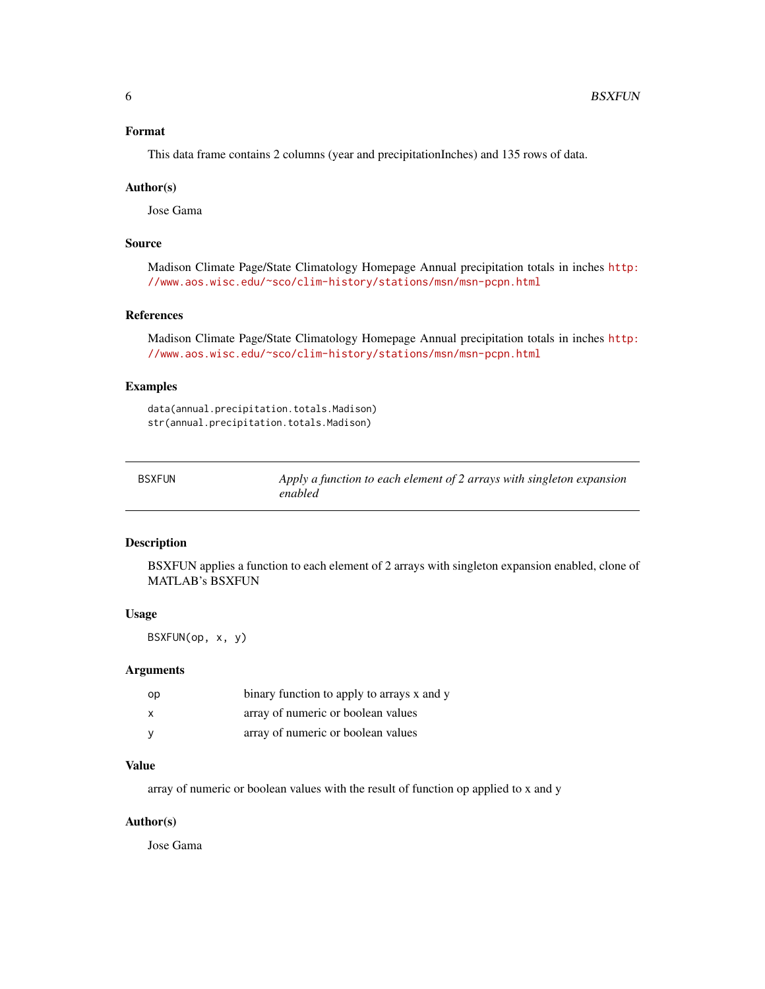### <span id="page-5-0"></span>Format

This data frame contains 2 columns (year and precipitationInches) and 135 rows of data.

#### Author(s)

Jose Gama

### Source

Madison Climate Page/State Climatology Homepage Annual precipitation totals in inches [http:](http://www.aos.wisc.edu/~sco/clim-history/stations/msn/msn-pcpn.html) [//www.aos.wisc.edu/~sco/clim-history/stations/msn/msn-pcpn.html](http://www.aos.wisc.edu/~sco/clim-history/stations/msn/msn-pcpn.html)

### References

Madison Climate Page/State Climatology Homepage Annual precipitation totals in inches [http:](http://www.aos.wisc.edu/~sco/clim-history/stations/msn/msn-pcpn.html) [//www.aos.wisc.edu/~sco/clim-history/stations/msn/msn-pcpn.html](http://www.aos.wisc.edu/~sco/clim-history/stations/msn/msn-pcpn.html)

### Examples

data(annual.precipitation.totals.Madison) str(annual.precipitation.totals.Madison)

| <b>BSXFUN</b> | Apply a function to each element of 2 arrays with singleton expansion |
|---------------|-----------------------------------------------------------------------|
|               | enabled                                                               |

### Description

BSXFUN applies a function to each element of 2 arrays with singleton expansion enabled, clone of MATLAB's BSXFUN

#### Usage

BSXFUN(op, x, y)

#### Arguments

| op | binary function to apply to arrays x and y |
|----|--------------------------------------------|
| X  | array of numeric or boolean values         |
|    | array of numeric or boolean values         |

### Value

array of numeric or boolean values with the result of function op applied to x and y

#### Author(s)

Jose Gama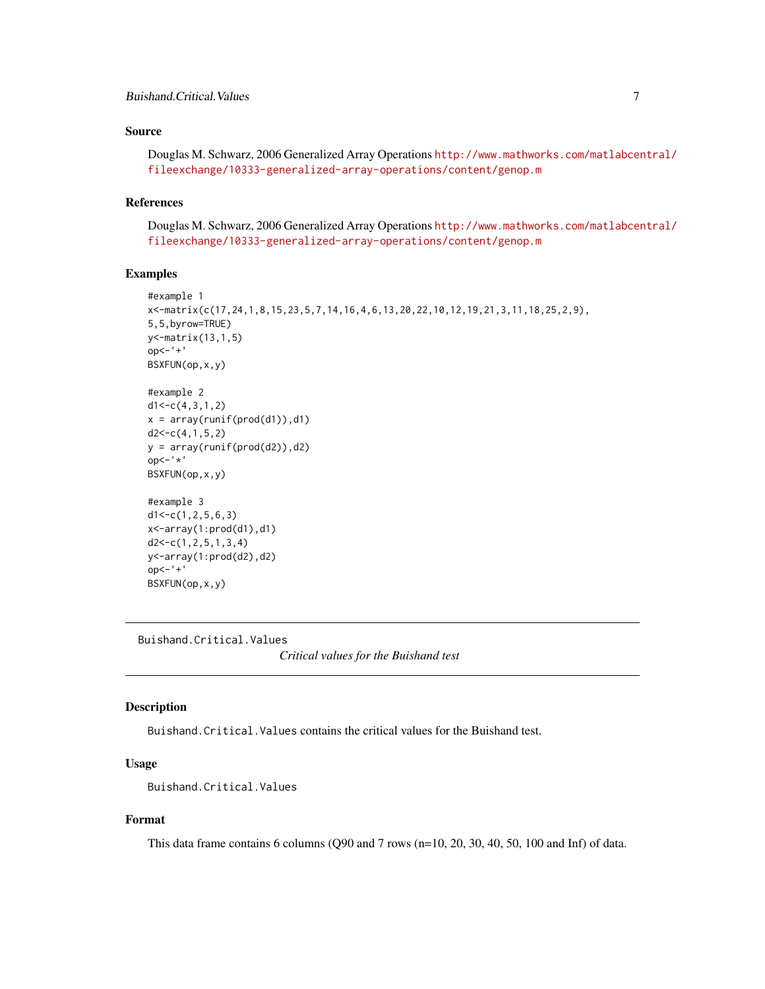### <span id="page-6-0"></span>Buishand.Critical.Values 7

### Source

Douglas M. Schwarz, 2006 Generalized Array Operations [http://www.mathworks.com/matlabcen](http://www.mathworks.com/matlabcentral/fileexchange/10333-generalized-array-operations/content/genop.m)tral/ [fileexchange/10333-generalized-array-operations/content/genop.m](http://www.mathworks.com/matlabcentral/fileexchange/10333-generalized-array-operations/content/genop.m)

#### References

Douglas M. Schwarz, 2006 Generalized Array Operations [http://www.mathworks.com/matlabcen](http://www.mathworks.com/matlabcentral/fileexchange/10333-generalized-array-operations/content/genop.m)tral/ [fileexchange/10333-generalized-array-operations/content/genop.m](http://www.mathworks.com/matlabcentral/fileexchange/10333-generalized-array-operations/content/genop.m)

### Examples

```
#example 1
x<-matrix(c(17,24,1,8,15,23,5,7,14,16,4,6,13,20,22,10,12,19,21,3,11,18,25,2,9),
5,5,byrow=TRUE)
y<-matrix(13,1,5)
op<-'+'
BSXFUN(op,x,y)
#example 2
d1 < -c(4,3,1,2)x = array(runif(pred(d1)), d1)d2 < -c(4, 1, 5, 2)y = array(runif(pred(d2)), d2)op<-'*'
BSXFUN(op,x,y)
#example 3
d1<-c(1,2,5,6,3)
x<-array(1:prod(d1),d1)
d2<-c(1,2,5,1,3,4)
y<-array(1:prod(d2),d2)
op < - ' + 'BSXFUN(op,x,y)
```
Buishand.Critical.Values

*Critical values for the Buishand test*

### Description

Buishand.Critical.Values contains the critical values for the Buishand test.

### Usage

Buishand.Critical.Values

#### Format

This data frame contains 6 columns (Q90 and 7 rows (n=10, 20, 30, 40, 50, 100 and Inf) of data.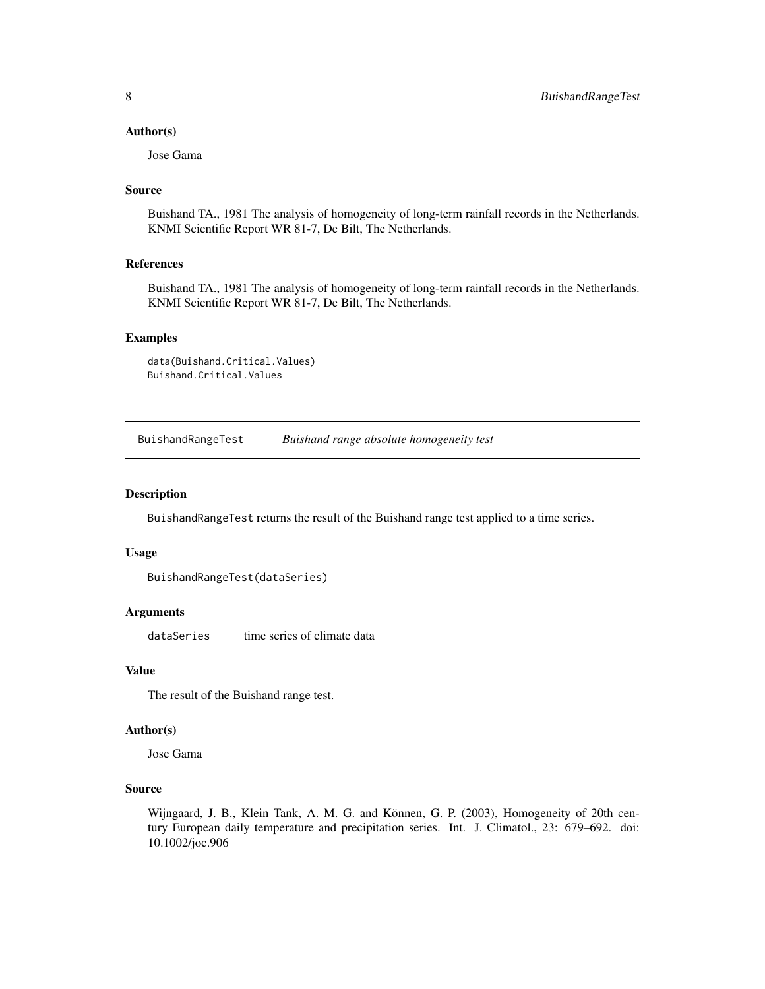#### <span id="page-7-0"></span>Author(s)

Jose Gama

#### Source

Buishand TA., 1981 The analysis of homogeneity of long-term rainfall records in the Netherlands. KNMI Scientific Report WR 81-7, De Bilt, The Netherlands.

#### References

Buishand TA., 1981 The analysis of homogeneity of long-term rainfall records in the Netherlands. KNMI Scientific Report WR 81-7, De Bilt, The Netherlands.

### Examples

```
data(Buishand.Critical.Values)
Buishand.Critical.Values
```
BuishandRangeTest *Buishand range absolute homogeneity test*

#### Description

BuishandRangeTest returns the result of the Buishand range test applied to a time series.

#### Usage

```
BuishandRangeTest(dataSeries)
```
#### Arguments

dataSeries time series of climate data

#### Value

The result of the Buishand range test.

#### Author(s)

Jose Gama

### Source

Wijngaard, J. B., Klein Tank, A. M. G. and Können, G. P. (2003), Homogeneity of 20th century European daily temperature and precipitation series. Int. J. Climatol., 23: 679–692. doi: 10.1002/joc.906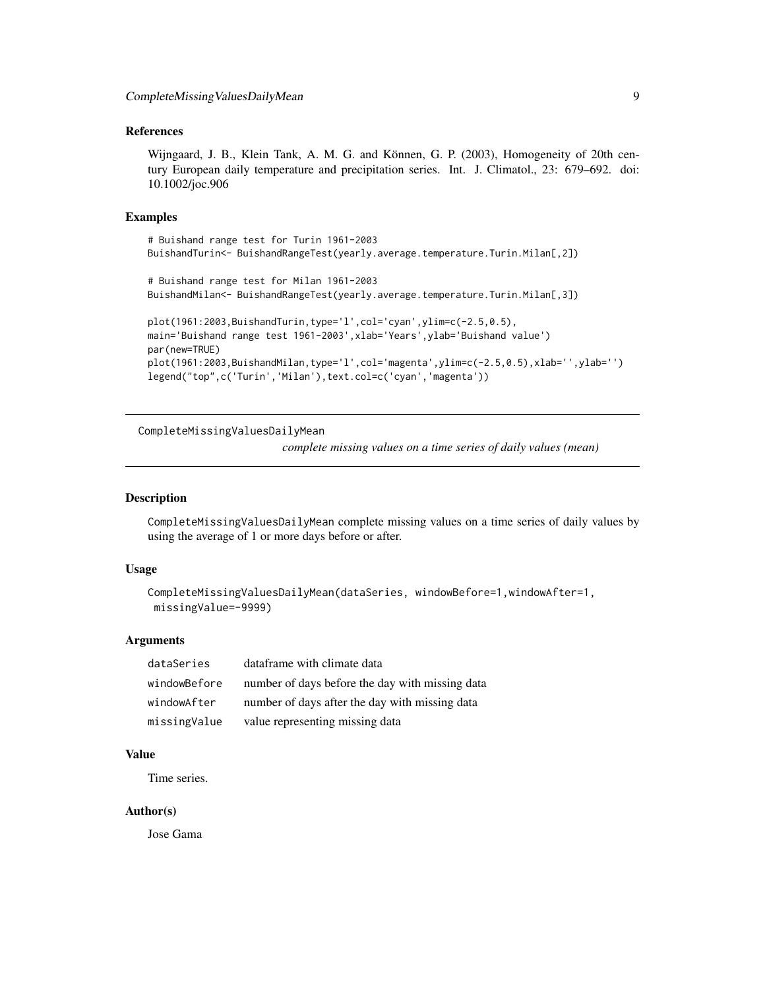### <span id="page-8-0"></span>References

Wijngaard, J. B., Klein Tank, A. M. G. and Können, G. P. (2003), Homogeneity of 20th century European daily temperature and precipitation series. Int. J. Climatol., 23: 679–692. doi: 10.1002/joc.906

#### Examples

```
# Buishand range test for Turin 1961-2003
BuishandTurin<- BuishandRangeTest(yearly.average.temperature.Turin.Milan[,2])
```

```
# Buishand range test for Milan 1961-2003
BuishandMilan<- BuishandRangeTest(yearly.average.temperature.Turin.Milan[,3])
```

```
plot(1961:2003,BuishandTurin,type='l',col='cyan',ylim=c(-2.5,0.5),
main='Buishand range test 1961-2003',xlab='Years',ylab='Buishand value')
par(new=TRUE)
plot(1961:2003,BuishandMilan,type='l',col='magenta',ylim=c(-2.5,0.5),xlab='',ylab='')
legend("top",c('Turin','Milan'),text.col=c('cyan','magenta'))
```
CompleteMissingValuesDailyMean

*complete missing values on a time series of daily values (mean)*

#### Description

CompleteMissingValuesDailyMean complete missing values on a time series of daily values by using the average of 1 or more days before or after.

#### Usage

```
CompleteMissingValuesDailyMean(dataSeries, windowBefore=1,windowAfter=1,
missingValue=-9999)
```
#### Arguments

| dataSeries   | dataframe with climate data                     |
|--------------|-------------------------------------------------|
| windowBefore | number of days before the day with missing data |
| windowAfter  | number of days after the day with missing data  |
| missingValue | value representing missing data                 |

#### Value

Time series.

#### Author(s)

Jose Gama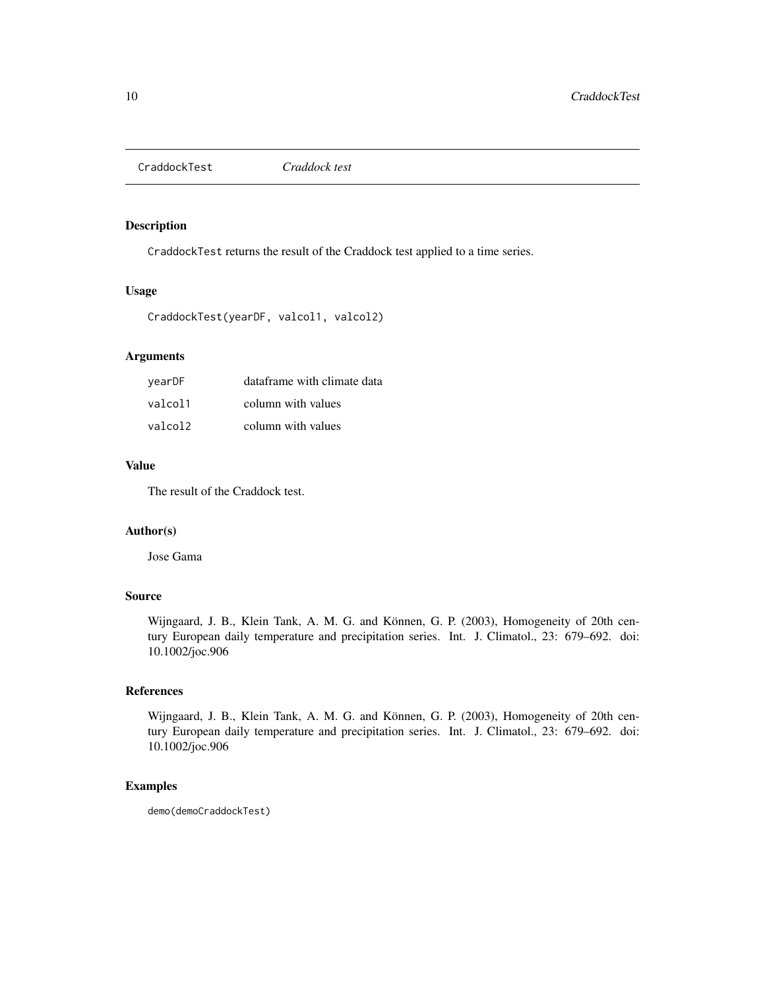<span id="page-9-0"></span>CraddockTest *Craddock test*

### Description

CraddockTest returns the result of the Craddock test applied to a time series.

#### Usage

```
CraddockTest(yearDF, valcol1, valcol2)
```
# Arguments

| vearDF  | dataframe with climate data |
|---------|-----------------------------|
| valcol1 | column with values          |
| valcol2 | column with values          |

#### Value

The result of the Craddock test.

### Author(s)

Jose Gama

### Source

Wijngaard, J. B., Klein Tank, A. M. G. and Können, G. P. (2003), Homogeneity of 20th century European daily temperature and precipitation series. Int. J. Climatol., 23: 679–692. doi: 10.1002/joc.906

# References

Wijngaard, J. B., Klein Tank, A. M. G. and Können, G. P. (2003), Homogeneity of 20th century European daily temperature and precipitation series. Int. J. Climatol., 23: 679–692. doi: 10.1002/joc.906

#### Examples

demo(demoCraddockTest)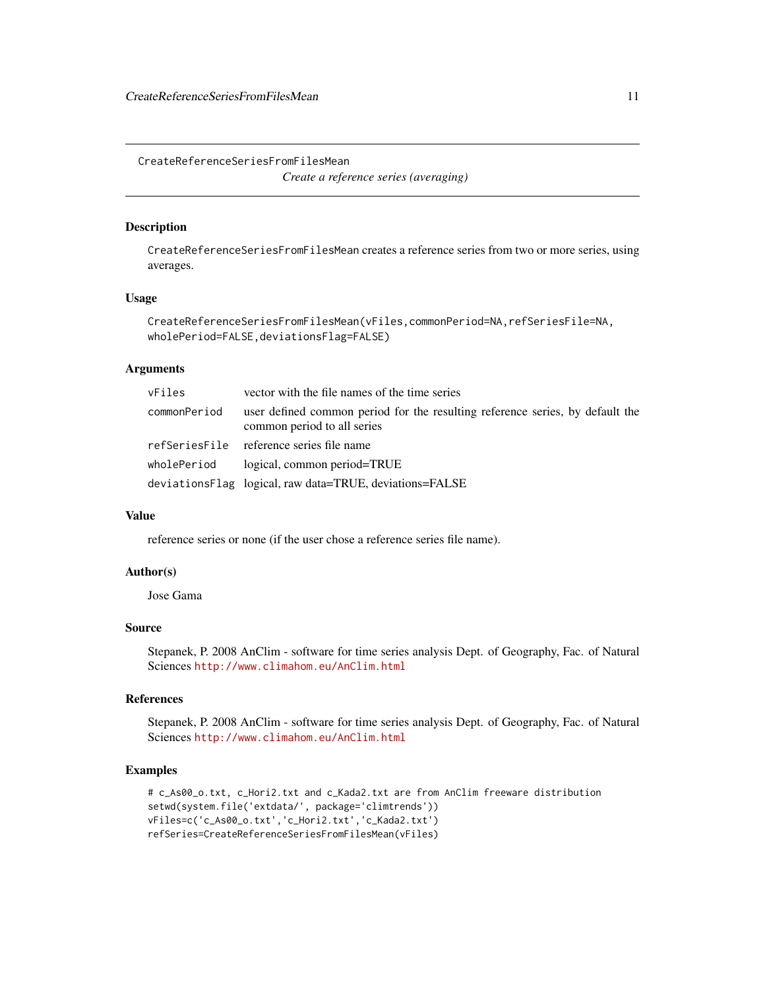<span id="page-10-0"></span>CreateReferenceSeriesFromFilesMean *Create a reference series (averaging)*

### Description

CreateReferenceSeriesFromFilesMean creates a reference series from two or more series, using averages.

#### Usage

```
CreateReferenceSeriesFromFilesMean(vFiles,commonPeriod=NA,refSeriesFile=NA,
wholePeriod=FALSE,deviationsFlag=FALSE)
```
#### **Arguments**

| vFiles       | vector with the file names of the time series                                                                |
|--------------|--------------------------------------------------------------------------------------------------------------|
| commonPeriod | user defined common period for the resulting reference series, by default the<br>common period to all series |
|              | refSeriesFile reference series file name                                                                     |
| wholePeriod  | logical, common period=TRUE                                                                                  |
|              | deviationsFlag logical, raw data=TRUE, deviations=FALSE                                                      |

### Value

reference series or none (if the user chose a reference series file name).

# Author(s)

Jose Gama

### Source

Stepanek, P. 2008 AnClim - software for time series analysis Dept. of Geography, Fac. of Natural Sciences <http://www.climahom.eu/AnClim.html>

### References

Stepanek, P. 2008 AnClim - software for time series analysis Dept. of Geography, Fac. of Natural Sciences <http://www.climahom.eu/AnClim.html>

```
# c_As00_o.txt, c_Hori2.txt and c_Kada2.txt are from AnClim freeware distribution
setwd(system.file('extdata/', package='climtrends'))
vFiles=c('c_As00_o.txt','c_Hori2.txt','c_Kada2.txt')
refSeries=CreateReferenceSeriesFromFilesMean(vFiles)
```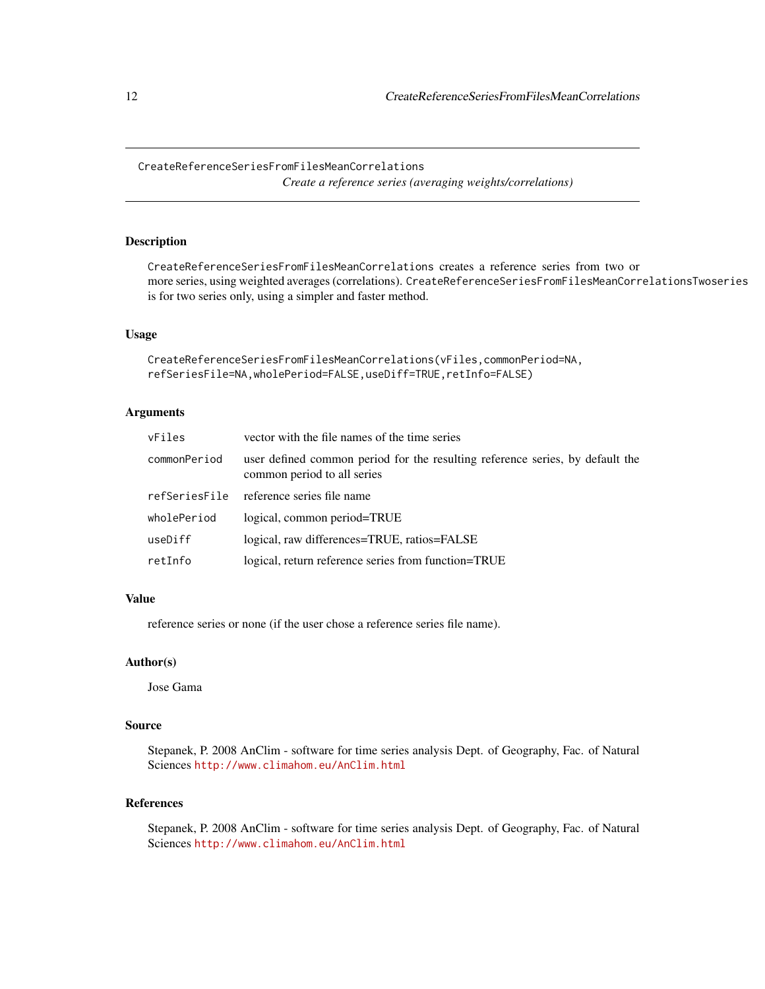<span id="page-11-0"></span>CreateReferenceSeriesFromFilesMeanCorrelations *Create a reference series (averaging weights/correlations)*

### Description

CreateReferenceSeriesFromFilesMeanCorrelations creates a reference series from two or more series, using weighted averages (correlations). CreateReferenceSeriesFromFilesMeanCorrelationsTwoseries is for two series only, using a simpler and faster method.

#### Usage

```
CreateReferenceSeriesFromFilesMeanCorrelations(vFiles,commonPeriod=NA,
refSeriesFile=NA,wholePeriod=FALSE,useDiff=TRUE,retInfo=FALSE)
```
# Arguments

| vFiles        | vector with the file names of the time series                                                                |
|---------------|--------------------------------------------------------------------------------------------------------------|
| commonPeriod  | user defined common period for the resulting reference series, by default the<br>common period to all series |
| refSeriesFile | reference series file name                                                                                   |
| wholePeriod   | logical, common period=TRUE                                                                                  |
| useDiff       | logical, raw differences=TRUE, ratios=FALSE                                                                  |
| retInfo       | logical, return reference series from function=TRUE                                                          |

#### Value

reference series or none (if the user chose a reference series file name).

#### Author(s)

Jose Gama

#### Source

Stepanek, P. 2008 AnClim - software for time series analysis Dept. of Geography, Fac. of Natural Sciences <http://www.climahom.eu/AnClim.html>

### References

Stepanek, P. 2008 AnClim - software for time series analysis Dept. of Geography, Fac. of Natural Sciences <http://www.climahom.eu/AnClim.html>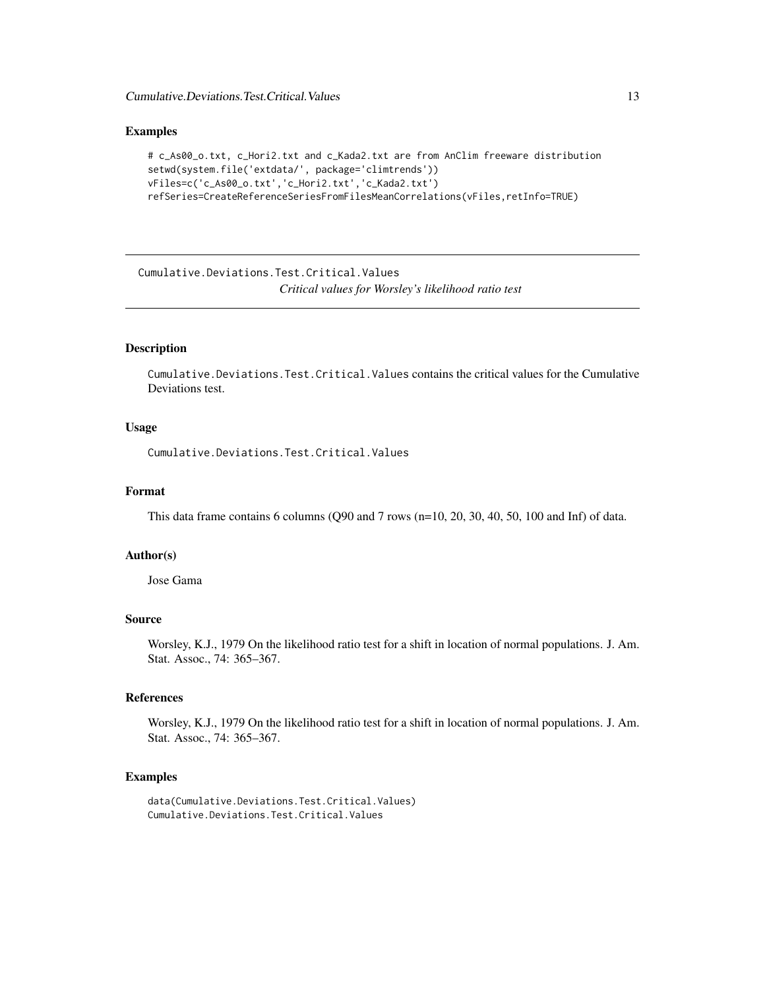<span id="page-12-0"></span>Cumulative.Deviations.Test.Critical.Values 13

#### Examples

```
# c_As00_o.txt, c_Hori2.txt and c_Kada2.txt are from AnClim freeware distribution
setwd(system.file('extdata/', package='climtrends'))
vFiles=c('c_As00_o.txt','c_Hori2.txt','c_Kada2.txt')
refSeries=CreateReferenceSeriesFromFilesMeanCorrelations(vFiles,retInfo=TRUE)
```
Cumulative.Deviations.Test.Critical.Values *Critical values for Worsley's likelihood ratio test*

### Description

Cumulative.Deviations.Test.Critical.Values contains the critical values for the Cumulative Deviations test.

#### Usage

Cumulative.Deviations.Test.Critical.Values

#### Format

This data frame contains 6 columns (Q90 and 7 rows (n=10, 20, 30, 40, 50, 100 and Inf) of data.

### Author(s)

Jose Gama

#### Source

Worsley, K.J., 1979 On the likelihood ratio test for a shift in location of normal populations. J. Am. Stat. Assoc., 74: 365–367.

#### References

Worsley, K.J., 1979 On the likelihood ratio test for a shift in location of normal populations. J. Am. Stat. Assoc., 74: 365–367.

#### Examples

data(Cumulative.Deviations.Test.Critical.Values) Cumulative.Deviations.Test.Critical.Values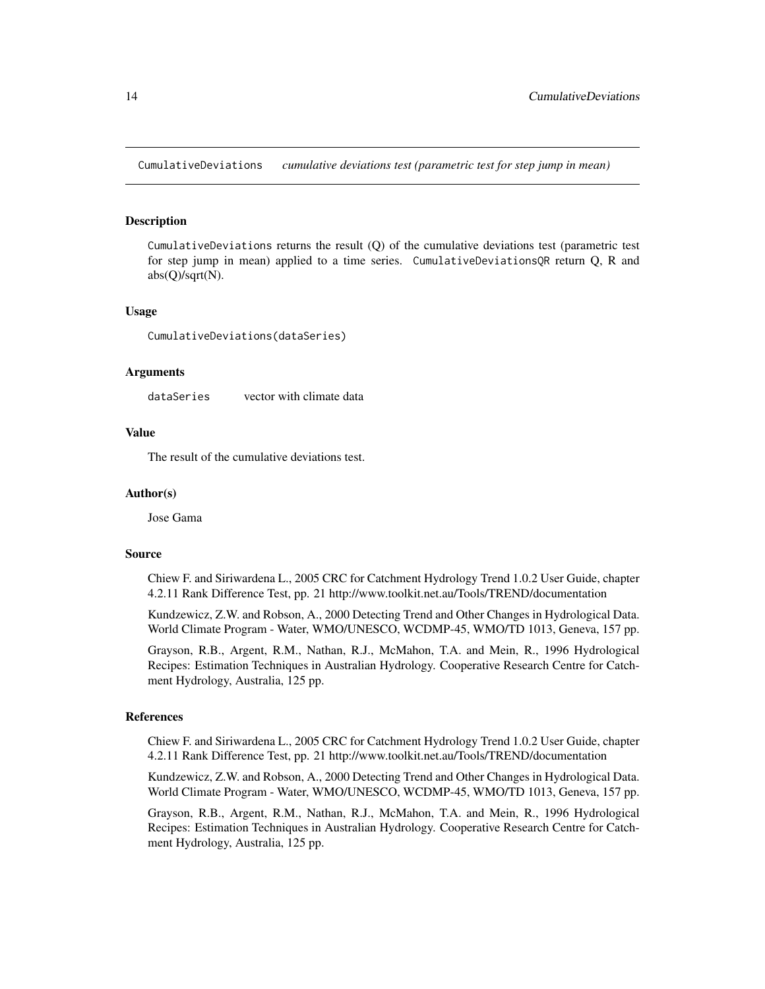<span id="page-13-0"></span>CumulativeDeviations *cumulative deviations test (parametric test for step jump in mean)*

#### Description

CumulativeDeviations returns the result  $(Q)$  of the cumulative deviations test (parametric test for step jump in mean) applied to a time series. CumulativeDeviationsQR return Q, R and abs(Q)/sqrt(N).

#### Usage

CumulativeDeviations(dataSeries)

#### Arguments

dataSeries vector with climate data

### Value

The result of the cumulative deviations test.

#### Author(s)

Jose Gama

#### Source

Chiew F. and Siriwardena L., 2005 CRC for Catchment Hydrology Trend 1.0.2 User Guide, chapter 4.2.11 Rank Difference Test, pp. 21 http://www.toolkit.net.au/Tools/TREND/documentation

Kundzewicz, Z.W. and Robson, A., 2000 Detecting Trend and Other Changes in Hydrological Data. World Climate Program - Water, WMO/UNESCO, WCDMP-45, WMO/TD 1013, Geneva, 157 pp.

Grayson, R.B., Argent, R.M., Nathan, R.J., McMahon, T.A. and Mein, R., 1996 Hydrological Recipes: Estimation Techniques in Australian Hydrology. Cooperative Research Centre for Catchment Hydrology, Australia, 125 pp.

#### References

Chiew F. and Siriwardena L., 2005 CRC for Catchment Hydrology Trend 1.0.2 User Guide, chapter 4.2.11 Rank Difference Test, pp. 21 http://www.toolkit.net.au/Tools/TREND/documentation

Kundzewicz, Z.W. and Robson, A., 2000 Detecting Trend and Other Changes in Hydrological Data. World Climate Program - Water, WMO/UNESCO, WCDMP-45, WMO/TD 1013, Geneva, 157 pp.

Grayson, R.B., Argent, R.M., Nathan, R.J., McMahon, T.A. and Mein, R., 1996 Hydrological Recipes: Estimation Techniques in Australian Hydrology. Cooperative Research Centre for Catchment Hydrology, Australia, 125 pp.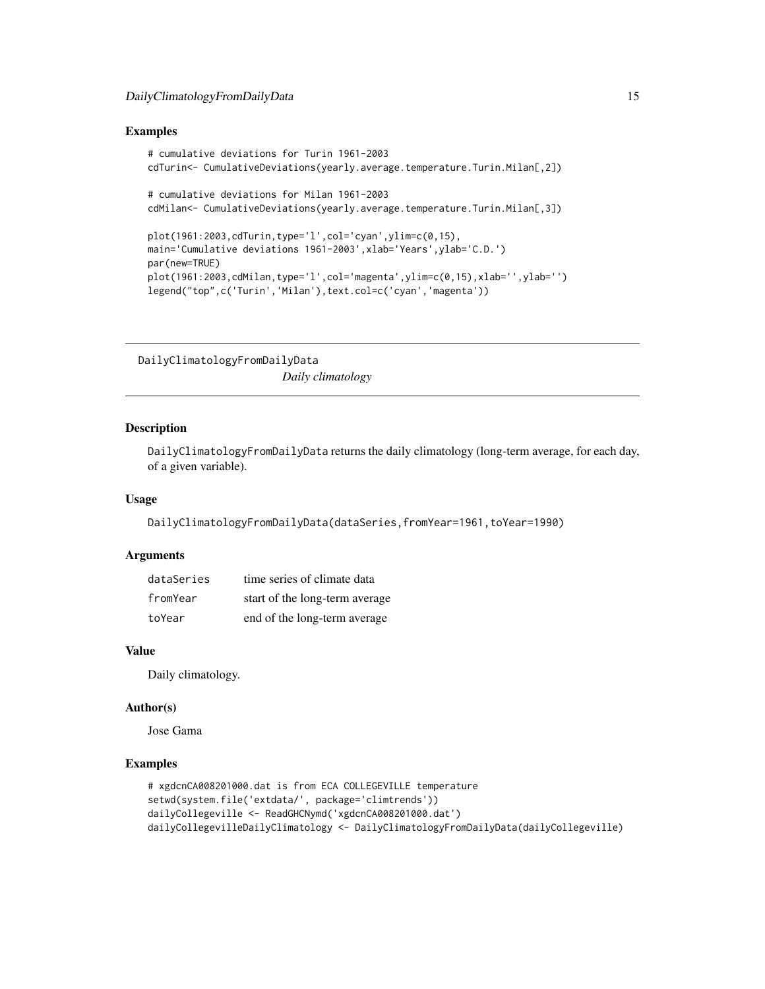#### <span id="page-14-0"></span>Examples

```
# cumulative deviations for Turin 1961-2003
cdTurin<- CumulativeDeviations(yearly.average.temperature.Turin.Milan[,2])
# cumulative deviations for Milan 1961-2003
cdMilan<- CumulativeDeviations(yearly.average.temperature.Turin.Milan[,3])
plot(1961:2003,cdTurin,type='l',col='cyan',ylim=c(0,15),
main='Cumulative deviations 1961-2003',xlab='Years',ylab='C.D.')
par(new=TRUE)
plot(1961:2003,cdMilan,type='l',col='magenta',ylim=c(0,15),xlab='',ylab='')
legend("top",c('Turin','Milan'),text.col=c('cyan','magenta'))
```
DailyClimatologyFromDailyData *Daily climatology*

#### **Description**

DailyClimatologyFromDailyData returns the daily climatology (long-term average, for each day, of a given variable).

### Usage

```
DailyClimatologyFromDailyData(dataSeries,fromYear=1961,toYear=1990)
```
#### Arguments

| dataSeries | time series of climate data    |
|------------|--------------------------------|
| fromYear   | start of the long-term average |
| toYear     | end of the long-term average   |

### Value

Daily climatology.

#### Author(s)

Jose Gama

```
# xgdcnCA008201000.dat is from ECA COLLEGEVILLE temperature
setwd(system.file('extdata/', package='climtrends'))
dailyCollegeville <- ReadGHCNymd('xgdcnCA008201000.dat')
dailyCollegevilleDailyClimatology <- DailyClimatologyFromDailyData(dailyCollegeville)
```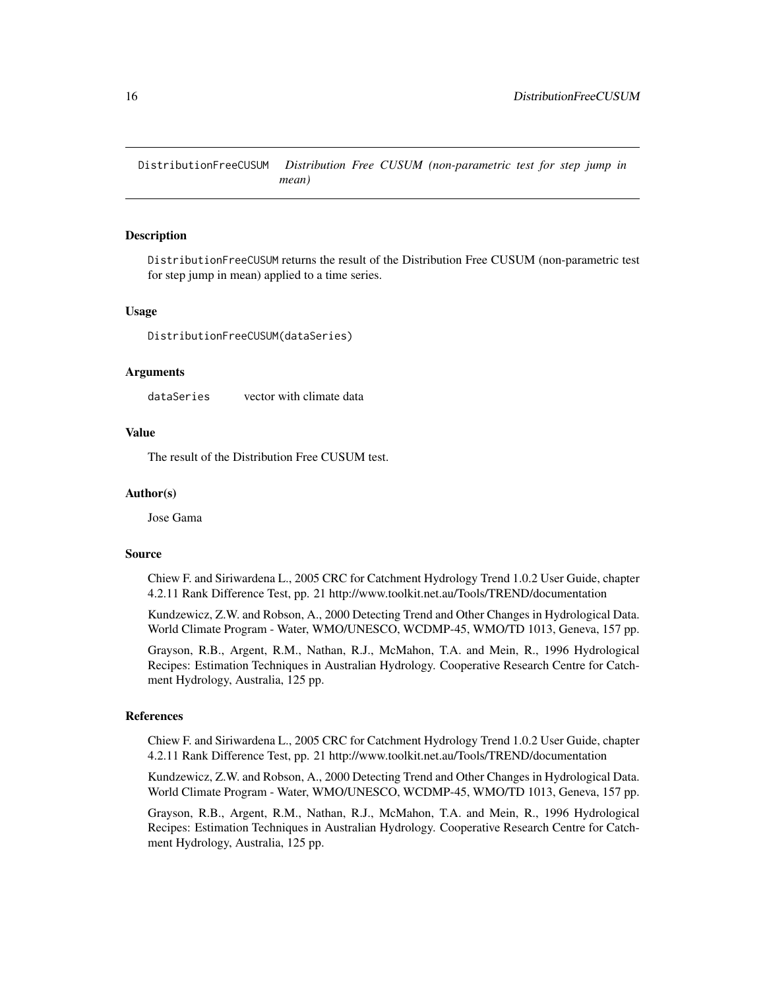<span id="page-15-0"></span>DistributionFreeCUSUM *Distribution Free CUSUM (non-parametric test for step jump in mean)*

#### **Description**

DistributionFreeCUSUM returns the result of the Distribution Free CUSUM (non-parametric test for step jump in mean) applied to a time series.

#### Usage

DistributionFreeCUSUM(dataSeries)

#### Arguments

dataSeries vector with climate data

### Value

The result of the Distribution Free CUSUM test.

#### Author(s)

Jose Gama

#### Source

Chiew F. and Siriwardena L., 2005 CRC for Catchment Hydrology Trend 1.0.2 User Guide, chapter 4.2.11 Rank Difference Test, pp. 21 http://www.toolkit.net.au/Tools/TREND/documentation

Kundzewicz, Z.W. and Robson, A., 2000 Detecting Trend and Other Changes in Hydrological Data. World Climate Program - Water, WMO/UNESCO, WCDMP-45, WMO/TD 1013, Geneva, 157 pp.

Grayson, R.B., Argent, R.M., Nathan, R.J., McMahon, T.A. and Mein, R., 1996 Hydrological Recipes: Estimation Techniques in Australian Hydrology. Cooperative Research Centre for Catchment Hydrology, Australia, 125 pp.

#### References

Chiew F. and Siriwardena L., 2005 CRC for Catchment Hydrology Trend 1.0.2 User Guide, chapter 4.2.11 Rank Difference Test, pp. 21 http://www.toolkit.net.au/Tools/TREND/documentation

Kundzewicz, Z.W. and Robson, A., 2000 Detecting Trend and Other Changes in Hydrological Data. World Climate Program - Water, WMO/UNESCO, WCDMP-45, WMO/TD 1013, Geneva, 157 pp.

Grayson, R.B., Argent, R.M., Nathan, R.J., McMahon, T.A. and Mein, R., 1996 Hydrological Recipes: Estimation Techniques in Australian Hydrology. Cooperative Research Centre for Catchment Hydrology, Australia, 125 pp.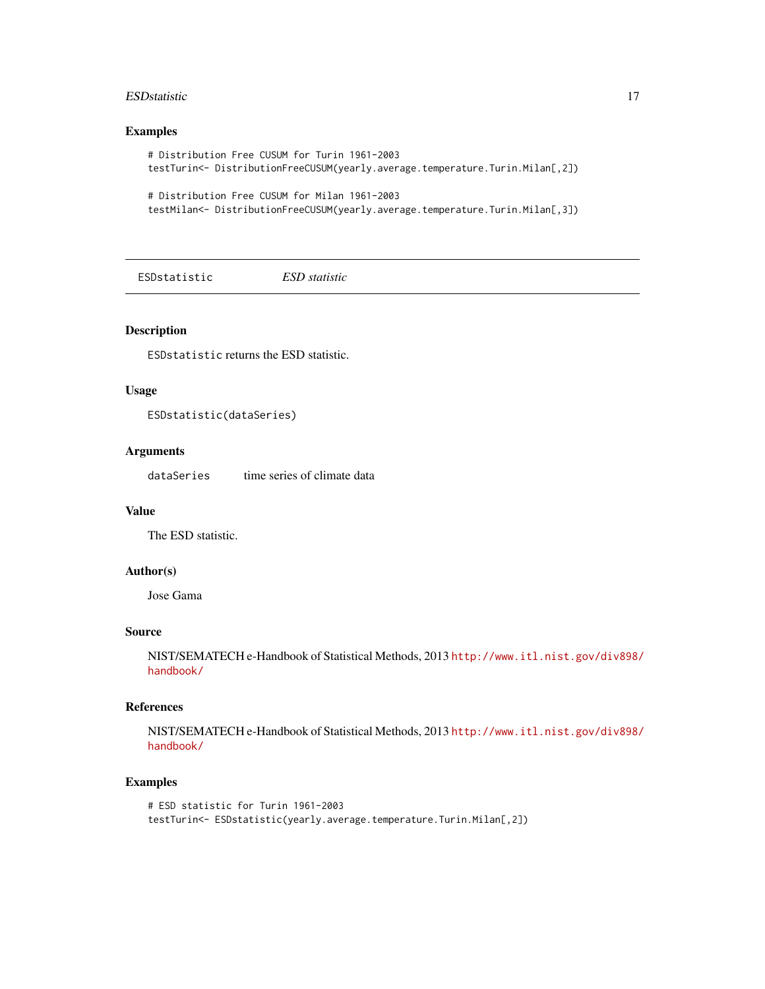#### <span id="page-16-0"></span>ESD statistic that the statistic the statistic statistic statistic statistic statistic statistic statistic statistic statistic statistic statistic statistic statistic statistic statistic statistic statistic statistic stati

### Examples

```
# Distribution Free CUSUM for Turin 1961-2003
testTurin<- DistributionFreeCUSUM(yearly.average.temperature.Turin.Milan[,2])
```

```
# Distribution Free CUSUM for Milan 1961-2003
testMilan<- DistributionFreeCUSUM(yearly.average.temperature.Turin.Milan[,3])
```
ESDstatistic *ESD statistic*

### Description

ESDstatistic returns the ESD statistic.

### Usage

ESDstatistic(dataSeries)

#### Arguments

dataSeries time series of climate data

#### Value

The ESD statistic.

#### Author(s)

Jose Gama

### Source

NIST/SEMATECH e-Handbook of Statistical Methods, 2013 [http://www.itl.nist.gov/div898/](http://www.itl.nist.gov/div898/handbook/) [handbook/](http://www.itl.nist.gov/div898/handbook/)

### References

NIST/SEMATECH e-Handbook of Statistical Methods, 2013 [http://www.itl.nist.gov/div898/](http://www.itl.nist.gov/div898/handbook/) [handbook/](http://www.itl.nist.gov/div898/handbook/)

```
# ESD statistic for Turin 1961-2003
testTurin<- ESDstatistic(yearly.average.temperature.Turin.Milan[,2])
```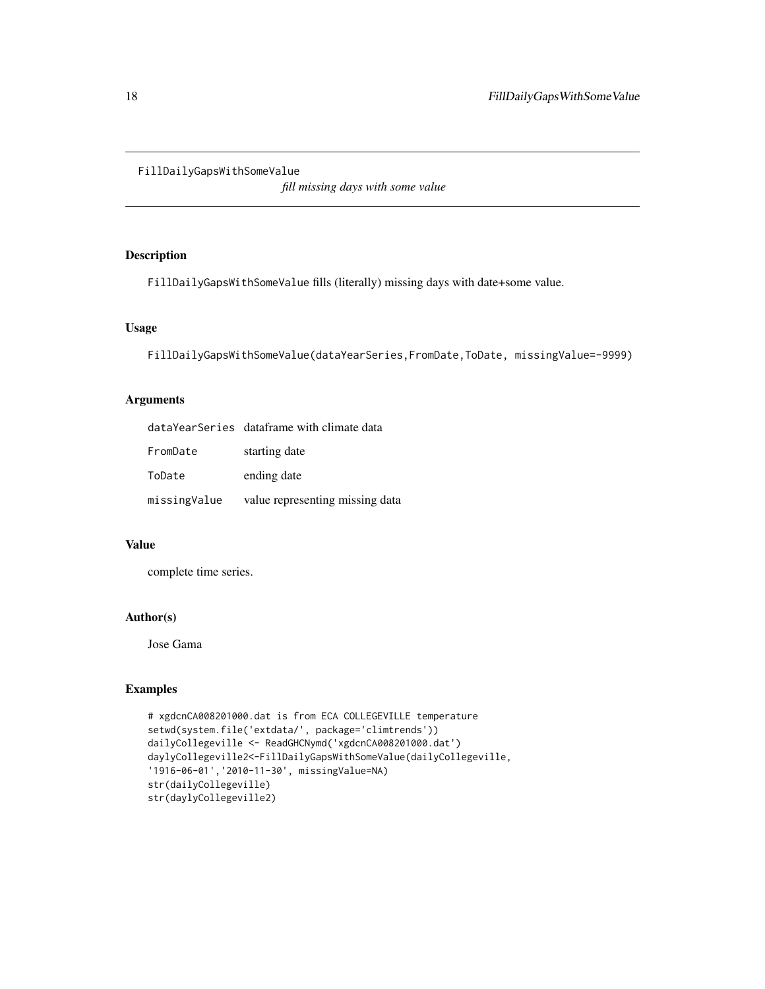#### <span id="page-17-0"></span>FillDailyGapsWithSomeValue

*fill missing days with some value*

#### Description

FillDailyGapsWithSomeValue fills (literally) missing days with date+some value.

### Usage

FillDailyGapsWithSomeValue(dataYearSeries,FromDate,ToDate, missingValue=-9999)

### Arguments

|              | dataYearSeries dataframe with climate data |
|--------------|--------------------------------------------|
| FromDate     | starting date                              |
| ToDate       | ending date                                |
| missingValue | value representing missing data            |

### Value

complete time series.

### Author(s)

Jose Gama

```
# xgdcnCA008201000.dat is from ECA COLLEGEVILLE temperature
setwd(system.file('extdata/', package='climtrends'))
dailyCollegeville <- ReadGHCNymd('xgdcnCA008201000.dat')
daylyCollegeville2<-FillDailyGapsWithSomeValue(dailyCollegeville,
'1916-06-01','2010-11-30', missingValue=NA)
str(dailyCollegeville)
str(daylyCollegeville2)
```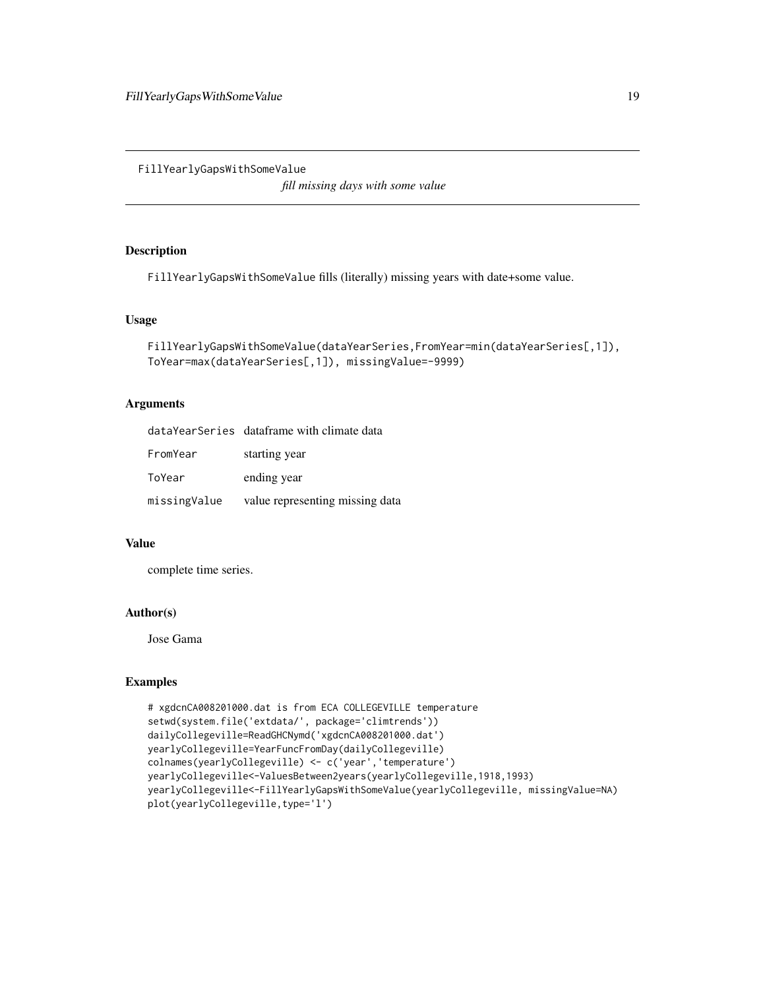<span id="page-18-0"></span>FillYearlyGapsWithSomeValue

*fill missing days with some value*

### Description

FillYearlyGapsWithSomeValue fills (literally) missing years with date+some value.

#### Usage

```
FillYearlyGapsWithSomeValue(dataYearSeries,FromYear=min(dataYearSeries[,1]),
ToYear=max(dataYearSeries[,1]), missingValue=-9999)
```
### Arguments

|              | dataYearSeries dataframe with climate data |
|--------------|--------------------------------------------|
| FromYear     | starting year                              |
| ToYear       | ending year                                |
| missingValue | value representing missing data            |

### Value

complete time series.

# Author(s)

Jose Gama

```
# xgdcnCA008201000.dat is from ECA COLLEGEVILLE temperature
setwd(system.file('extdata/', package='climtrends'))
dailyCollegeville=ReadGHCNymd('xgdcnCA008201000.dat')
yearlyCollegeville=YearFuncFromDay(dailyCollegeville)
colnames(yearlyCollegeville) <- c('year','temperature')
yearlyCollegeville<-ValuesBetween2years(yearlyCollegeville,1918,1993)
yearlyCollegeville<-FillYearlyGapsWithSomeValue(yearlyCollegeville, missingValue=NA)
plot(yearlyCollegeville,type='l')
```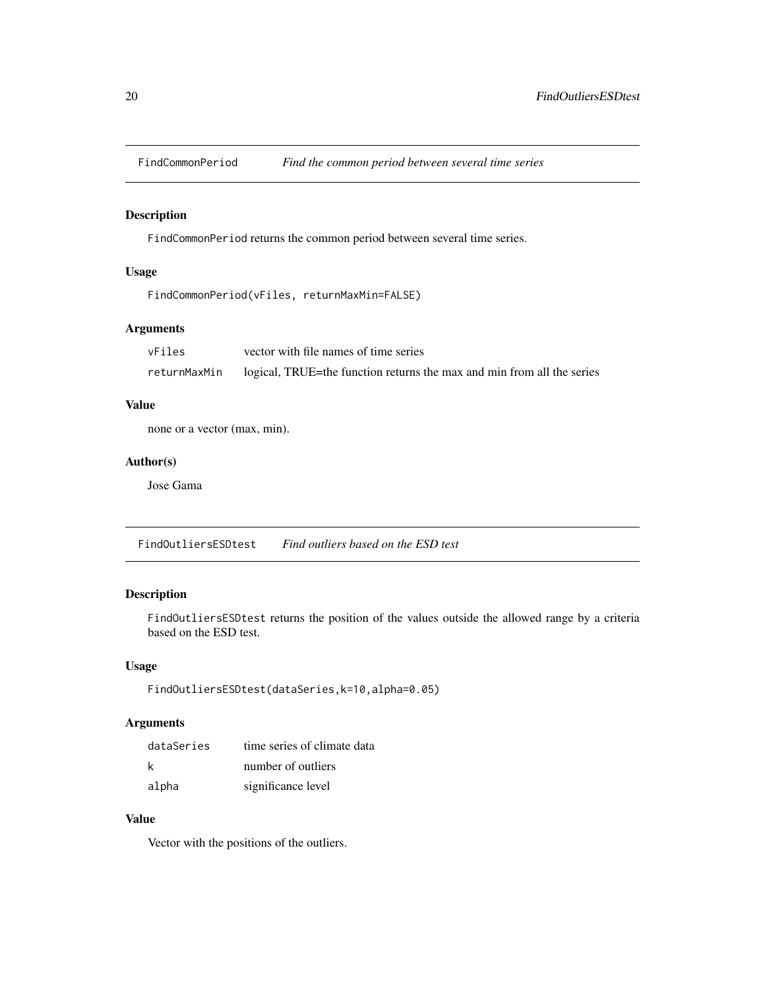<span id="page-19-0"></span>

### Description

FindCommonPeriod returns the common period between several time series.

# Usage

```
FindCommonPeriod(vFiles, returnMaxMin=FALSE)
```
# Arguments

| vFiles       | vector with file names of time series                                  |
|--------------|------------------------------------------------------------------------|
| returnMaxMin | logical, TRUE=the function returns the max and min from all the series |

### Value

none or a vector (max, min).

### Author(s)

Jose Gama

FindOutliersESDtest *Find outliers based on the ESD test*

### Description

FindOutliersESDtest returns the position of the values outside the allowed range by a criteria based on the ESD test.

# Usage

```
FindOutliersESDtest(dataSeries,k=10,alpha=0.05)
```
# Arguments

| dataSeries | time series of climate data |
|------------|-----------------------------|
| k          | number of outliers          |
| alpha      | significance level          |

# Value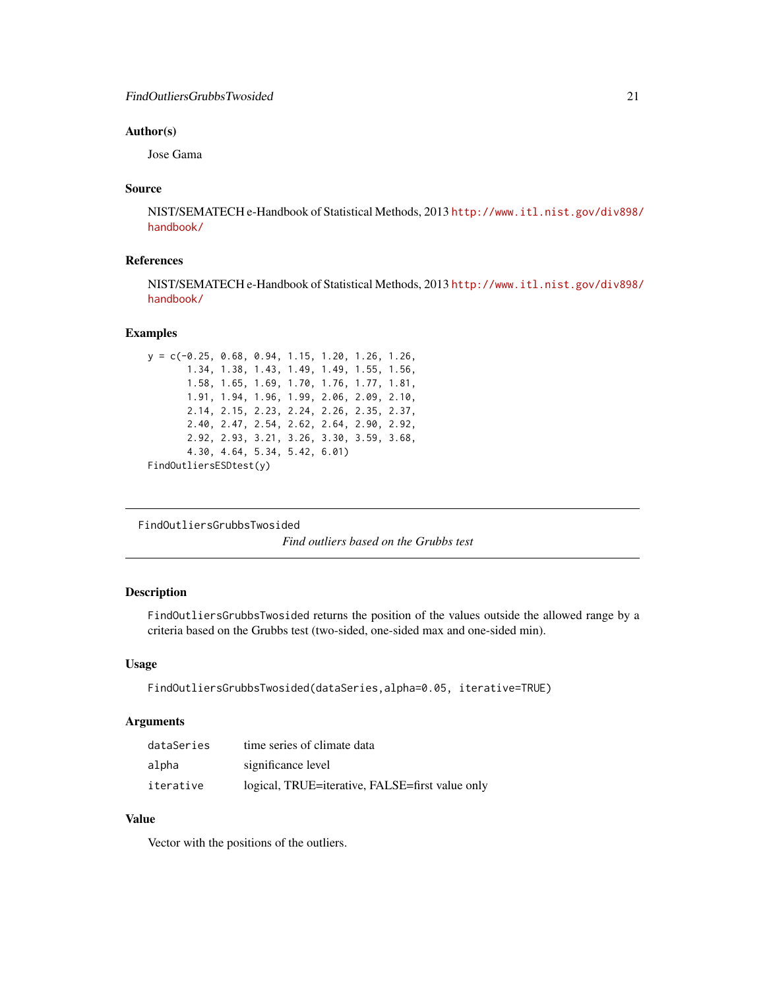#### <span id="page-20-0"></span>Author(s)

Jose Gama

#### Source

NIST/SEMATECH e-Handbook of Statistical Methods, 2013 [http://www.itl.nist.gov/div898/](http://www.itl.nist.gov/div898/handbook/) [handbook/](http://www.itl.nist.gov/div898/handbook/)

### References

NIST/SEMATECH e-Handbook of Statistical Methods, 2013 [http://www.itl.nist.gov/div898/](http://www.itl.nist.gov/div898/handbook/) [handbook/](http://www.itl.nist.gov/div898/handbook/)

#### Examples

```
y = c(-0.25, 0.68, 0.94, 1.15, 1.20, 1.26, 1.26,
      1.34, 1.38, 1.43, 1.49, 1.49, 1.55, 1.56,
      1.58, 1.65, 1.69, 1.70, 1.76, 1.77, 1.81,
      1.91, 1.94, 1.96, 1.99, 2.06, 2.09, 2.10,
      2.14, 2.15, 2.23, 2.24, 2.26, 2.35, 2.37,
      2.40, 2.47, 2.54, 2.62, 2.64, 2.90, 2.92,
      2.92, 2.93, 3.21, 3.26, 3.30, 3.59, 3.68,
      4.30, 4.64, 5.34, 5.42, 6.01)
FindOutliersESDtest(y)
```
FindOutliersGrubbsTwosided

*Find outliers based on the Grubbs test*

### Description

FindOutliersGrubbsTwosided returns the position of the values outside the allowed range by a criteria based on the Grubbs test (two-sided, one-sided max and one-sided min).

#### Usage

```
FindOutliersGrubbsTwosided(dataSeries,alpha=0.05, iterative=TRUE)
```
#### Arguments

| dataSeries | time series of climate data                     |
|------------|-------------------------------------------------|
| alpha      | significance level                              |
| iterative  | logical, TRUE=iterative, FALSE=first value only |

### Value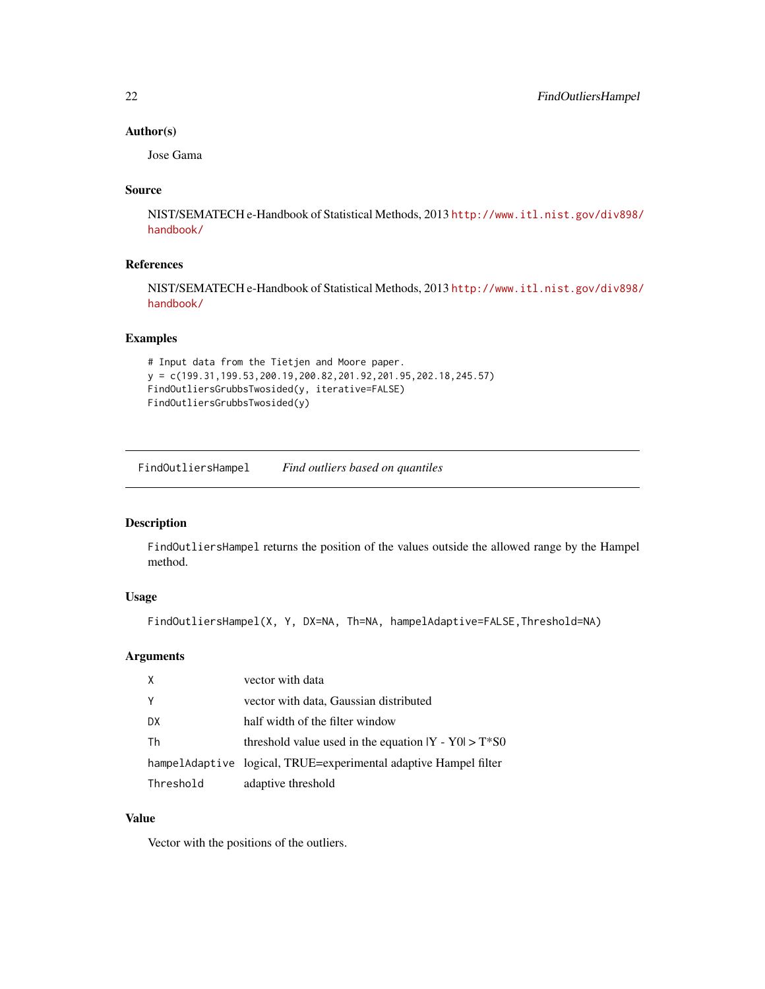### Author(s)

Jose Gama

### Source

NIST/SEMATECH e-Handbook of Statistical Methods, 2013 [http://www.itl.nist.gov/div898/](http://www.itl.nist.gov/div898/handbook/) [handbook/](http://www.itl.nist.gov/div898/handbook/)

### References

NIST/SEMATECH e-Handbook of Statistical Methods, 2013 [http://www.itl.nist.gov/div898/](http://www.itl.nist.gov/div898/handbook/) [handbook/](http://www.itl.nist.gov/div898/handbook/)

### Examples

```
# Input data from the Tietjen and Moore paper.
y = c(199.31,199.53,200.19,200.82,201.92,201.95,202.18,245.57)
FindOutliersGrubbsTwosided(y, iterative=FALSE)
FindOutliersGrubbsTwosided(y)
```
FindOutliersHampel *Find outliers based on quantiles*

### Description

FindOutliersHampel returns the position of the values outside the allowed range by the Hampel method.

### Usage

FindOutliersHampel(X, Y, DX=NA, Th=NA, hampelAdaptive=FALSE,Threshold=NA)

#### Arguments

| X         | vector with data                                                 |
|-----------|------------------------------------------------------------------|
| Y         | vector with data, Gaussian distributed                           |
| DX        | half width of the filter window                                  |
| Th        | threshold value used in the equation $ Y - Y0  > T^*S0$          |
|           | hampelAdaptive logical, TRUE=experimental adaptive Hampel filter |
| Threshold | adaptive threshold                                               |

### Value

<span id="page-21-0"></span>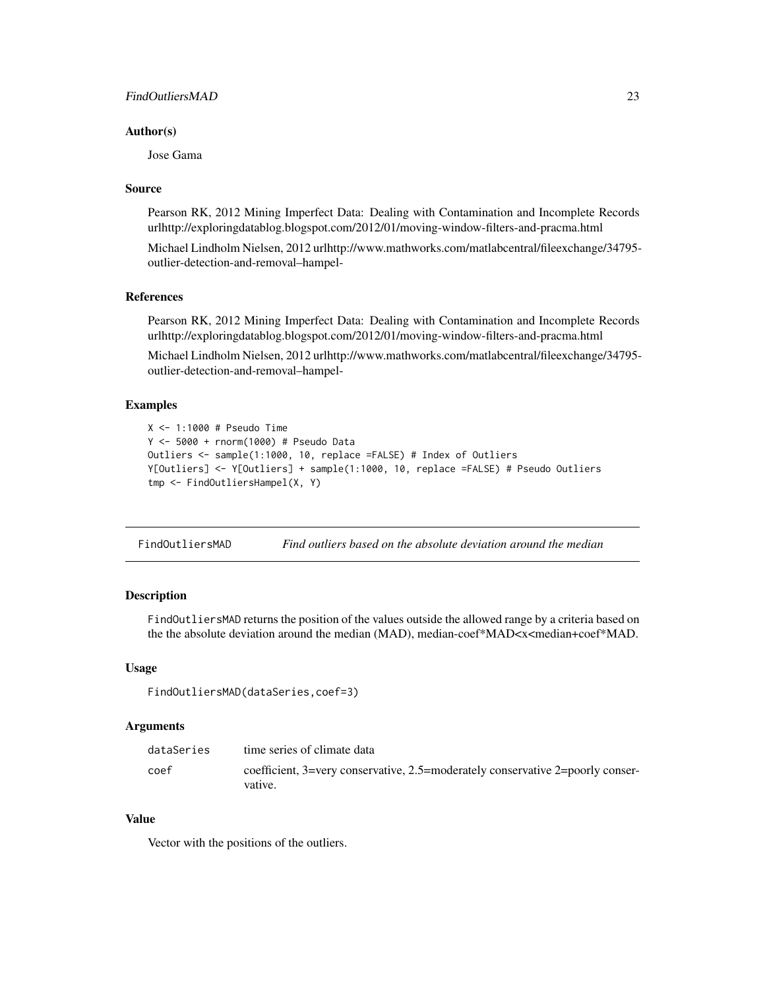### <span id="page-22-0"></span>FindOutliersMAD 23

#### Author(s)

Jose Gama

#### Source

Pearson RK, 2012 Mining Imperfect Data: Dealing with Contamination and Incomplete Records urlhttp://exploringdatablog.blogspot.com/2012/01/moving-window-filters-and-pracma.html

Michael Lindholm Nielsen, 2012 urlhttp://www.mathworks.com/matlabcentral/fileexchange/34795 outlier-detection-and-removal–hampel-

#### References

Pearson RK, 2012 Mining Imperfect Data: Dealing with Contamination and Incomplete Records urlhttp://exploringdatablog.blogspot.com/2012/01/moving-window-filters-and-pracma.html

Michael Lindholm Nielsen, 2012 urlhttp://www.mathworks.com/matlabcentral/fileexchange/34795 outlier-detection-and-removal–hampel-

### Examples

```
X <- 1:1000 # Pseudo Time
Y <- 5000 + rnorm(1000) # Pseudo Data
Outliers <- sample(1:1000, 10, replace =FALSE) # Index of Outliers
Y[Outliers] <- Y[Outliers] + sample(1:1000, 10, replace =FALSE) # Pseudo Outliers
tmp <- FindOutliersHampel(X, Y)
```
FindOutliersMAD *Find outliers based on the absolute deviation around the median*

#### Description

FindOutliersMAD returns the position of the values outside the allowed range by a criteria based on the the absolute deviation around the median (MAD), median-coef\*MAD<x<median+coef\*MAD.

#### Usage

```
FindOutliersMAD(dataSeries,coef=3)
```
#### Arguments

| dataSeries | time series of climate data                                                               |
|------------|-------------------------------------------------------------------------------------------|
| coef       | coefficient, 3=very conservative, 2.5=moderately conservative 2=poorly conser-<br>vative. |

### Value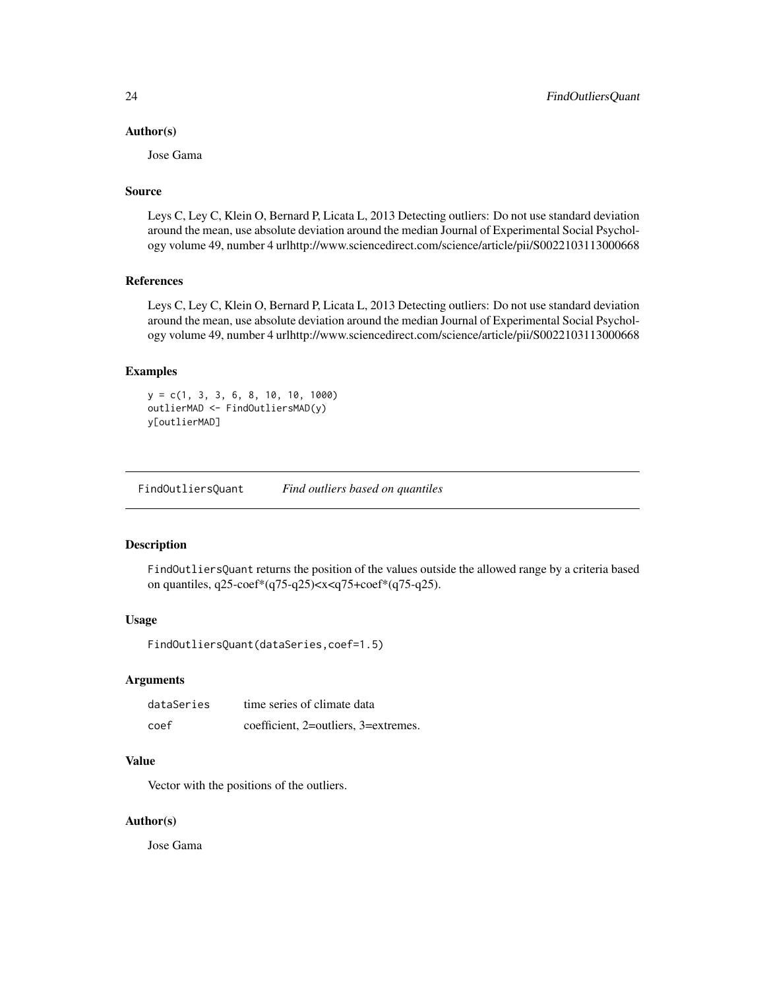#### <span id="page-23-0"></span>Author(s)

Jose Gama

### Source

Leys C, Ley C, Klein O, Bernard P, Licata L, 2013 Detecting outliers: Do not use standard deviation around the mean, use absolute deviation around the median Journal of Experimental Social Psychology volume 49, number 4 urlhttp://www.sciencedirect.com/science/article/pii/S0022103113000668

### References

Leys C, Ley C, Klein O, Bernard P, Licata L, 2013 Detecting outliers: Do not use standard deviation around the mean, use absolute deviation around the median Journal of Experimental Social Psychology volume 49, number 4 urlhttp://www.sciencedirect.com/science/article/pii/S0022103113000668

#### Examples

 $y = c(1, 3, 3, 6, 8, 10, 10, 1000)$ outlierMAD <- FindOutliersMAD(y) y[outlierMAD]

FindOutliersQuant *Find outliers based on quantiles*

### Description

FindOutliersQuant returns the position of the values outside the allowed range by a criteria based on quantiles, q25-coef\*(q75-q25)<x<q75+coef\*(q75-q25).

#### Usage

FindOutliersQuant(dataSeries,coef=1.5)

# Arguments

| dataSeries | time series of climate data          |
|------------|--------------------------------------|
| coef       | coefficient, 2=outliers, 3=extremes. |

#### Value

Vector with the positions of the outliers.

#### Author(s)

Jose Gama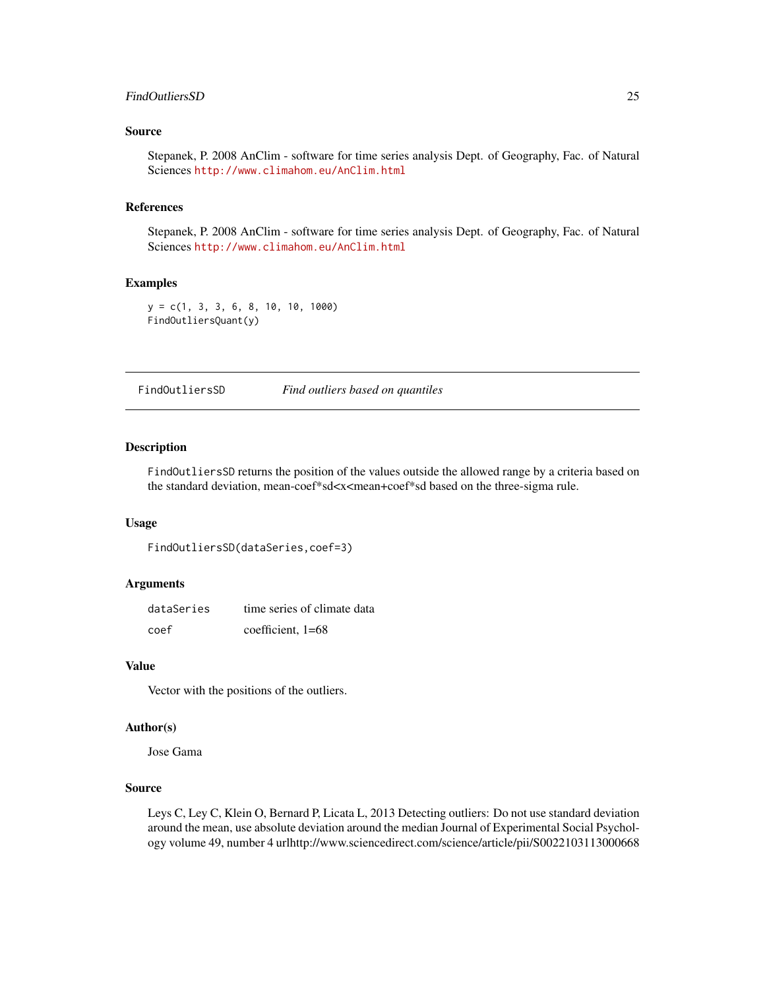### <span id="page-24-0"></span>FindOutliersSD 25

### Source

Stepanek, P. 2008 AnClim - software for time series analysis Dept. of Geography, Fac. of Natural Sciences <http://www.climahom.eu/AnClim.html>

#### References

Stepanek, P. 2008 AnClim - software for time series analysis Dept. of Geography, Fac. of Natural Sciences <http://www.climahom.eu/AnClim.html>

#### Examples

y = c(1, 3, 3, 6, 8, 10, 10, 1000) FindOutliersQuant(y)

FindOutliersSD *Find outliers based on quantiles*

#### Description

FindOutliersSD returns the position of the values outside the allowed range by a criteria based on the standard deviation, mean-coef\*sd<x<mean+coef\*sd based on the three-sigma rule.

#### Usage

```
FindOutliersSD(dataSeries,coef=3)
```
# Arguments

| dataSeries | time series of climate data |
|------------|-----------------------------|
| coef       | coefficient, $1=68$         |

#### Value

Vector with the positions of the outliers.

#### Author(s)

Jose Gama

#### Source

Leys C, Ley C, Klein O, Bernard P, Licata L, 2013 Detecting outliers: Do not use standard deviation around the mean, use absolute deviation around the median Journal of Experimental Social Psychology volume 49, number 4 urlhttp://www.sciencedirect.com/science/article/pii/S0022103113000668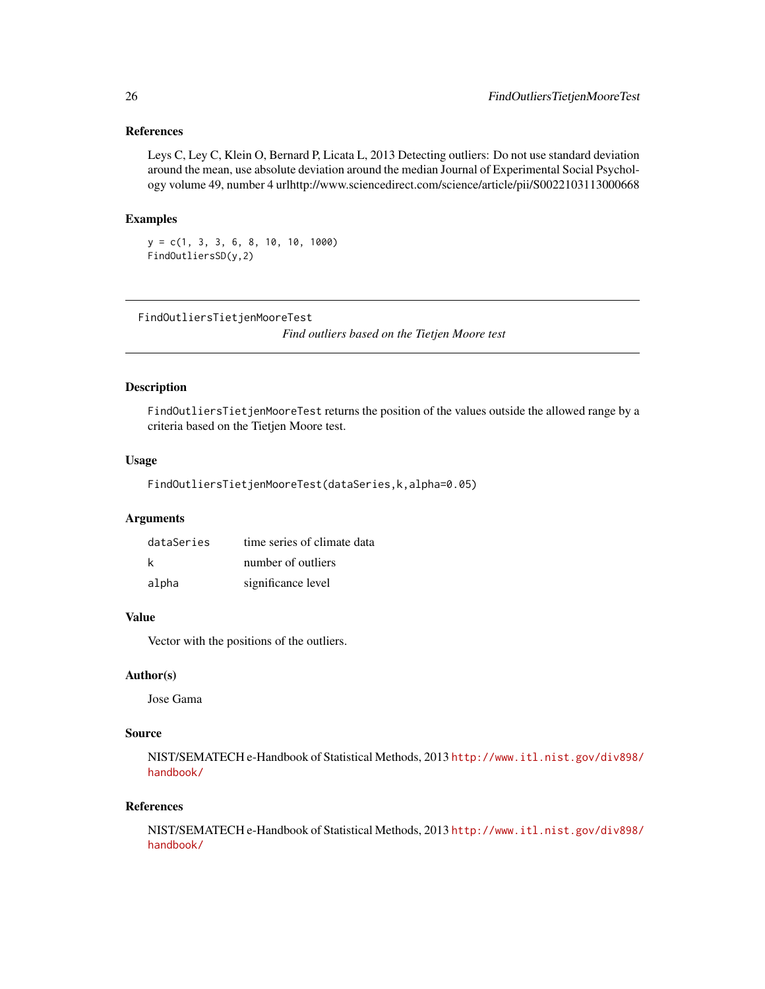### <span id="page-25-0"></span>References

Leys C, Ley C, Klein O, Bernard P, Licata L, 2013 Detecting outliers: Do not use standard deviation around the mean, use absolute deviation around the median Journal of Experimental Social Psychology volume 49, number 4 urlhttp://www.sciencedirect.com/science/article/pii/S0022103113000668

### Examples

 $y = c(1, 3, 3, 6, 8, 10, 10, 1000)$ FindOutliersSD(y,2)

FindOutliersTietjenMooreTest

*Find outliers based on the Tietjen Moore test*

#### Description

FindOutliersTietjenMooreTest returns the position of the values outside the allowed range by a criteria based on the Tietjen Moore test.

### Usage

FindOutliersTietjenMooreTest(dataSeries,k,alpha=0.05)

#### Arguments

| dataSeries | time series of climate data |
|------------|-----------------------------|
| k          | number of outliers          |
| alpha      | significance level          |

#### Value

Vector with the positions of the outliers.

#### Author(s)

Jose Gama

#### Source

NIST/SEMATECH e-Handbook of Statistical Methods, 2013 [http://www.itl.nist.gov/div898/](http://www.itl.nist.gov/div898/handbook/) [handbook/](http://www.itl.nist.gov/div898/handbook/)

#### References

NIST/SEMATECH e-Handbook of Statistical Methods, 2013 [http://www.itl.nist.gov/div898/](http://www.itl.nist.gov/div898/handbook/) [handbook/](http://www.itl.nist.gov/div898/handbook/)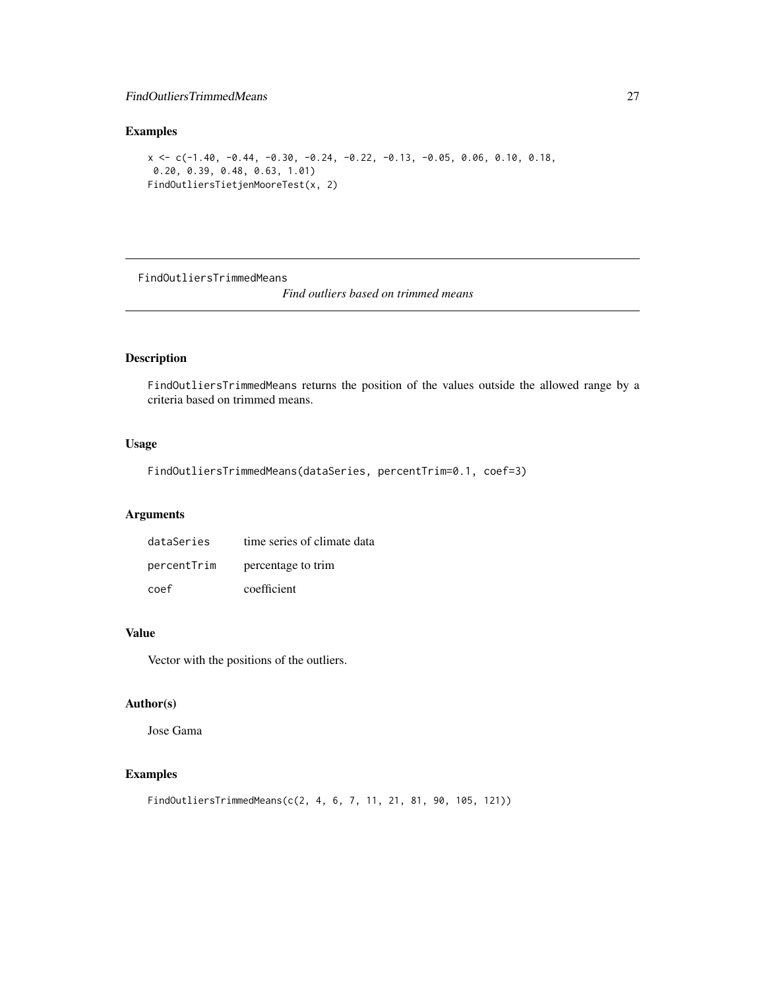### <span id="page-26-0"></span>FindOutliersTrimmedMeans 27

### Examples

```
x \leq -c(-1.40, -0.44, -0.30, -0.24, -0.22, -0.13, -0.05, 0.06, 0.10, 0.18,0.20, 0.39, 0.48, 0.63, 1.01)
FindOutliersTietjenMooreTest(x, 2)
```
FindOutliersTrimmedMeans

*Find outliers based on trimmed means*

# Description

FindOutliersTrimmedMeans returns the position of the values outside the allowed range by a criteria based on trimmed means.

### Usage

```
FindOutliersTrimmedMeans(dataSeries, percentTrim=0.1, coef=3)
```
# Arguments

| dataSeries  | time series of climate data |
|-------------|-----------------------------|
| percentTrim | percentage to trim          |
| coef        | coefficient                 |

#### Value

Vector with the positions of the outliers.

### Author(s)

Jose Gama

```
FindOutliersTrimmedMeans(c(2, 4, 6, 7, 11, 21, 81, 90, 105, 121))
```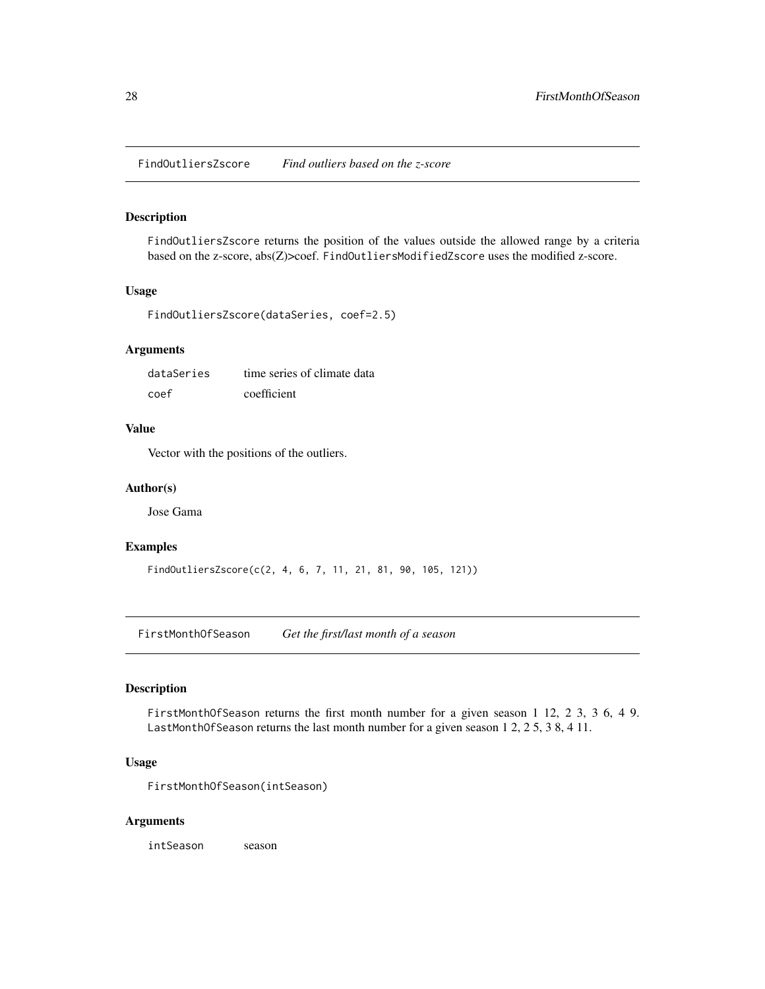<span id="page-27-0"></span>FindOutliersZscore *Find outliers based on the z-score*

#### Description

FindOutliersZscore returns the position of the values outside the allowed range by a criteria based on the z-score, abs(Z)>coef. FindOutliersModifiedZscore uses the modified z-score.

### Usage

```
FindOutliersZscore(dataSeries, coef=2.5)
```
### Arguments

| dataSeries | time series of climate data |
|------------|-----------------------------|
| coef       | coefficient                 |

### Value

Vector with the positions of the outliers.

#### Author(s)

Jose Gama

#### Examples

FindOutliersZscore(c(2, 4, 6, 7, 11, 21, 81, 90, 105, 121))

FirstMonthOfSeason *Get the first/last month of a season*

### Description

FirstMonthOfSeason returns the first month number for a given season 1 12, 2 3, 3 6, 4 9. LastMonthOfSeason returns the last month number for a given season 1 2, 2 5, 3 8, 4 11.

### Usage

FirstMonthOfSeason(intSeason)

#### Arguments

intSeason season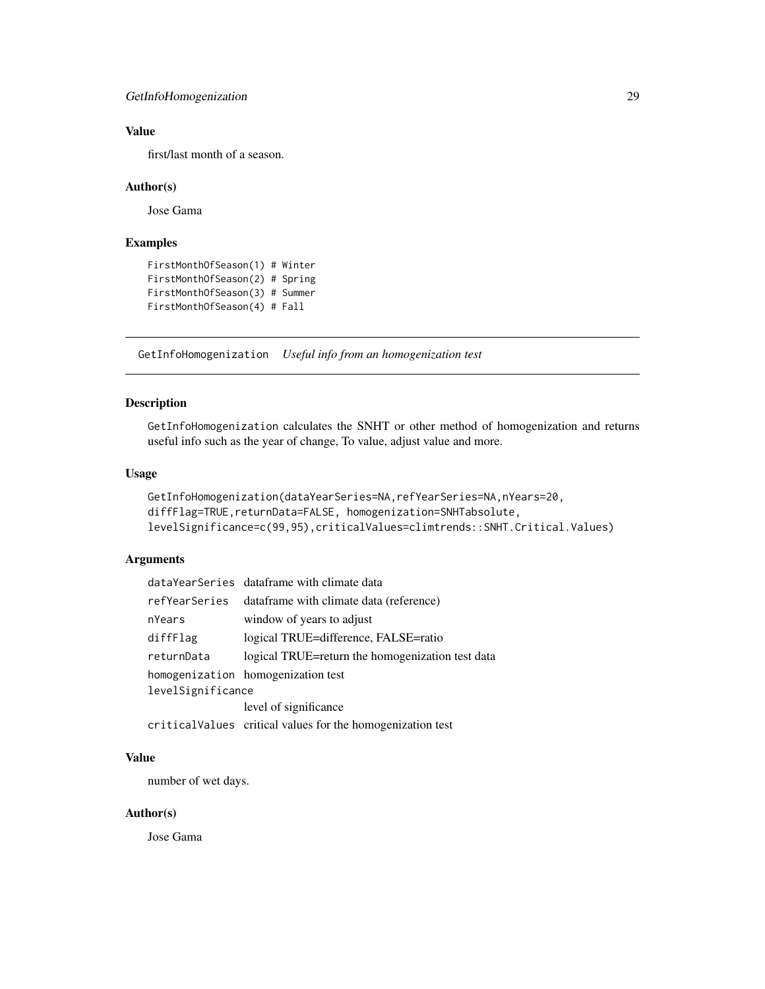# <span id="page-28-0"></span>Value

first/last month of a season.

#### Author(s)

Jose Gama

#### Examples

```
FirstMonthOfSeason(1) # Winter
FirstMonthOfSeason(2) # Spring
FirstMonthOfSeason(3) # Summer
FirstMonthOfSeason(4) # Fall
```
GetInfoHomogenization *Useful info from an homogenization test*

### Description

GetInfoHomogenization calculates the SNHT or other method of homogenization and returns useful info such as the year of change, To value, adjust value and more.

### Usage

```
GetInfoHomogenization(dataYearSeries=NA,refYearSeries=NA,nYears=20,
diffFlag=TRUE,returnData=FALSE, homogenization=SNHTabsolute,
levelSignificance=c(99,95),criticalValues=climtrends::SNHT.Critical.Values)
```
#### Arguments

|                   | dataYearSeries dataframe with climate data       |  |
|-------------------|--------------------------------------------------|--|
| refYearSeries     | dataframe with climate data (reference)          |  |
| nYears            | window of years to adjust                        |  |
| diffFlag          | logical TRUE=difference, FALSE=ratio             |  |
| returnData        | logical TRUE=return the homogenization test data |  |
|                   | homogenization homogenization test               |  |
| levelSignificance |                                                  |  |
|                   | level of significance                            |  |
|                   |                                                  |  |

criticalValues critical values for the homogenization test

#### Value

number of wet days.

#### Author(s)

Jose Gama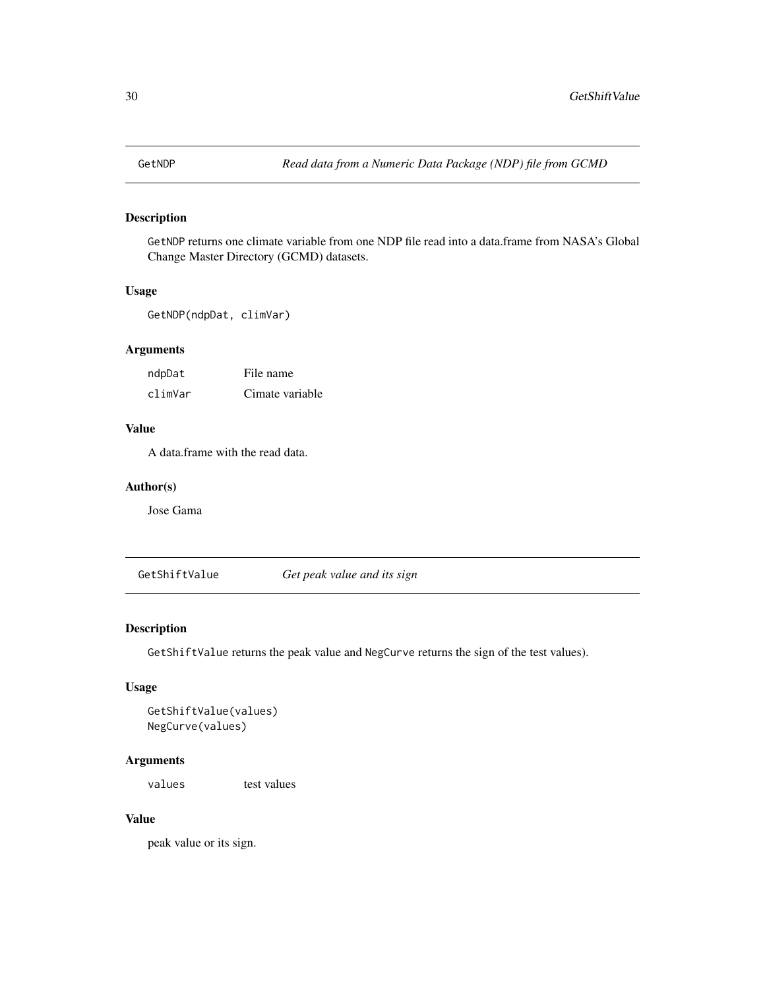<span id="page-29-0"></span>

### Description

GetNDP returns one climate variable from one NDP file read into a data.frame from NASA's Global Change Master Directory (GCMD) datasets.

### Usage

GetNDP(ndpDat, climVar)

### Arguments

| ndpDat  | File name       |
|---------|-----------------|
| climVar | Cimate variable |

### Value

A data.frame with the read data.

### Author(s)

Jose Gama

GetShiftValue *Get peak value and its sign*

#### Description

GetShiftValue returns the peak value and NegCurve returns the sign of the test values).

### Usage

```
GetShiftValue(values)
NegCurve(values)
```
#### Arguments

values test values

# Value

peak value or its sign.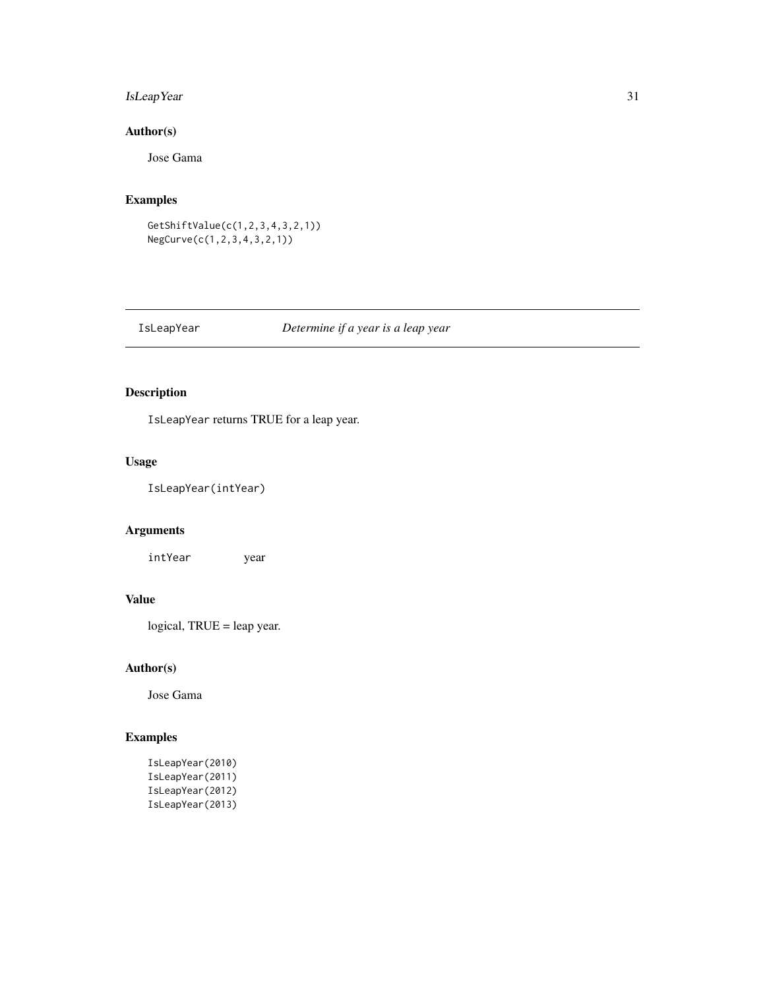# <span id="page-30-0"></span>IsLeapYear 31

# Author(s)

Jose Gama

# Examples

```
GetShiftValue(c(1,2,3,4,3,2,1))
NegCurve(c(1,2,3,4,3,2,1))
```
# IsLeapYear *Determine if a year is a leap year*

# Description

IsLeapYear returns TRUE for a leap year.

# Usage

IsLeapYear(intYear)

# Arguments

intYear year

# Value

logical, TRUE = leap year.

### Author(s)

Jose Gama

| IsLeapYear(2010) |
|------------------|
| IsLeapYear(2011) |
| IsLeapYear(2012) |
| IsLeapYear(2013) |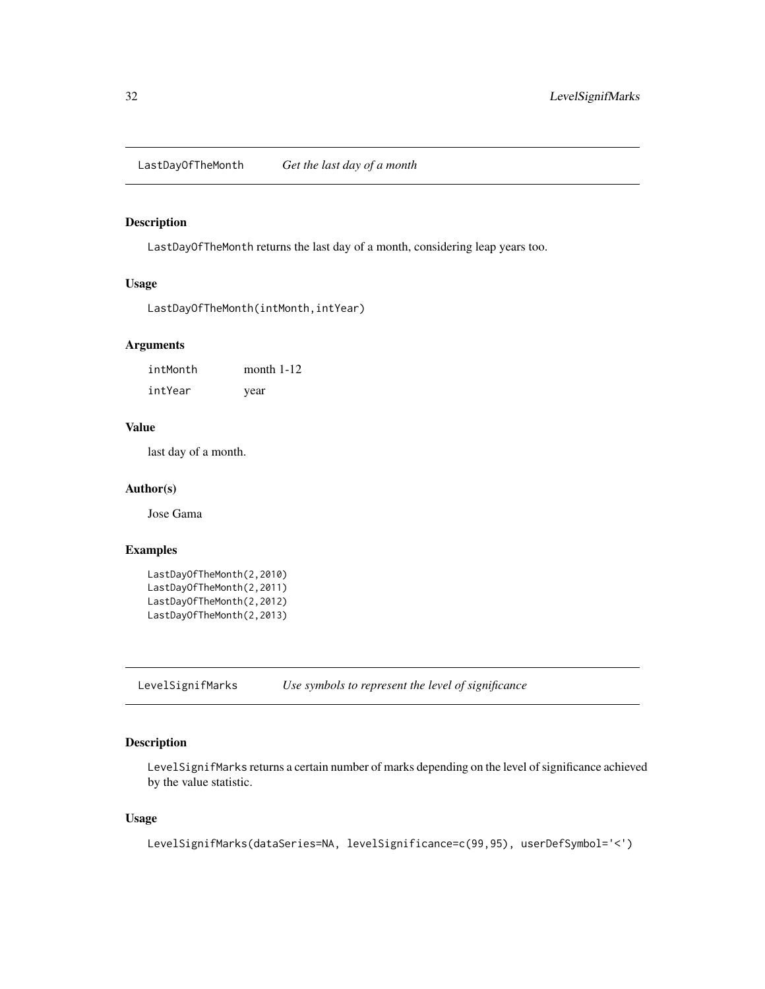<span id="page-31-0"></span>LastDayOfTheMonth *Get the last day of a month*

#### Description

LastDayOfTheMonth returns the last day of a month, considering leap years too.

#### Usage

```
LastDayOfTheMonth(intMonth,intYear)
```
#### Arguments

intMonth month 1-12 intYear year

# Value

last day of a month.

### Author(s)

Jose Gama

# Examples

```
LastDayOfTheMonth(2,2010)
LastDayOfTheMonth(2,2011)
LastDayOfTheMonth(2,2012)
LastDayOfTheMonth(2,2013)
```
LevelSignifMarks *Use symbols to represent the level of significance*

# Description

LevelSignifMarks returns a certain number of marks depending on the level of significance achieved by the value statistic.

### Usage

```
LevelSignifMarks(dataSeries=NA, levelSignificance=c(99,95), userDefSymbol='<')
```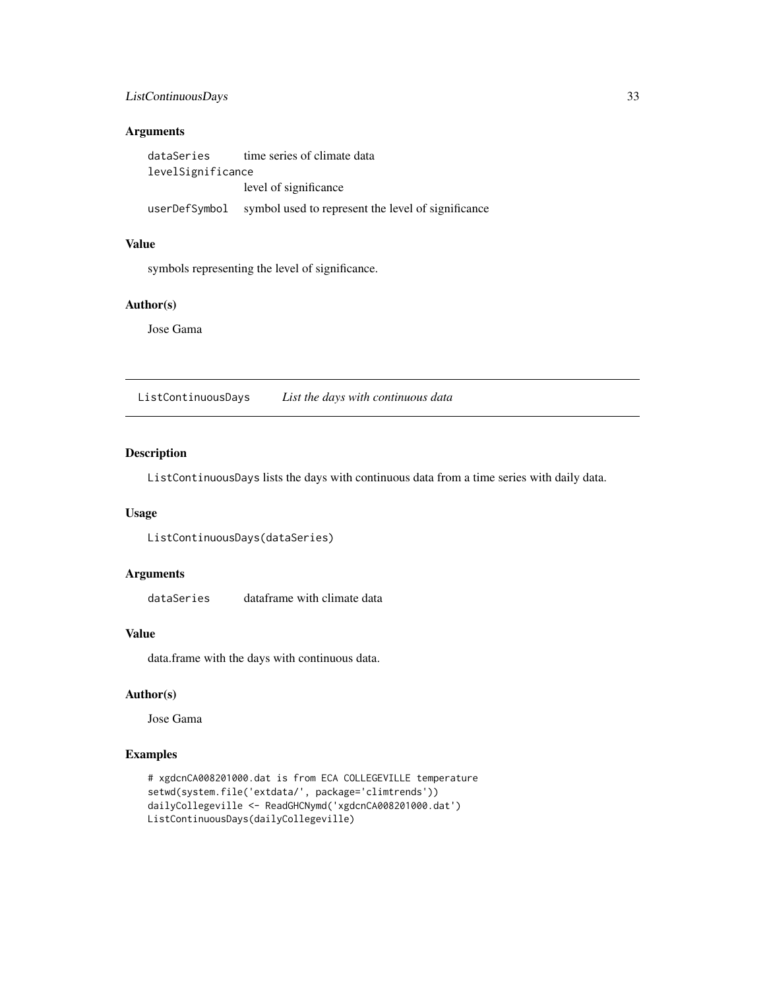### <span id="page-32-0"></span>ListContinuousDays 33

### Arguments

| dataSeries        | time series of climate data                                      |  |
|-------------------|------------------------------------------------------------------|--|
| levelSignificance |                                                                  |  |
|                   | level of significance                                            |  |
|                   | userDefSymbol symbol used to represent the level of significance |  |

#### Value

symbols representing the level of significance.

#### Author(s)

Jose Gama

ListContinuousDays *List the days with continuous data*

# Description

ListContinuousDays lists the days with continuous data from a time series with daily data.

### Usage

ListContinuousDays(dataSeries)

#### Arguments

dataSeries dataframe with climate data

#### Value

data.frame with the days with continuous data.

## Author(s)

Jose Gama

```
# xgdcnCA008201000.dat is from ECA COLLEGEVILLE temperature
setwd(system.file('extdata/', package='climtrends'))
dailyCollegeville <- ReadGHCNymd('xgdcnCA008201000.dat')
ListContinuousDays(dailyCollegeville)
```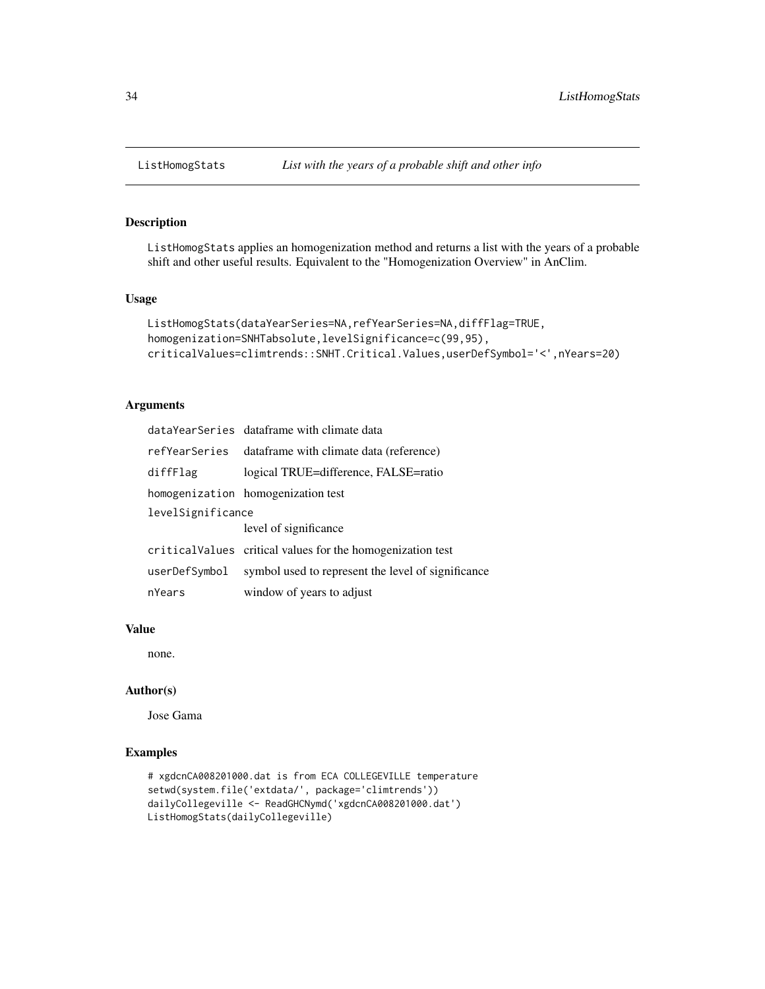### Description

ListHomogStats applies an homogenization method and returns a list with the years of a probable shift and other useful results. Equivalent to the "Homogenization Overview" in AnClim.

#### Usage

```
ListHomogStats(dataYearSeries=NA,refYearSeries=NA,diffFlag=TRUE,
homogenization=SNHTabsolute,levelSignificance=c(99,95),
criticalValues=climtrends::SNHT.Critical.Values,userDefSymbol='<',nYears=20)
```
### Arguments

|                   | dataYearSeries dataframe with climate data                  |  |
|-------------------|-------------------------------------------------------------|--|
|                   | ref Year Series data frame with climate data (reference)    |  |
| diffFlag          | logical TRUE=difference, FALSE=ratio                        |  |
|                   | homogenization homogenization test                          |  |
| levelSignificance |                                                             |  |
|                   | level of significance                                       |  |
|                   | critical Values critical values for the homogenization test |  |
| userDefSymbol     | symbol used to represent the level of significance          |  |
| nYears            | window of years to adjust                                   |  |

#### Value

none.

### Author(s)

Jose Gama

```
# xgdcnCA008201000.dat is from ECA COLLEGEVILLE temperature
setwd(system.file('extdata/', package='climtrends'))
dailyCollegeville <- ReadGHCNymd('xgdcnCA008201000.dat')
ListHomogStats(dailyCollegeville)
```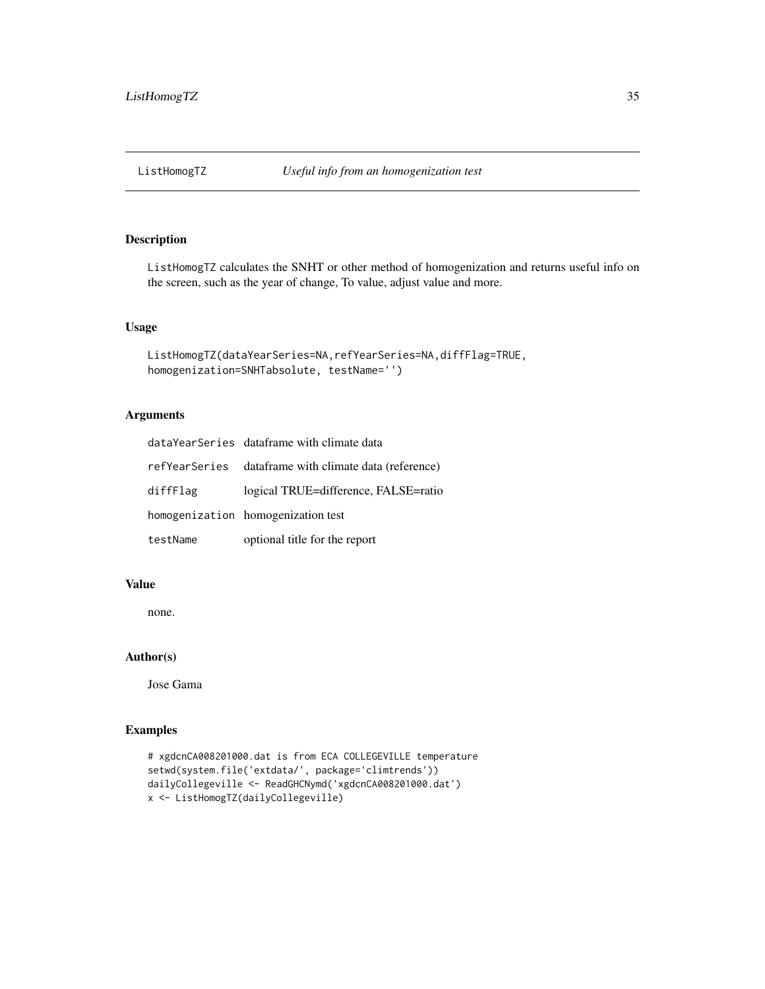<span id="page-34-0"></span>

### Description

ListHomogTZ calculates the SNHT or other method of homogenization and returns useful info on the screen, such as the year of change, To value, adjust value and more.

#### Usage

```
ListHomogTZ(dataYearSeries=NA,refYearSeries=NA,diffFlag=TRUE,
homogenization=SNHTabsolute, testName='')
```
### Arguments

|          | dataYearSeries dataframe with climate data               |
|----------|----------------------------------------------------------|
|          | ref Year Series data frame with climate data (reference) |
| diffFlag | logical TRUE=difference, FALSE=ratio                     |
|          | homogenization homogenization test                       |
| testName | optional title for the report                            |

### Value

none.

### Author(s)

Jose Gama

```
# xgdcnCA008201000.dat is from ECA COLLEGEVILLE temperature
setwd(system.file('extdata/', package='climtrends'))
dailyCollegeville <- ReadGHCNymd('xgdcnCA008201000.dat')
x <- ListHomogTZ(dailyCollegeville)
```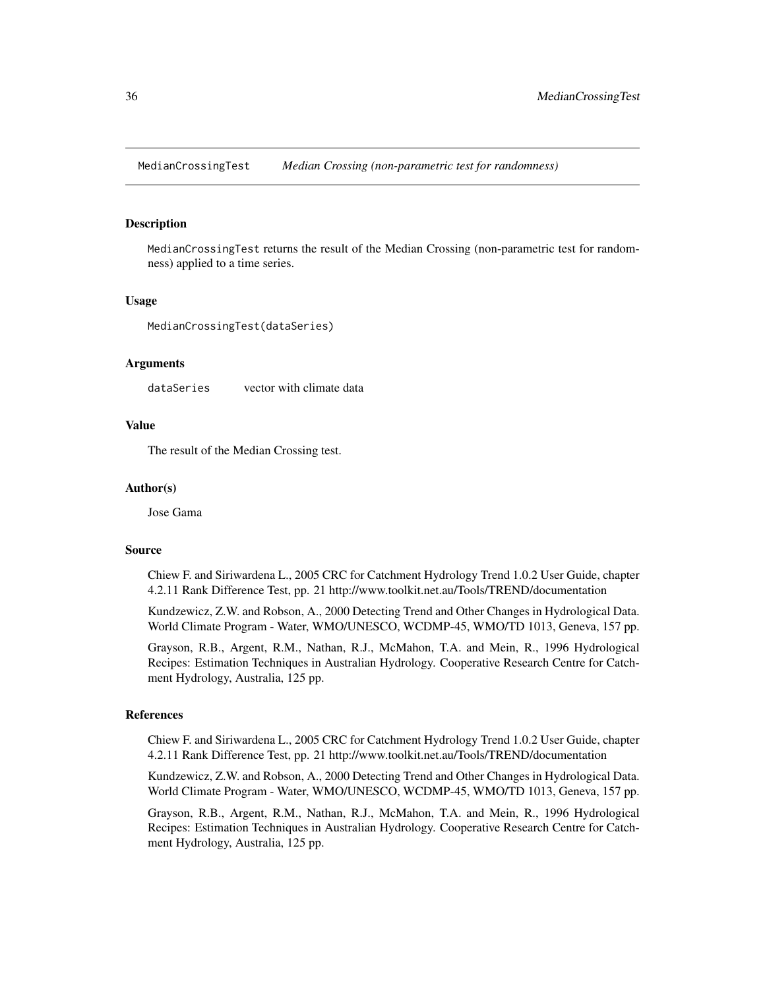<span id="page-35-0"></span>MedianCrossingTest *Median Crossing (non-parametric test for randomness)*

#### Description

MedianCrossingTest returns the result of the Median Crossing (non-parametric test for randomness) applied to a time series.

### Usage

MedianCrossingTest(dataSeries)

#### Arguments

dataSeries vector with climate data

### Value

The result of the Median Crossing test.

#### Author(s)

Jose Gama

#### Source

Chiew F. and Siriwardena L., 2005 CRC for Catchment Hydrology Trend 1.0.2 User Guide, chapter 4.2.11 Rank Difference Test, pp. 21 http://www.toolkit.net.au/Tools/TREND/documentation

Kundzewicz, Z.W. and Robson, A., 2000 Detecting Trend and Other Changes in Hydrological Data. World Climate Program - Water, WMO/UNESCO, WCDMP-45, WMO/TD 1013, Geneva, 157 pp.

Grayson, R.B., Argent, R.M., Nathan, R.J., McMahon, T.A. and Mein, R., 1996 Hydrological Recipes: Estimation Techniques in Australian Hydrology. Cooperative Research Centre for Catchment Hydrology, Australia, 125 pp.

#### References

Chiew F. and Siriwardena L., 2005 CRC for Catchment Hydrology Trend 1.0.2 User Guide, chapter 4.2.11 Rank Difference Test, pp. 21 http://www.toolkit.net.au/Tools/TREND/documentation

Kundzewicz, Z.W. and Robson, A., 2000 Detecting Trend and Other Changes in Hydrological Data. World Climate Program - Water, WMO/UNESCO, WCDMP-45, WMO/TD 1013, Geneva, 157 pp.

Grayson, R.B., Argent, R.M., Nathan, R.J., McMahon, T.A. and Mein, R., 1996 Hydrological Recipes: Estimation Techniques in Australian Hydrology. Cooperative Research Centre for Catchment Hydrology, Australia, 125 pp.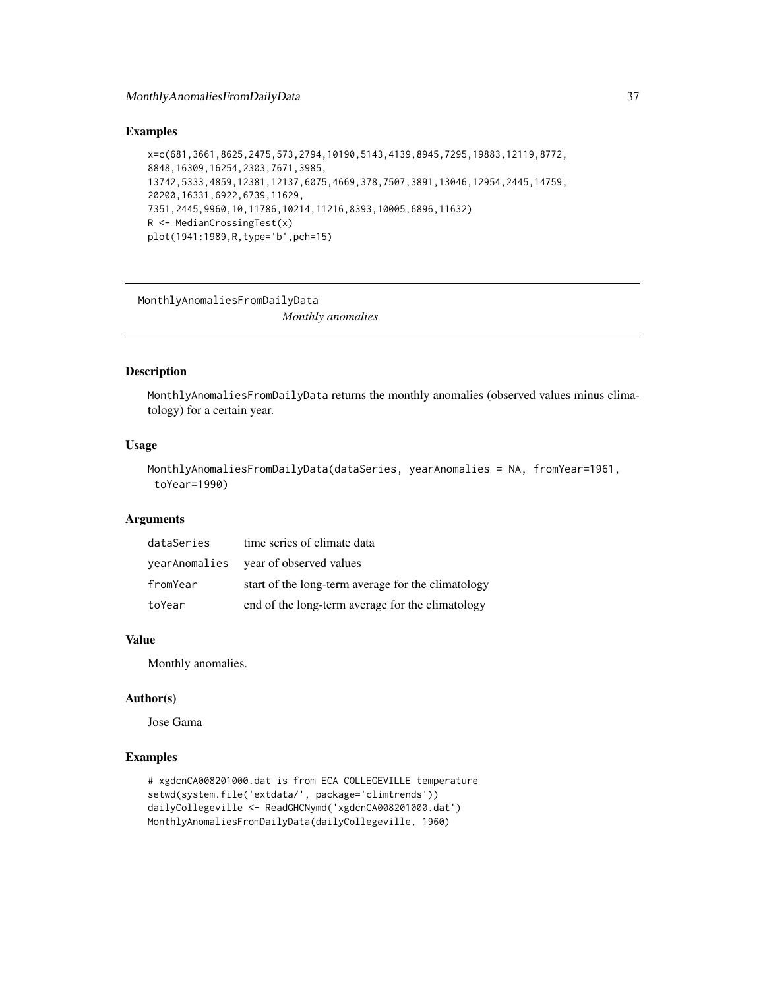# MonthlyAnomaliesFromDailyData 37

## Examples

```
x=c(681,3661,8625,2475,573,2794,10190,5143,4139,8945,7295,19883,12119,8772,
8848,16309,16254,2303,7671,3985,
13742,5333,4859,12381,12137,6075,4669,378,7507,3891,13046,12954,2445,14759,
20200,16331,6922,6739,11629,
7351,2445,9960,10,11786,10214,11216,8393,10005,6896,11632)
R <- MedianCrossingTest(x)
plot(1941:1989,R,type='b',pch=15)
```
MonthlyAnomaliesFromDailyData

*Monthly anomalies*

## Description

MonthlyAnomaliesFromDailyData returns the monthly anomalies (observed values minus climatology) for a certain year.

# Usage

```
MonthlyAnomaliesFromDailyData(dataSeries, yearAnomalies = NA, fromYear=1961,
 toYear=1990)
```
## Arguments

| dataSeries | time series of climate data                        |
|------------|----------------------------------------------------|
|            | year Anomalies year of observed values             |
| fromYear   | start of the long-term average for the climatology |
| toYear     | end of the long-term average for the climatology   |

## Value

Monthly anomalies.

#### Author(s)

Jose Gama

#### Examples

```
# xgdcnCA008201000.dat is from ECA COLLEGEVILLE temperature
setwd(system.file('extdata/', package='climtrends'))
dailyCollegeville <- ReadGHCNymd('xgdcnCA008201000.dat')
MonthlyAnomaliesFromDailyData(dailyCollegeville, 1960)
```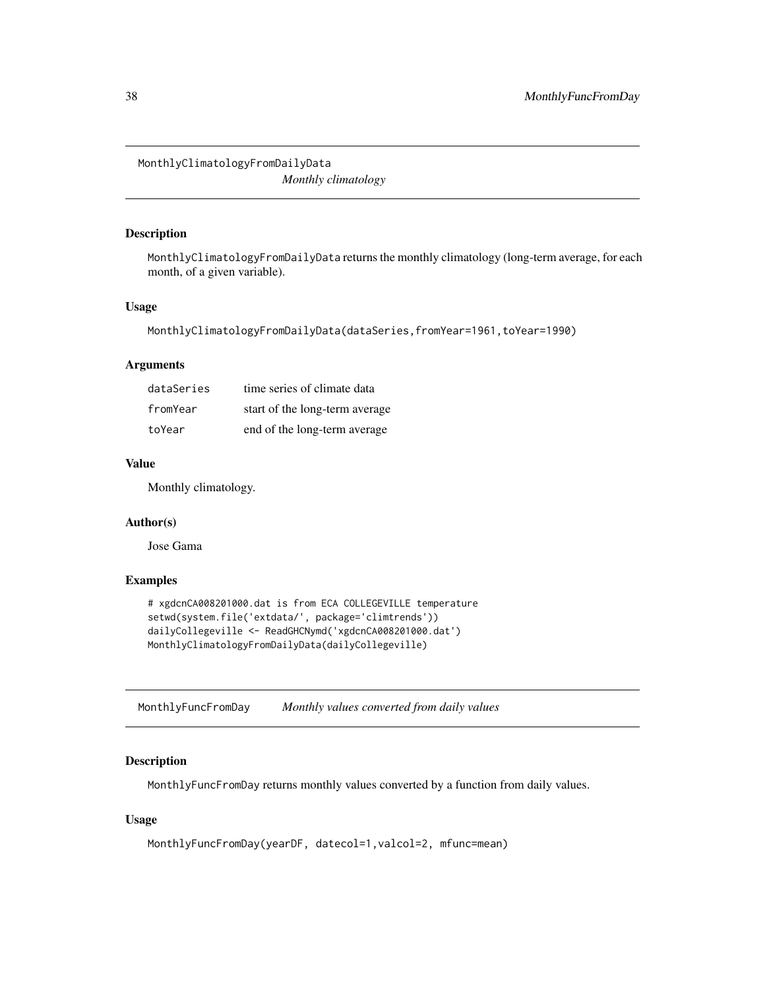MonthlyClimatologyFromDailyData *Monthly climatology*

# Description

MonthlyClimatologyFromDailyData returns the monthly climatology (long-term average, for each month, of a given variable).

## Usage

```
MonthlyClimatologyFromDailyData(dataSeries,fromYear=1961,toYear=1990)
```
## Arguments

| dataSeries | time series of climate data    |
|------------|--------------------------------|
| fromYear   | start of the long-term average |
| toYear     | end of the long-term average   |

#### Value

Monthly climatology.

# Author(s)

Jose Gama

## Examples

```
# xgdcnCA008201000.dat is from ECA COLLEGEVILLE temperature
setwd(system.file('extdata/', package='climtrends'))
dailyCollegeville <- ReadGHCNymd('xgdcnCA008201000.dat')
MonthlyClimatologyFromDailyData(dailyCollegeville)
```
MonthlyFuncFromDay *Monthly values converted from daily values*

# Description

MonthlyFuncFromDay returns monthly values converted by a function from daily values.

# Usage

```
MonthlyFuncFromDay(yearDF, datecol=1,valcol=2, mfunc=mean)
```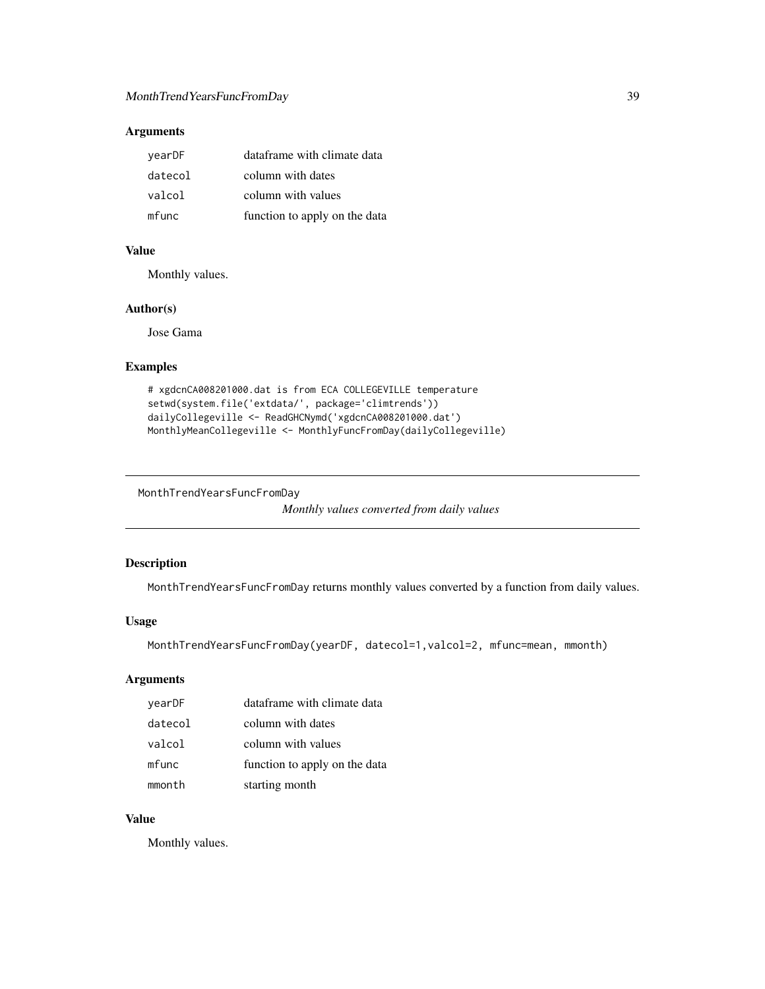# Arguments

| vearDF  | dataframe with climate data   |
|---------|-------------------------------|
| datecol | column with dates             |
| valcol  | column with values            |
| mfunc   | function to apply on the data |

## Value

Monthly values.

## Author(s)

Jose Gama

# Examples

```
# xgdcnCA008201000.dat is from ECA COLLEGEVILLE temperature
setwd(system.file('extdata/', package='climtrends'))
dailyCollegeville <- ReadGHCNymd('xgdcnCA008201000.dat')
MonthlyMeanCollegeville <- MonthlyFuncFromDay(dailyCollegeville)
```
MonthTrendYearsFuncFromDay

```
Monthly values converted from daily values
```
# Description

MonthTrendYearsFuncFromDay returns monthly values converted by a function from daily values.

# Usage

```
MonthTrendYearsFuncFromDay(yearDF, datecol=1,valcol=2, mfunc=mean, mmonth)
```
# Arguments

| yearDF  | dataframe with climate data   |
|---------|-------------------------------|
| datecol | column with dates             |
| valcol  | column with values            |
| mfunc   | function to apply on the data |
| mmonth  | starting month                |

# Value

Monthly values.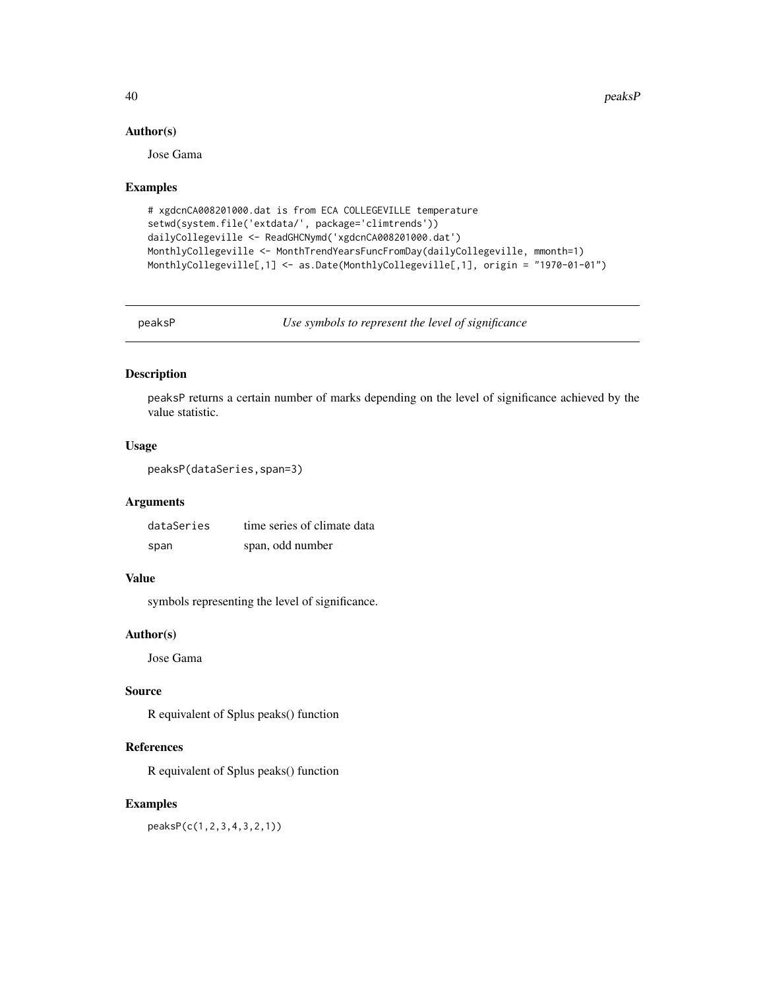40 peaksP

## Author(s)

Jose Gama

#### Examples

```
# xgdcnCA008201000.dat is from ECA COLLEGEVILLE temperature
setwd(system.file('extdata/', package='climtrends'))
dailyCollegeville <- ReadGHCNymd('xgdcnCA008201000.dat')
MonthlyCollegeville <- MonthTrendYearsFuncFromDay(dailyCollegeville, mmonth=1)
MonthlyCollegeville[,1] <- as.Date(MonthlyCollegeville[,1], origin = "1970-01-01")
```
peaksP *Use symbols to represent the level of significance*

## Description

peaksP returns a certain number of marks depending on the level of significance achieved by the value statistic.

# Usage

```
peaksP(dataSeries,span=3)
```
# Arguments

| dataSeries | time series of climate data |
|------------|-----------------------------|
| span       | span, odd number            |

## Value

symbols representing the level of significance.

# Author(s)

Jose Gama

# Source

R equivalent of Splus peaks() function

# References

R equivalent of Splus peaks() function

# Examples

peaksP(c(1,2,3,4,3,2,1))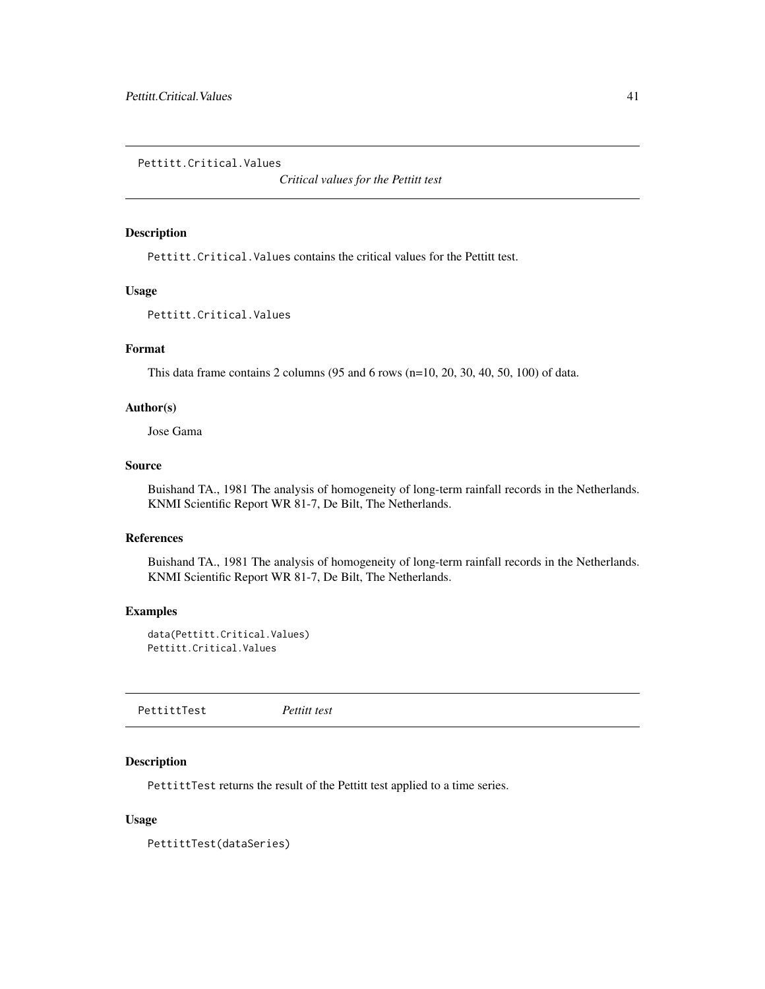Pettitt.Critical.Values

*Critical values for the Pettitt test*

## Description

Pettitt.Critical.Values contains the critical values for the Pettitt test.

## Usage

Pettitt.Critical.Values

# Format

This data frame contains 2 columns (95 and 6 rows (n=10, 20, 30, 40, 50, 100) of data.

# Author(s)

Jose Gama

#### Source

Buishand TA., 1981 The analysis of homogeneity of long-term rainfall records in the Netherlands. KNMI Scientific Report WR 81-7, De Bilt, The Netherlands.

# References

Buishand TA., 1981 The analysis of homogeneity of long-term rainfall records in the Netherlands. KNMI Scientific Report WR 81-7, De Bilt, The Netherlands.

# Examples

```
data(Pettitt.Critical.Values)
Pettitt.Critical.Values
```
PettittTest *Pettitt test*

## Description

PettittTest returns the result of the Pettitt test applied to a time series.

## Usage

PettittTest(dataSeries)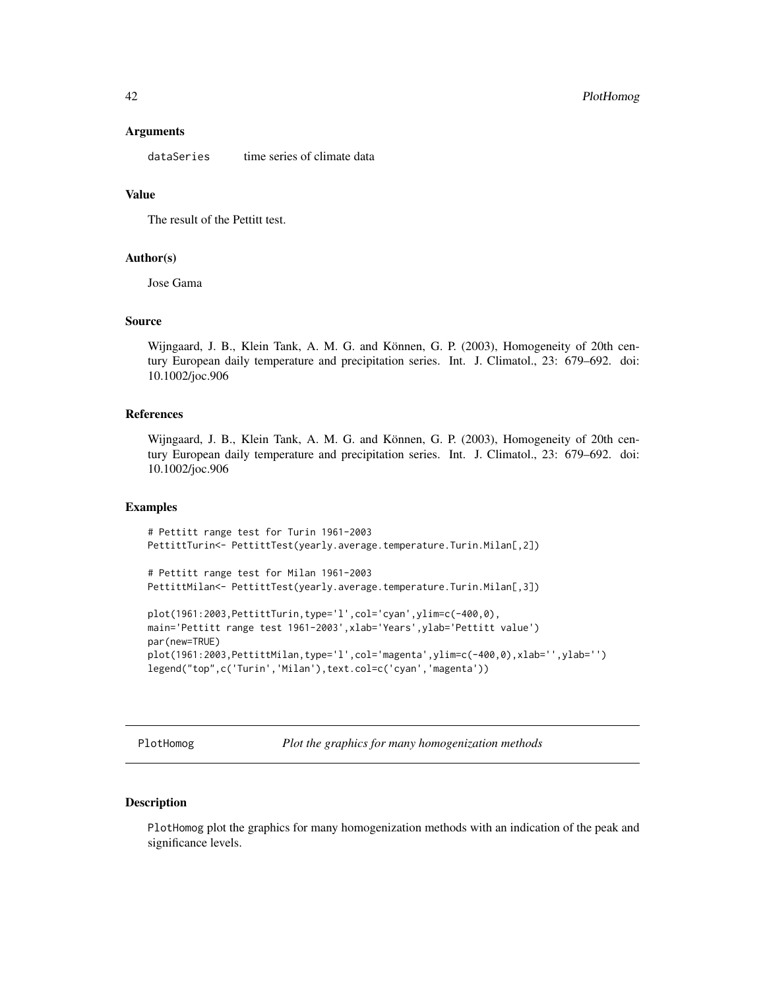#### Arguments

dataSeries time series of climate data

## Value

The result of the Pettitt test.

#### Author(s)

Jose Gama

## Source

Wijngaard, J. B., Klein Tank, A. M. G. and Können, G. P. (2003), Homogeneity of 20th century European daily temperature and precipitation series. Int. J. Climatol., 23: 679–692. doi: 10.1002/joc.906

## References

Wijngaard, J. B., Klein Tank, A. M. G. and Können, G. P. (2003), Homogeneity of 20th century European daily temperature and precipitation series. Int. J. Climatol., 23: 679–692. doi: 10.1002/joc.906

# Examples

```
# Pettitt range test for Turin 1961-2003
PettittTurin<- PettittTest(yearly.average.temperature.Turin.Milan[,2])
# Pettitt range test for Milan 1961-2003
PettittMilan<- PettittTest(yearly.average.temperature.Turin.Milan[,3])
plot(1961:2003,PettittTurin,type='l',col='cyan',ylim=c(-400,0),
main='Pettitt range test 1961-2003',xlab='Years',ylab='Pettitt value')
par(new=TRUE)
plot(1961:2003,PettittMilan,type='l',col='magenta',ylim=c(-400,0),xlab='',ylab='')
legend("top",c('Turin','Milan'),text.col=c('cyan','magenta'))
```
PlotHomog *Plot the graphics for many homogenization methods*

# Description

PlotHomog plot the graphics for many homogenization methods with an indication of the peak and significance levels.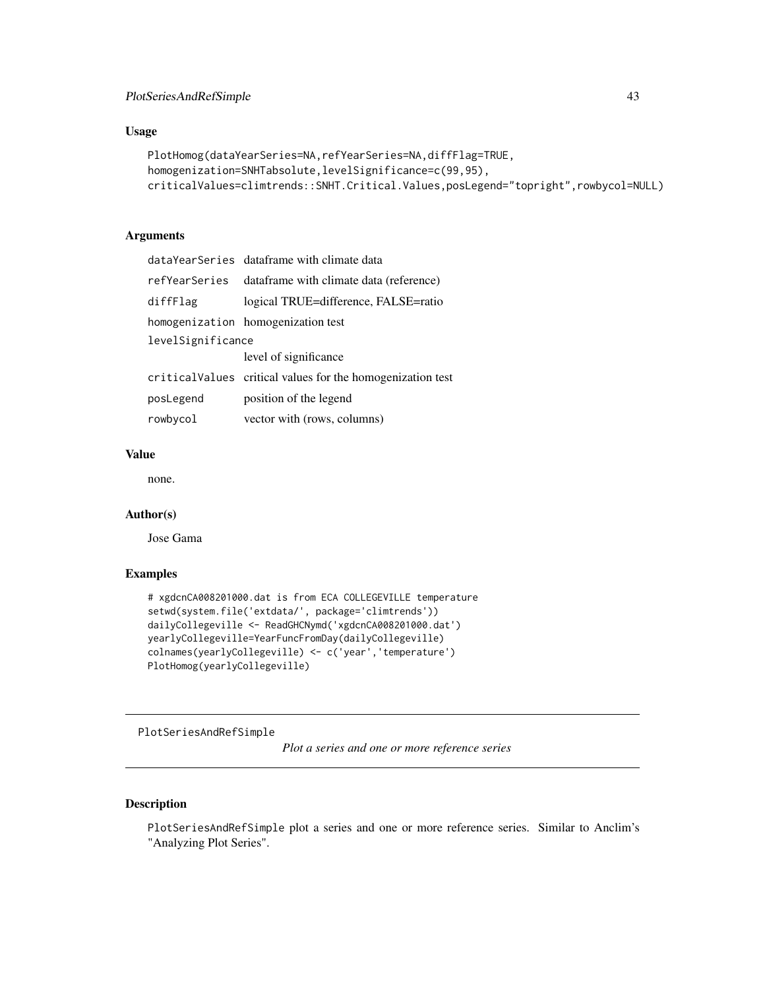# Usage

```
PlotHomog(dataYearSeries=NA,refYearSeries=NA,diffFlag=TRUE,
homogenization=SNHTabsolute,levelSignificance=c(99,95),
criticalValues=climtrends::SNHT.Critical.Values,posLegend="topright",rowbycol=NULL)
```
# Arguments

|                   | dataYearSeries dataframe with climate data                  |
|-------------------|-------------------------------------------------------------|
| refYearSeries     | dataframe with climate data (reference)                     |
| diffFlag          | logical TRUE=difference, FALSE=ratio                        |
|                   | homogenization homogenization test                          |
| levelSignificance |                                                             |
|                   | level of significance                                       |
|                   | critical Values critical values for the homogenization test |
| posLegend         | position of the legend                                      |
| rowbycol          | vector with (rows, columns)                                 |

# Value

none.

## Author(s)

Jose Gama

#### Examples

```
# xgdcnCA008201000.dat is from ECA COLLEGEVILLE temperature
setwd(system.file('extdata/', package='climtrends'))
dailyCollegeville <- ReadGHCNymd('xgdcnCA008201000.dat')
yearlyCollegeville=YearFuncFromDay(dailyCollegeville)
colnames(yearlyCollegeville) <- c('year','temperature')
PlotHomog(yearlyCollegeville)
```
PlotSeriesAndRefSimple

*Plot a series and one or more reference series*

# Description

PlotSeriesAndRefSimple plot a series and one or more reference series. Similar to Anclim's "Analyzing Plot Series".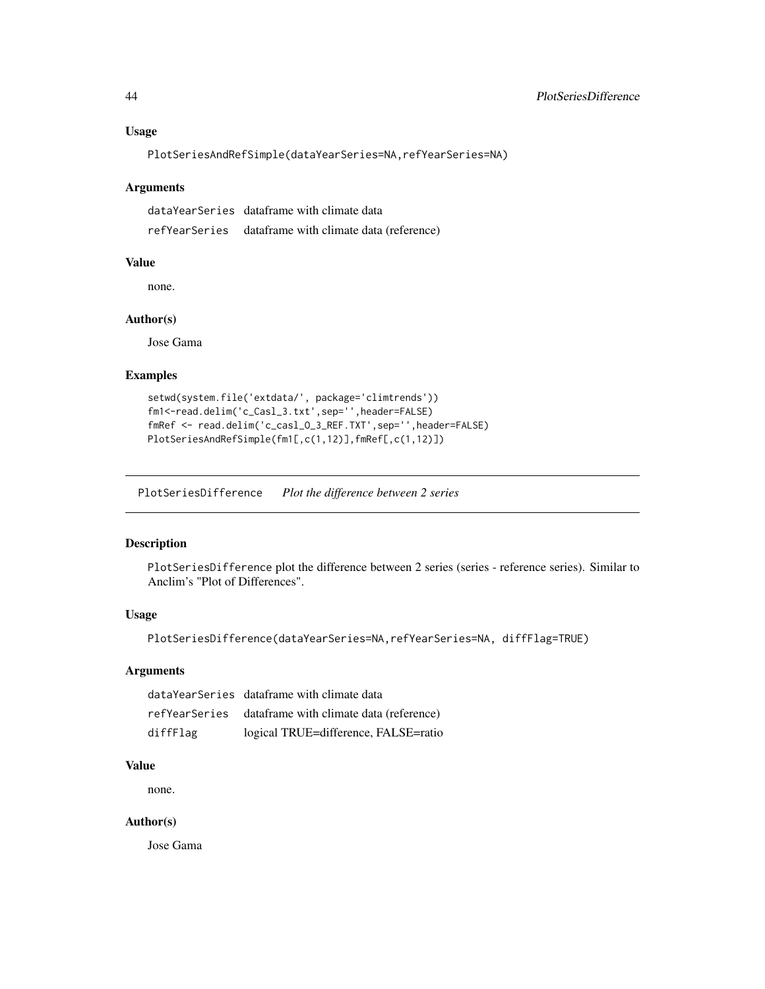## Usage

PlotSeriesAndRefSimple(dataYearSeries=NA,refYearSeries=NA)

#### Arguments

dataYearSeries dataframe with climate data refYearSeries dataframe with climate data (reference)

## Value

none.

#### Author(s)

Jose Gama

## Examples

```
setwd(system.file('extdata/', package='climtrends'))
fm1<-read.delim('c_Casl_3.txt',sep='',header=FALSE)
fmRef <- read.delim('c_casl_O_3_REF.TXT',sep='',header=FALSE)
PlotSeriesAndRefSimple(fm1[,c(1,12)],fmRef[,c(1,12)])
```
PlotSeriesDifference *Plot the difference between 2 series*

## Description

PlotSeriesDifference plot the difference between 2 series (series - reference series). Similar to Anclim's "Plot of Differences".

# Usage

PlotSeriesDifference(dataYearSeries=NA,refYearSeries=NA, diffFlag=TRUE)

#### Arguments

|          | dataYearSeries dataframe with climate data            |
|----------|-------------------------------------------------------|
|          | refYearSeries dataframe with climate data (reference) |
| diffFlag | logical TRUE=difference, FALSE=ratio                  |

# Value

none.

#### Author(s)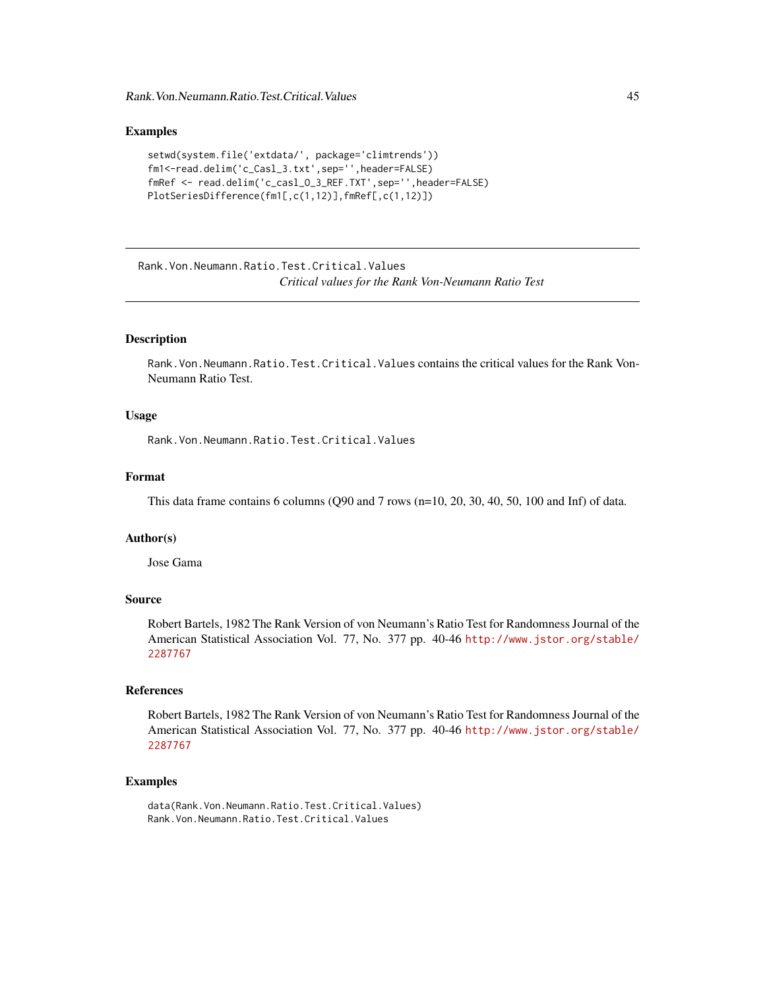## Examples

```
setwd(system.file('extdata/', package='climtrends'))
fm1<-read.delim('c_Casl_3.txt',sep='',header=FALSE)
fmRef <- read.delim('c_casl_O_3_REF.TXT',sep='',header=FALSE)
PlotSeriesDifference(fm1[,c(1,12)],fmRef[,c(1,12)])
```
Rank.Von.Neumann.Ratio.Test.Critical.Values *Critical values for the Rank Von-Neumann Ratio Test*

## Description

Rank.Von.Neumann.Ratio.Test.Critical.Values contains the critical values for the Rank Von-Neumann Ratio Test.

## Usage

Rank.Von.Neumann.Ratio.Test.Critical.Values

## Format

This data frame contains 6 columns (Q90 and 7 rows (n=10, 20, 30, 40, 50, 100 and Inf) of data.

#### Author(s)

Jose Gama

#### Source

Robert Bartels, 1982 The Rank Version of von Neumann's Ratio Test for Randomness Journal of the American Statistical Association Vol. 77, No. 377 pp. 40-46 [http://www.jstor.org/stable/](http://www.jstor.org/stable/2287767) [2287767](http://www.jstor.org/stable/2287767)

# References

Robert Bartels, 1982 The Rank Version of von Neumann's Ratio Test for Randomness Journal of the American Statistical Association Vol. 77, No. 377 pp. 40-46 [http://www.jstor.org/stable/](http://www.jstor.org/stable/2287767) [2287767](http://www.jstor.org/stable/2287767)

## Examples

data(Rank.Von.Neumann.Ratio.Test.Critical.Values) Rank.Von.Neumann.Ratio.Test.Critical.Values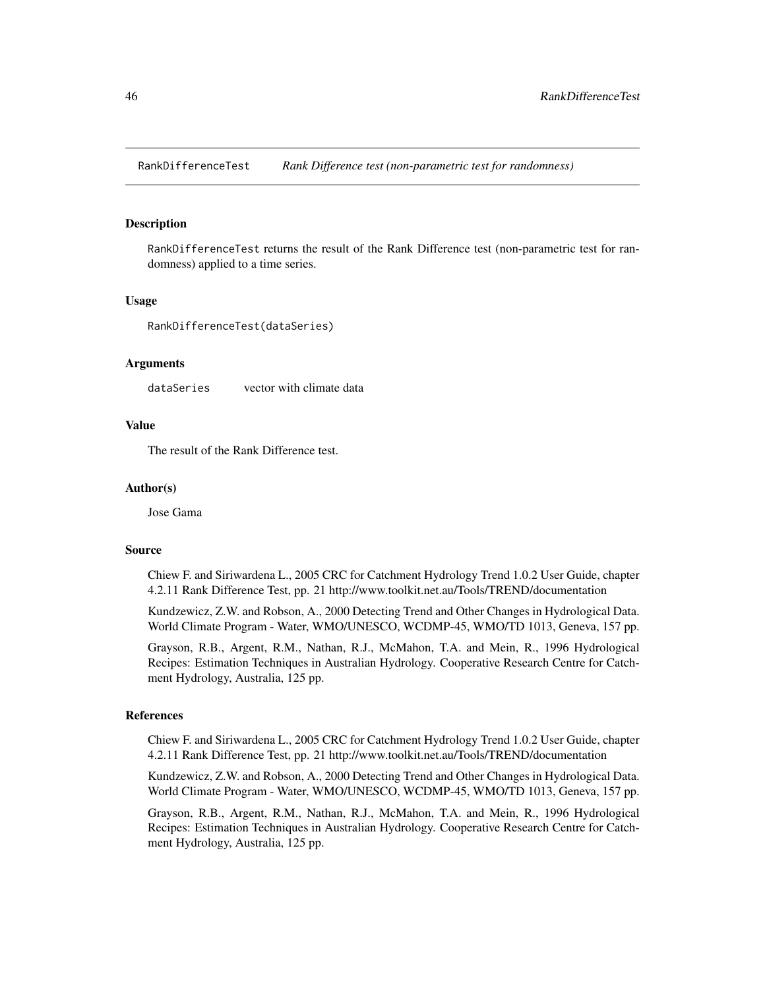RankDifferenceTest *Rank Difference test (non-parametric test for randomness)*

## **Description**

RankDifferenceTest returns the result of the Rank Difference test (non-parametric test for randomness) applied to a time series.

# Usage

RankDifferenceTest(dataSeries)

## Arguments

dataSeries vector with climate data

# Value

The result of the Rank Difference test.

#### Author(s)

Jose Gama

#### Source

Chiew F. and Siriwardena L., 2005 CRC for Catchment Hydrology Trend 1.0.2 User Guide, chapter 4.2.11 Rank Difference Test, pp. 21 http://www.toolkit.net.au/Tools/TREND/documentation

Kundzewicz, Z.W. and Robson, A., 2000 Detecting Trend and Other Changes in Hydrological Data. World Climate Program - Water, WMO/UNESCO, WCDMP-45, WMO/TD 1013, Geneva, 157 pp.

Grayson, R.B., Argent, R.M., Nathan, R.J., McMahon, T.A. and Mein, R., 1996 Hydrological Recipes: Estimation Techniques in Australian Hydrology. Cooperative Research Centre for Catchment Hydrology, Australia, 125 pp.

#### References

Chiew F. and Siriwardena L., 2005 CRC for Catchment Hydrology Trend 1.0.2 User Guide, chapter 4.2.11 Rank Difference Test, pp. 21 http://www.toolkit.net.au/Tools/TREND/documentation

Kundzewicz, Z.W. and Robson, A., 2000 Detecting Trend and Other Changes in Hydrological Data. World Climate Program - Water, WMO/UNESCO, WCDMP-45, WMO/TD 1013, Geneva, 157 pp.

Grayson, R.B., Argent, R.M., Nathan, R.J., McMahon, T.A. and Mein, R., 1996 Hydrological Recipes: Estimation Techniques in Australian Hydrology. Cooperative Research Centre for Catchment Hydrology, Australia, 125 pp.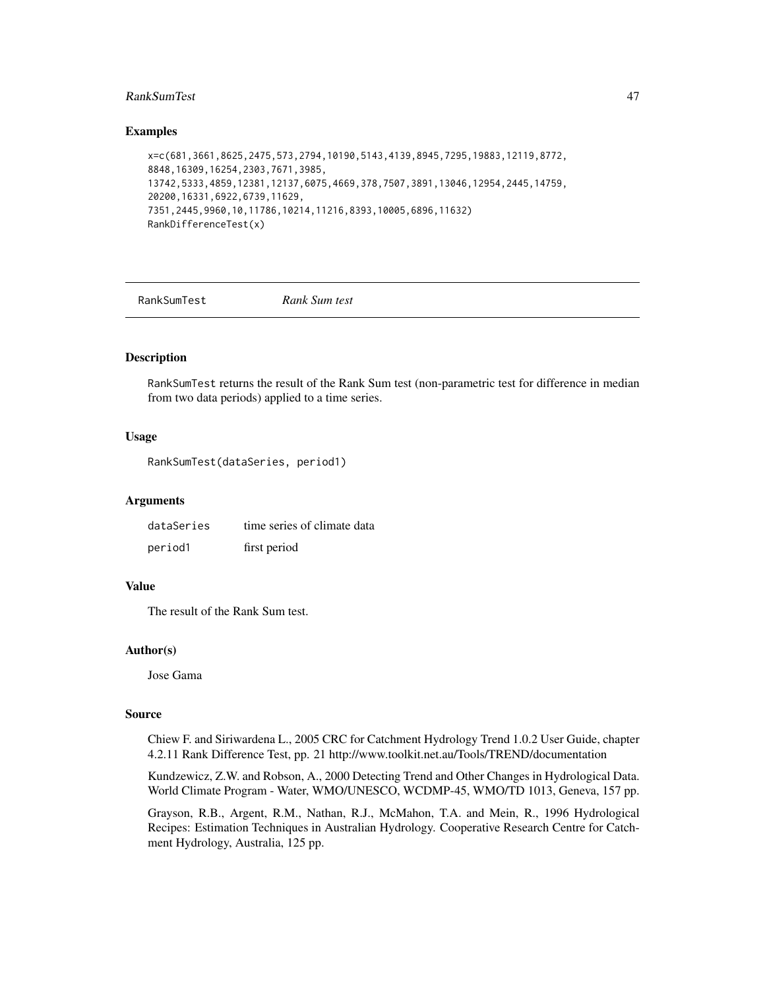# RankSumTest 47

#### Examples

```
x=c(681,3661,8625,2475,573,2794,10190,5143,4139,8945,7295,19883,12119,8772,
8848,16309,16254,2303,7671,3985,
13742,5333,4859,12381,12137,6075,4669,378,7507,3891,13046,12954,2445,14759,
20200,16331,6922,6739,11629,
7351,2445,9960,10,11786,10214,11216,8393,10005,6896,11632)
RankDifferenceTest(x)
```
RankSumTest *Rank Sum test*

# Description

RankSumTest returns the result of the Rank Sum test (non-parametric test for difference in median from two data periods) applied to a time series.

## Usage

RankSumTest(dataSeries, period1)

#### Arguments

| dataSeries | time series of climate data |
|------------|-----------------------------|
| period1    | first period                |

## Value

The result of the Rank Sum test.

#### Author(s)

Jose Gama

#### Source

Chiew F. and Siriwardena L., 2005 CRC for Catchment Hydrology Trend 1.0.2 User Guide, chapter 4.2.11 Rank Difference Test, pp. 21 http://www.toolkit.net.au/Tools/TREND/documentation

Kundzewicz, Z.W. and Robson, A., 2000 Detecting Trend and Other Changes in Hydrological Data. World Climate Program - Water, WMO/UNESCO, WCDMP-45, WMO/TD 1013, Geneva, 157 pp.

Grayson, R.B., Argent, R.M., Nathan, R.J., McMahon, T.A. and Mein, R., 1996 Hydrological Recipes: Estimation Techniques in Australian Hydrology. Cooperative Research Centre for Catchment Hydrology, Australia, 125 pp.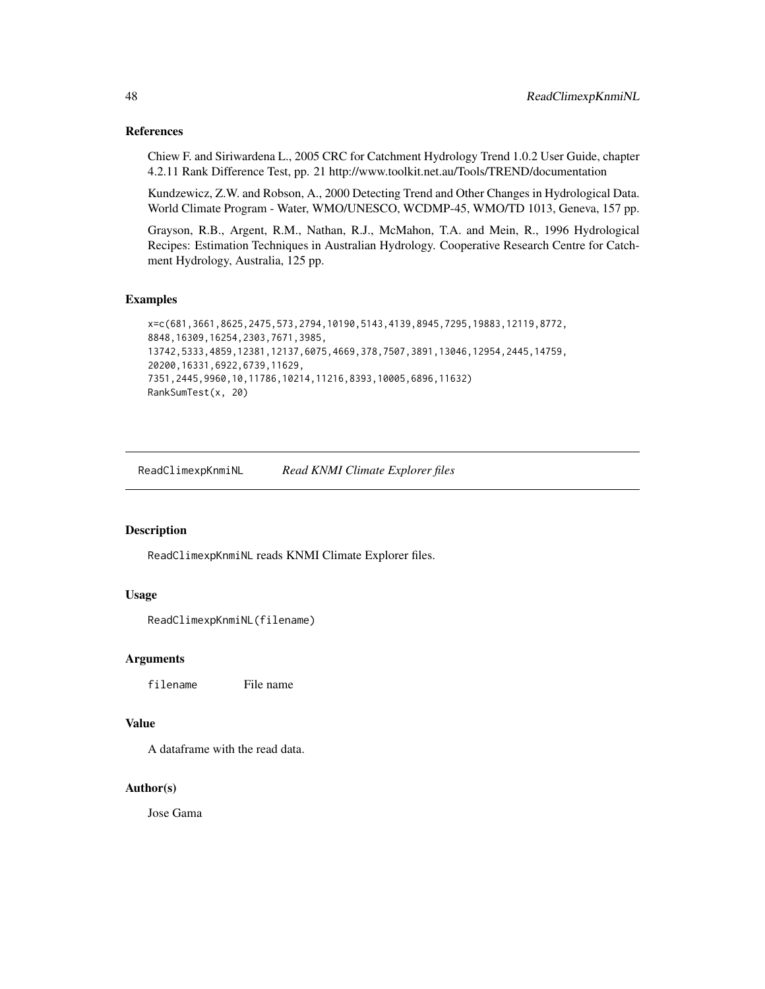#### References

Chiew F. and Siriwardena L., 2005 CRC for Catchment Hydrology Trend 1.0.2 User Guide, chapter 4.2.11 Rank Difference Test, pp. 21 http://www.toolkit.net.au/Tools/TREND/documentation

Kundzewicz, Z.W. and Robson, A., 2000 Detecting Trend and Other Changes in Hydrological Data. World Climate Program - Water, WMO/UNESCO, WCDMP-45, WMO/TD 1013, Geneva, 157 pp.

Grayson, R.B., Argent, R.M., Nathan, R.J., McMahon, T.A. and Mein, R., 1996 Hydrological Recipes: Estimation Techniques in Australian Hydrology. Cooperative Research Centre for Catchment Hydrology, Australia, 125 pp.

## Examples

```
x=c(681,3661,8625,2475,573,2794,10190,5143,4139,8945,7295,19883,12119,8772,
8848,16309,16254,2303,7671,3985,
13742,5333,4859,12381,12137,6075,4669,378,7507,3891,13046,12954,2445,14759,
20200,16331,6922,6739,11629,
7351,2445,9960,10,11786,10214,11216,8393,10005,6896,11632)
RankSumTest(x, 20)
```
ReadClimexpKnmiNL *Read KNMI Climate Explorer files*

## Description

ReadClimexpKnmiNL reads KNMI Climate Explorer files.

## Usage

ReadClimexpKnmiNL(filename)

#### Arguments

filename File name

# Value

A dataframe with the read data.

#### Author(s)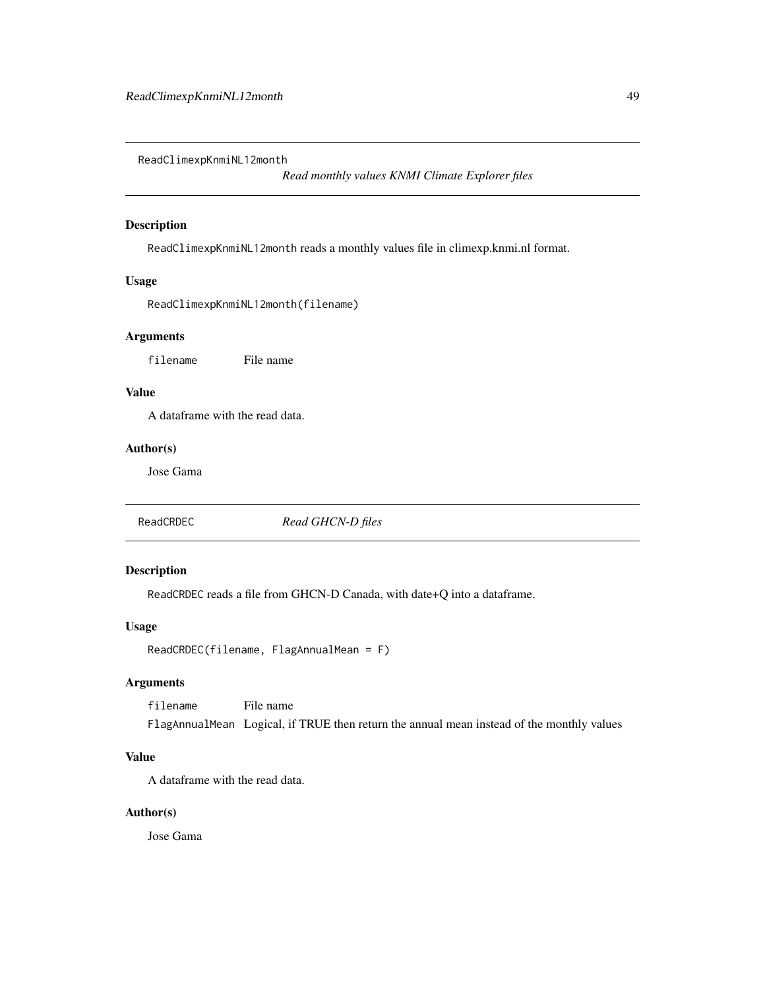ReadClimexpKnmiNL12month

*Read monthly values KNMI Climate Explorer files*

# Description

ReadClimexpKnmiNL12month reads a monthly values file in climexp.knmi.nl format.

# Usage

```
ReadClimexpKnmiNL12month(filename)
```
# Arguments

filename File name

## Value

A dataframe with the read data.

# Author(s)

Jose Gama

ReadCRDEC *Read GHCN-D files*

# Description

ReadCRDEC reads a file from GHCN-D Canada, with date+Q into a dataframe.

## Usage

```
ReadCRDEC(filename, FlagAnnualMean = F)
```
# Arguments

filename File name FlagAnnualMean Logical, if TRUE then return the annual mean instead of the monthly values

## Value

A dataframe with the read data.

## Author(s)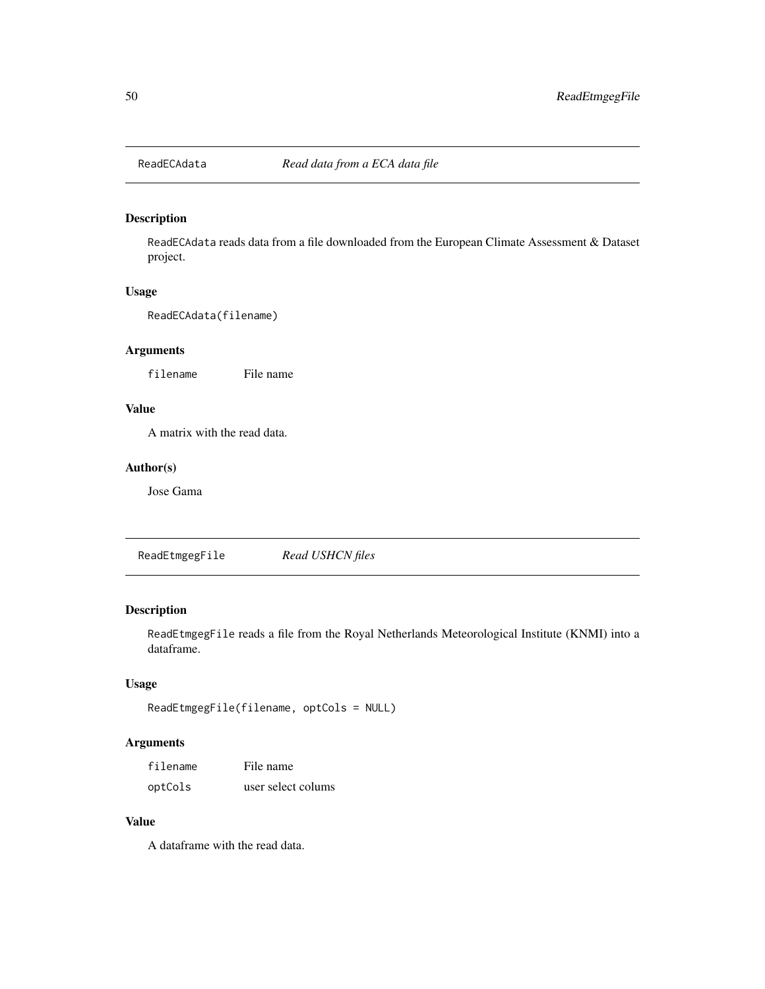# Description

ReadECAdata reads data from a file downloaded from the European Climate Assessment & Dataset project.

# Usage

ReadECAdata(filename)

# Arguments

filename File name

## Value

A matrix with the read data.

## Author(s)

Jose Gama

ReadEtmgegFile *Read USHCN files*

# Description

ReadEtmgegFile reads a file from the Royal Netherlands Meteorological Institute (KNMI) into a dataframe.

# Usage

```
ReadEtmgegFile(filename, optCols = NULL)
```
# Arguments

| filename | File name          |
|----------|--------------------|
| optCols  | user select colums |

#### Value

A dataframe with the read data.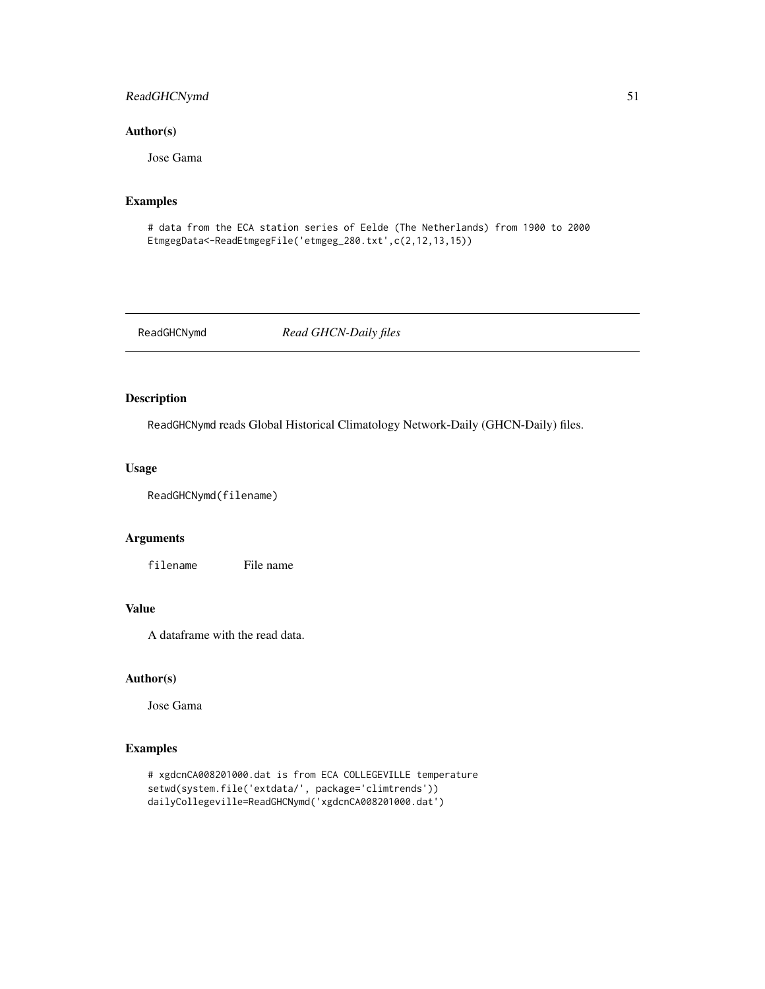# ReadGHCNymd 51

## Author(s)

Jose Gama

## Examples

```
# data from the ECA station series of Eelde (The Netherlands) from 1900 to 2000
EtmgegData<-ReadEtmgegFile('etmgeg_280.txt',c(2,12,13,15))
```
ReadGHCNymd *Read GHCN-Daily files*

# Description

ReadGHCNymd reads Global Historical Climatology Network-Daily (GHCN-Daily) files.

# Usage

ReadGHCNymd(filename)

## Arguments

filename File name

# Value

A dataframe with the read data.

## Author(s)

Jose Gama

# Examples

```
# xgdcnCA008201000.dat is from ECA COLLEGEVILLE temperature
setwd(system.file('extdata/', package='climtrends'))
dailyCollegeville=ReadGHCNymd('xgdcnCA008201000.dat')
```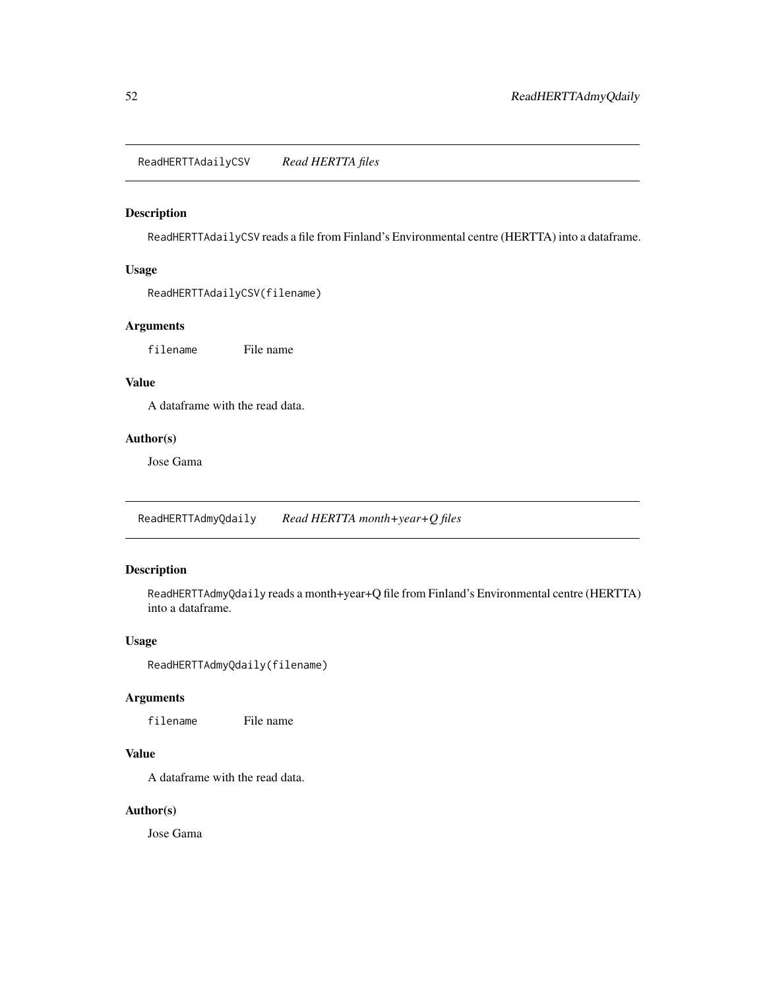ReadHERTTAdailyCSV *Read HERTTA files*

# Description

ReadHERTTAdailyCSV reads a file from Finland's Environmental centre (HERTTA) into a dataframe.

## Usage

ReadHERTTAdailyCSV(filename)

# Arguments

filename File name

# Value

A dataframe with the read data.

# Author(s)

Jose Gama

ReadHERTTAdmyQdaily *Read HERTTA month+year+Q files*

# Description

ReadHERTTAdmyQdaily reads a month+year+Q file from Finland's Environmental centre (HERTTA) into a dataframe.

# Usage

```
ReadHERTTAdmyQdaily(filename)
```
## Arguments

filename File name

# Value

A dataframe with the read data.

# Author(s)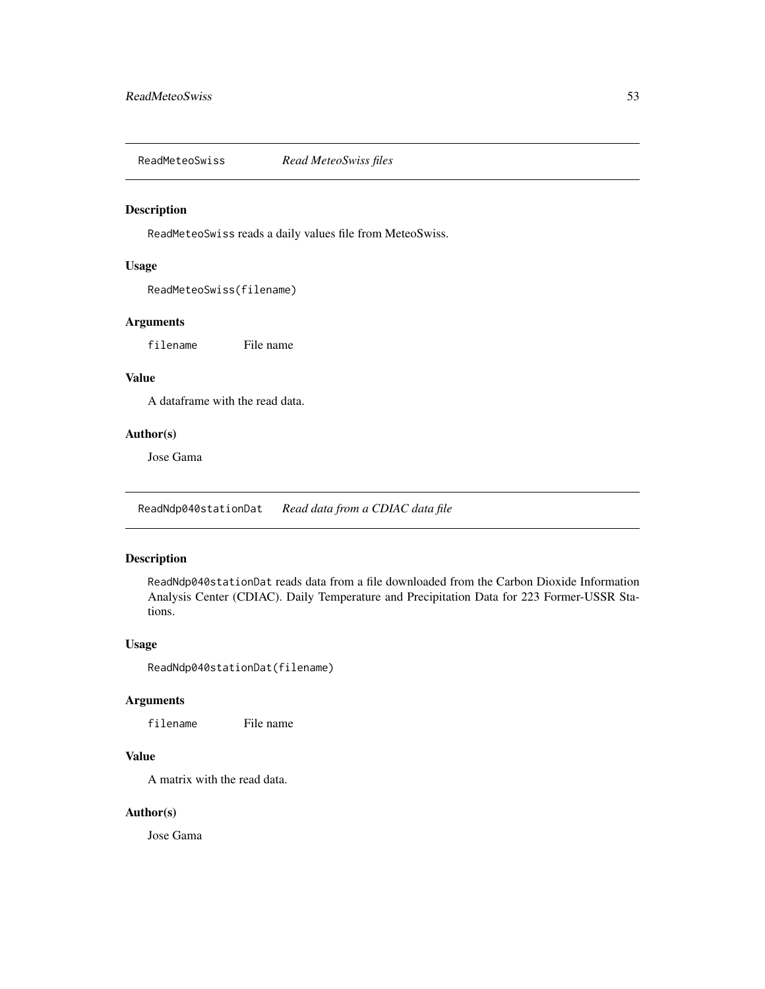ReadMeteoSwiss *Read MeteoSwiss files*

#### Description

ReadMeteoSwiss reads a daily values file from MeteoSwiss.

#### Usage

ReadMeteoSwiss(filename)

## Arguments

filename File name

# Value

A dataframe with the read data.

## Author(s)

Jose Gama

ReadNdp040stationDat *Read data from a CDIAC data file*

## Description

ReadNdp040stationDat reads data from a file downloaded from the Carbon Dioxide Information Analysis Center (CDIAC). Daily Temperature and Precipitation Data for 223 Former-USSR Stations.

# Usage

ReadNdp040stationDat(filename)

## Arguments

filename File name

# Value

A matrix with the read data.

## Author(s)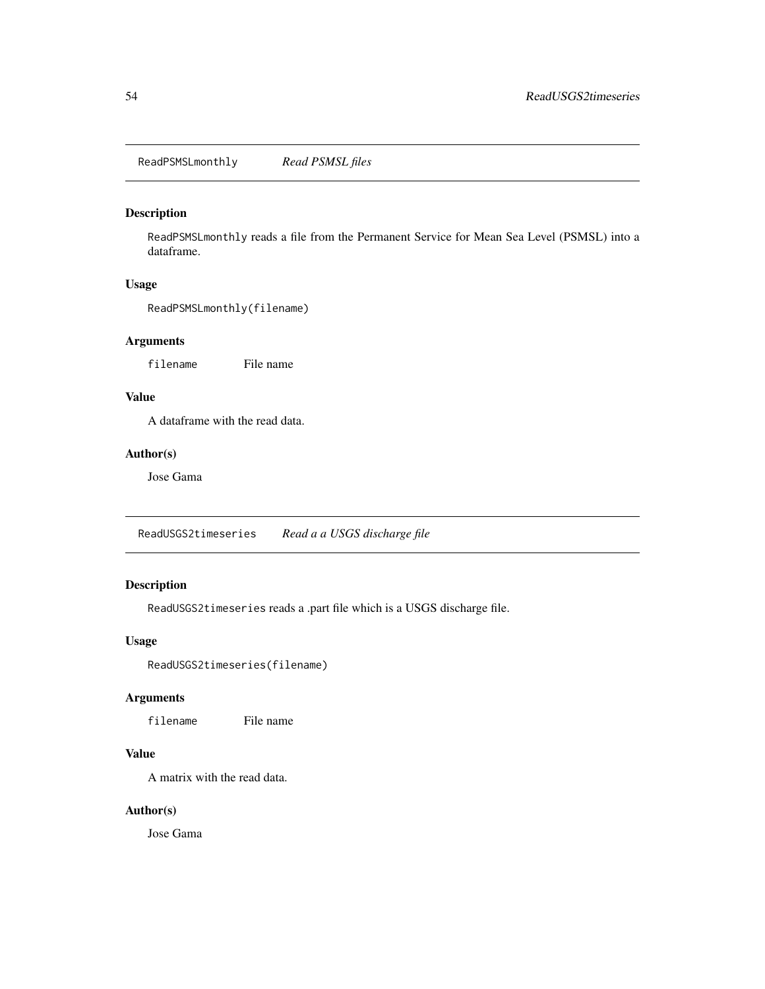ReadPSMSLmonthly *Read PSMSL files*

# Description

ReadPSMSLmonthly reads a file from the Permanent Service for Mean Sea Level (PSMSL) into a dataframe.

# Usage

ReadPSMSLmonthly(filename)

## Arguments

filename File name

## Value

A dataframe with the read data.

# Author(s)

Jose Gama

ReadUSGS2timeseries *Read a a USGS discharge file*

# Description

ReadUSGS2timeseries reads a .part file which is a USGS discharge file.

## Usage

ReadUSGS2timeseries(filename)

## Arguments

filename File name

## Value

A matrix with the read data.

## Author(s)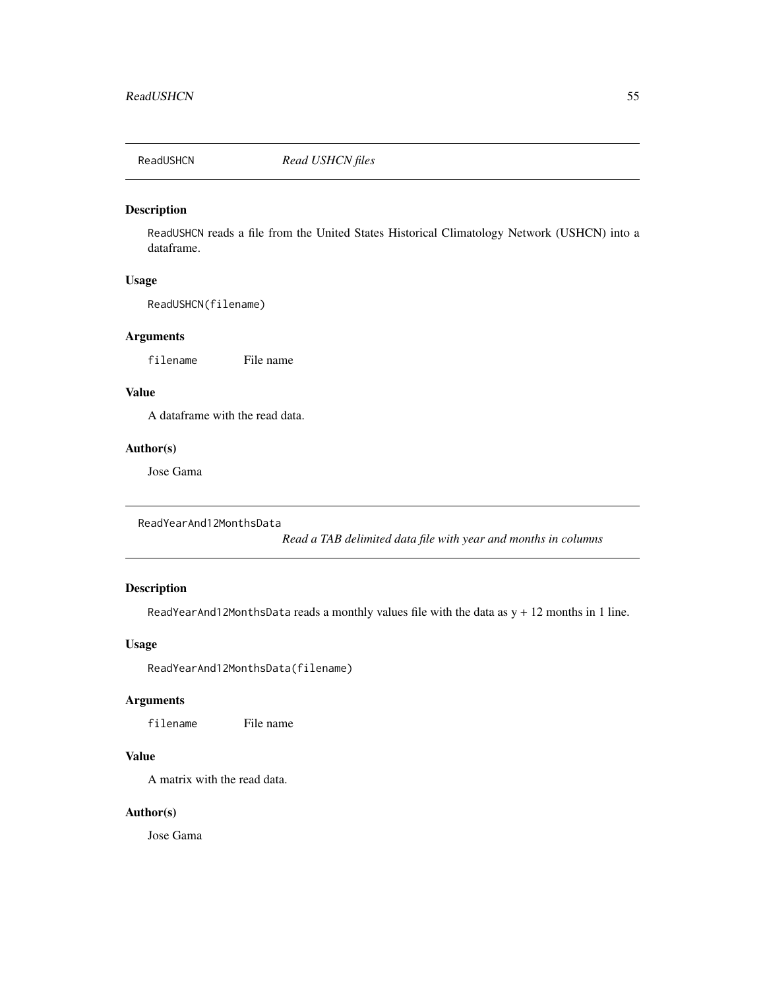# Description

ReadUSHCN reads a file from the United States Historical Climatology Network (USHCN) into a dataframe.

# Usage

ReadUSHCN(filename)

# Arguments

filename File name

## Value

A dataframe with the read data.

# Author(s)

Jose Gama

```
ReadYearAnd12MonthsData
```
*Read a TAB delimited data file with year and months in columns*

# Description

ReadYearAnd12MonthsData reads a monthly values file with the data as  $y + 12$  months in 1 line.

# Usage

ReadYearAnd12MonthsData(filename)

# Arguments

filename File name

# Value

A matrix with the read data.

## Author(s)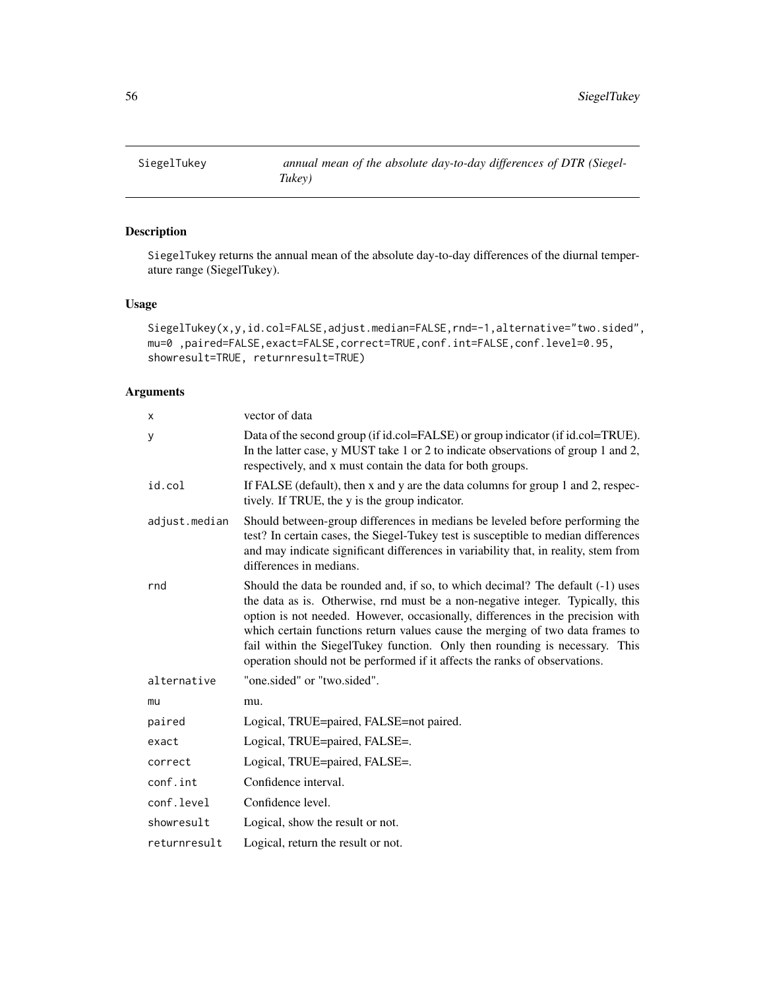# Description

SiegelTukey returns the annual mean of the absolute day-to-day differences of the diurnal temperature range (SiegelTukey).

## Usage

```
SiegelTukey(x,y,id.col=FALSE,adjust.median=FALSE,rnd=-1,alternative="two.sided",
mu=0 ,paired=FALSE,exact=FALSE,correct=TRUE,conf.int=FALSE,conf.level=0.95,
showresult=TRUE, returnresult=TRUE)
```
# Arguments

| X             | vector of data                                                                                                                                                                                                                                                                                                                                                                                                                                                                                   |
|---------------|--------------------------------------------------------------------------------------------------------------------------------------------------------------------------------------------------------------------------------------------------------------------------------------------------------------------------------------------------------------------------------------------------------------------------------------------------------------------------------------------------|
| у             | Data of the second group (if id.col=FALSE) or group indicator (if id.col=TRUE).<br>In the latter case, y MUST take 1 or 2 to indicate observations of group 1 and 2,<br>respectively, and x must contain the data for both groups.                                                                                                                                                                                                                                                               |
| id.col        | If FALSE (default), then x and y are the data columns for group 1 and 2, respec-<br>tively. If TRUE, the y is the group indicator.                                                                                                                                                                                                                                                                                                                                                               |
| adjust.median | Should between-group differences in medians be leveled before performing the<br>test? In certain cases, the Siegel-Tukey test is susceptible to median differences<br>and may indicate significant differences in variability that, in reality, stem from<br>differences in medians.                                                                                                                                                                                                             |
| rnd           | Should the data be rounded and, if so, to which decimal? The default (-1) uses<br>the data as is. Otherwise, rnd must be a non-negative integer. Typically, this<br>option is not needed. However, occasionally, differences in the precision with<br>which certain functions return values cause the merging of two data frames to<br>fail within the SiegelTukey function. Only then rounding is necessary. This<br>operation should not be performed if it affects the ranks of observations. |
| alternative   | "one.sided" or "two.sided".                                                                                                                                                                                                                                                                                                                                                                                                                                                                      |
| mu            | mu.                                                                                                                                                                                                                                                                                                                                                                                                                                                                                              |
| paired        | Logical, TRUE=paired, FALSE=not paired.                                                                                                                                                                                                                                                                                                                                                                                                                                                          |
| exact         | Logical, TRUE=paired, FALSE=.                                                                                                                                                                                                                                                                                                                                                                                                                                                                    |
| correct       | Logical, TRUE=paired, FALSE=.                                                                                                                                                                                                                                                                                                                                                                                                                                                                    |
| conf.int      | Confidence interval.                                                                                                                                                                                                                                                                                                                                                                                                                                                                             |
| conf.level    | Confidence level.                                                                                                                                                                                                                                                                                                                                                                                                                                                                                |
| showresult    | Logical, show the result or not.                                                                                                                                                                                                                                                                                                                                                                                                                                                                 |
| returnresult  | Logical, return the result or not.                                                                                                                                                                                                                                                                                                                                                                                                                                                               |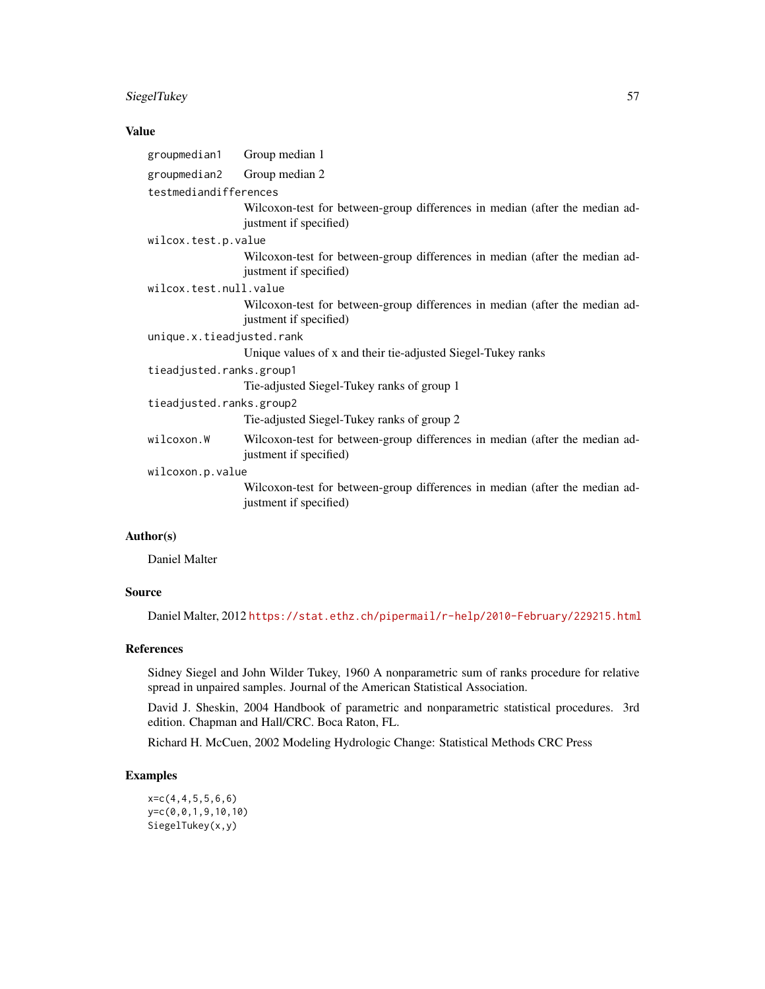# SiegelTukey 57

# Value

| groupmedian1              | Group median 1                                                                                        |  |
|---------------------------|-------------------------------------------------------------------------------------------------------|--|
| groupmedian2              | Group median 2                                                                                        |  |
| testmediandifferences     |                                                                                                       |  |
|                           | Wilcoxon-test for between-group differences in median (after the median ad-<br>justment if specified) |  |
| wilcox.test.p.value       |                                                                                                       |  |
|                           | Wilcoxon-test for between-group differences in median (after the median ad-<br>justment if specified) |  |
| wilcox.test.null.value    |                                                                                                       |  |
|                           | Wilcoxon-test for between-group differences in median (after the median ad-<br>justment if specified) |  |
| unique.x.tieadjusted.rank |                                                                                                       |  |
|                           | Unique values of x and their tie-adjusted Siegel-Tukey ranks                                          |  |
| tieadjusted.ranks.group1  |                                                                                                       |  |
|                           | Tie-adjusted Siegel-Tukey ranks of group 1                                                            |  |
| tieadjusted.ranks.group2  |                                                                                                       |  |
|                           | Tie-adjusted Siegel-Tukey ranks of group 2                                                            |  |
| wilcoxon.W                | Wilcoxon-test for between-group differences in median (after the median ad-<br>justment if specified) |  |
| wilcoxon.p.value          |                                                                                                       |  |
|                           | Wilcoxon-test for between-group differences in median (after the median ad-<br>justment if specified) |  |
|                           |                                                                                                       |  |

# Author(s)

Daniel Malter

# Source

Daniel Malter, 2012 <https://stat.ethz.ch/pipermail/r-help/2010-February/229215.html>

#### References

Sidney Siegel and John Wilder Tukey, 1960 A nonparametric sum of ranks procedure for relative spread in unpaired samples. Journal of the American Statistical Association.

David J. Sheskin, 2004 Handbook of parametric and nonparametric statistical procedures. 3rd edition. Chapman and Hall/CRC. Boca Raton, FL.

Richard H. McCuen, 2002 Modeling Hydrologic Change: Statistical Methods CRC Press

# Examples

x=c(4,4,5,5,6,6) y=c(0,0,1,9,10,10) SiegelTukey(x,y)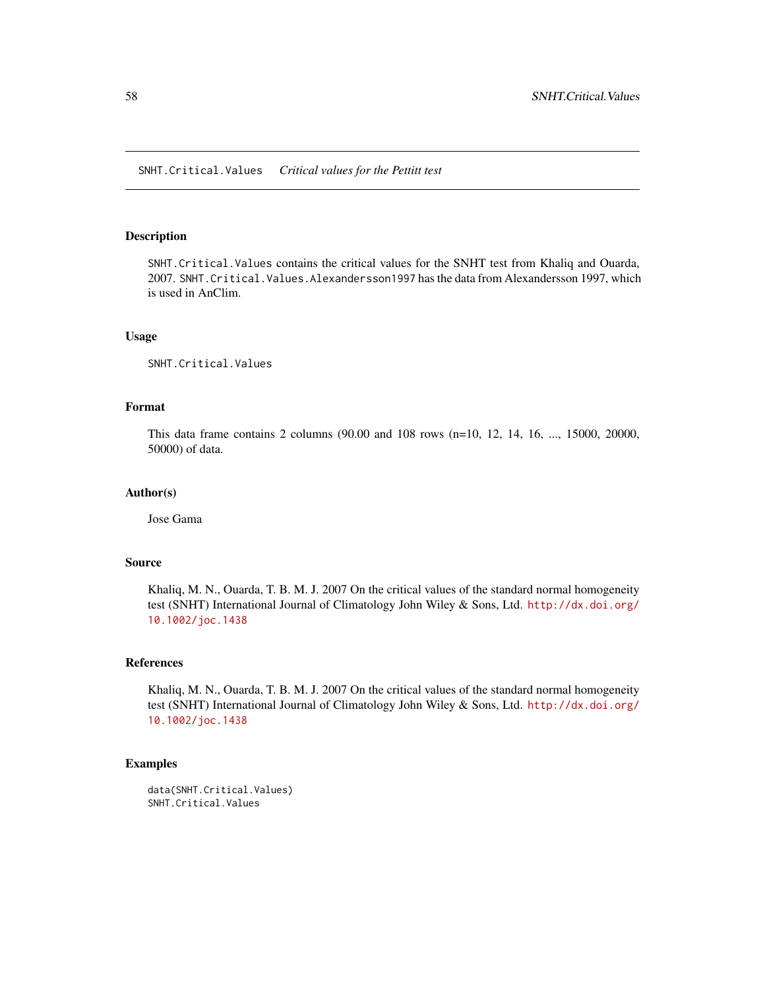## Description

SNHT.Critical.Values contains the critical values for the SNHT test from Khaliq and Ouarda, 2007. SNHT.Critical.Values.Alexandersson1997 has the data from Alexandersson 1997, which is used in AnClim.

# Usage

SNHT.Critical.Values

## Format

This data frame contains 2 columns (90.00 and 108 rows (n=10, 12, 14, 16, ..., 15000, 20000, 50000) of data.

#### Author(s)

Jose Gama

# Source

Khaliq, M. N., Ouarda, T. B. M. J. 2007 On the critical values of the standard normal homogeneity test (SNHT) International Journal of Climatology John Wiley & Sons, Ltd. [http://dx.doi.org/](http://dx.doi.org/10.1002/joc.1438) [10.1002/joc.1438](http://dx.doi.org/10.1002/joc.1438)

#### References

Khaliq, M. N., Ouarda, T. B. M. J. 2007 On the critical values of the standard normal homogeneity test (SNHT) International Journal of Climatology John Wiley & Sons, Ltd. [http://dx.doi.org/](http://dx.doi.org/10.1002/joc.1438) [10.1002/joc.1438](http://dx.doi.org/10.1002/joc.1438)

#### Examples

```
data(SNHT.Critical.Values)
SNHT.Critical.Values
```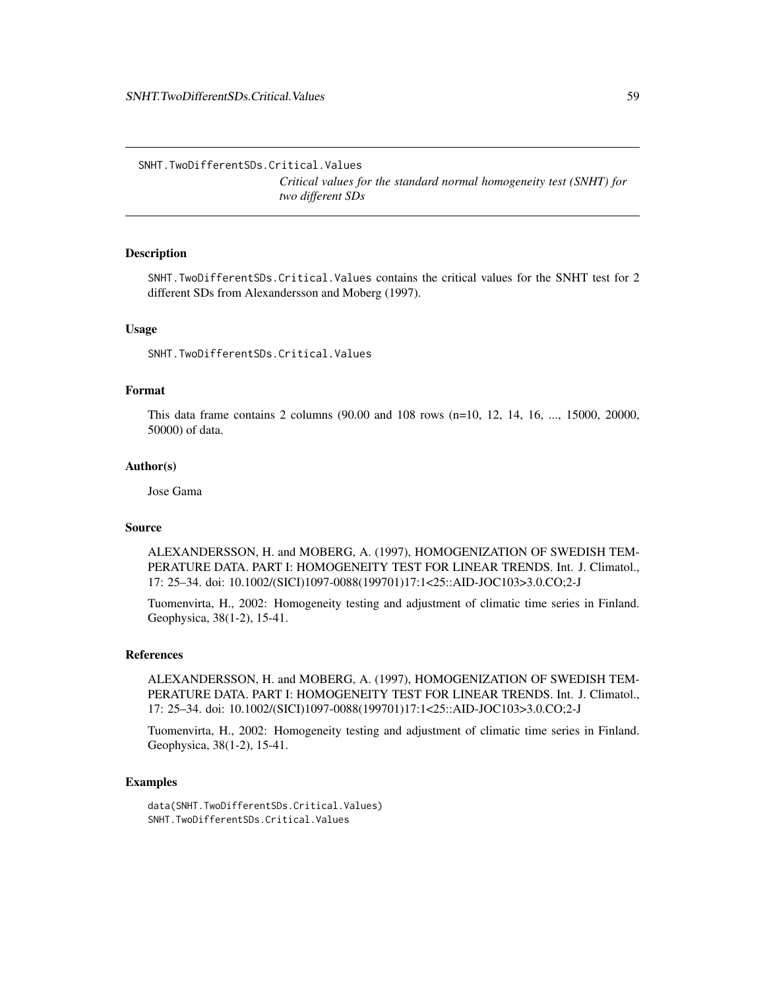SNHT.TwoDifferentSDs.Critical.Values *Critical values for the standard normal homogeneity test (SNHT) for two different SDs*

# Description

SNHT.TwoDifferentSDs.Critical.Values contains the critical values for the SNHT test for 2 different SDs from Alexandersson and Moberg (1997).

## Usage

SNHT.TwoDifferentSDs.Critical.Values

## Format

This data frame contains 2 columns (90.00 and 108 rows (n=10, 12, 14, 16, ..., 15000, 20000, 50000) of data.

#### Author(s)

Jose Gama

# Source

ALEXANDERSSON, H. and MOBERG, A. (1997), HOMOGENIZATION OF SWEDISH TEM-PERATURE DATA. PART I: HOMOGENEITY TEST FOR LINEAR TRENDS. Int. J. Climatol., 17: 25–34. doi: 10.1002/(SICI)1097-0088(199701)17:1<25::AID-JOC103>3.0.CO;2-J

Tuomenvirta, H., 2002: Homogeneity testing and adjustment of climatic time series in Finland. Geophysica, 38(1-2), 15-41.

## References

ALEXANDERSSON, H. and MOBERG, A. (1997), HOMOGENIZATION OF SWEDISH TEM-PERATURE DATA. PART I: HOMOGENEITY TEST FOR LINEAR TRENDS. Int. J. Climatol., 17: 25–34. doi: 10.1002/(SICI)1097-0088(199701)17:1<25::AID-JOC103>3.0.CO;2-J

Tuomenvirta, H., 2002: Homogeneity testing and adjustment of climatic time series in Finland. Geophysica, 38(1-2), 15-41.

## Examples

data(SNHT.TwoDifferentSDs.Critical.Values) SNHT.TwoDifferentSDs.Critical.Values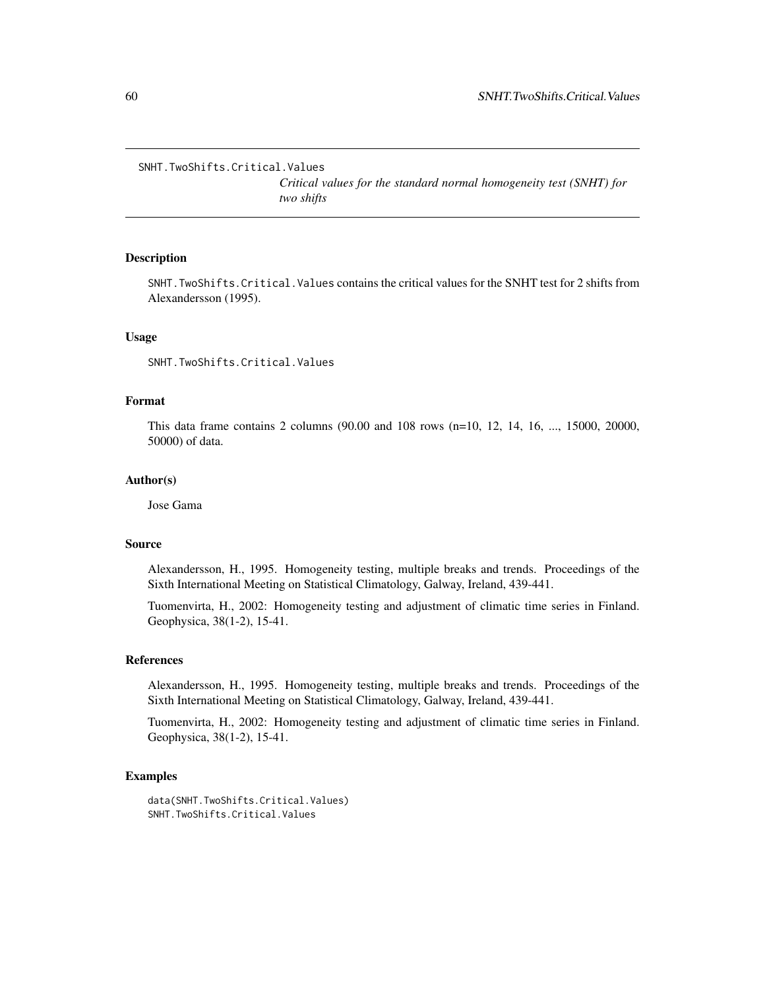SNHT.TwoShifts.Critical.Values

*Critical values for the standard normal homogeneity test (SNHT) for two shifts*

## Description

SNHT.TwoShifts.Critical.Values contains the critical values for the SNHT test for 2 shifts from Alexandersson (1995).

## Usage

SNHT.TwoShifts.Critical.Values

## Format

This data frame contains 2 columns (90.00 and 108 rows (n=10, 12, 14, 16, ..., 15000, 20000, 50000) of data.

#### Author(s)

Jose Gama

#### Source

Alexandersson, H., 1995. Homogeneity testing, multiple breaks and trends. Proceedings of the Sixth International Meeting on Statistical Climatology, Galway, Ireland, 439-441.

Tuomenvirta, H., 2002: Homogeneity testing and adjustment of climatic time series in Finland. Geophysica, 38(1-2), 15-41.

## References

Alexandersson, H., 1995. Homogeneity testing, multiple breaks and trends. Proceedings of the Sixth International Meeting on Statistical Climatology, Galway, Ireland, 439-441.

Tuomenvirta, H., 2002: Homogeneity testing and adjustment of climatic time series in Finland. Geophysica, 38(1-2), 15-41.

## Examples

data(SNHT.TwoShifts.Critical.Values) SNHT.TwoShifts.Critical.Values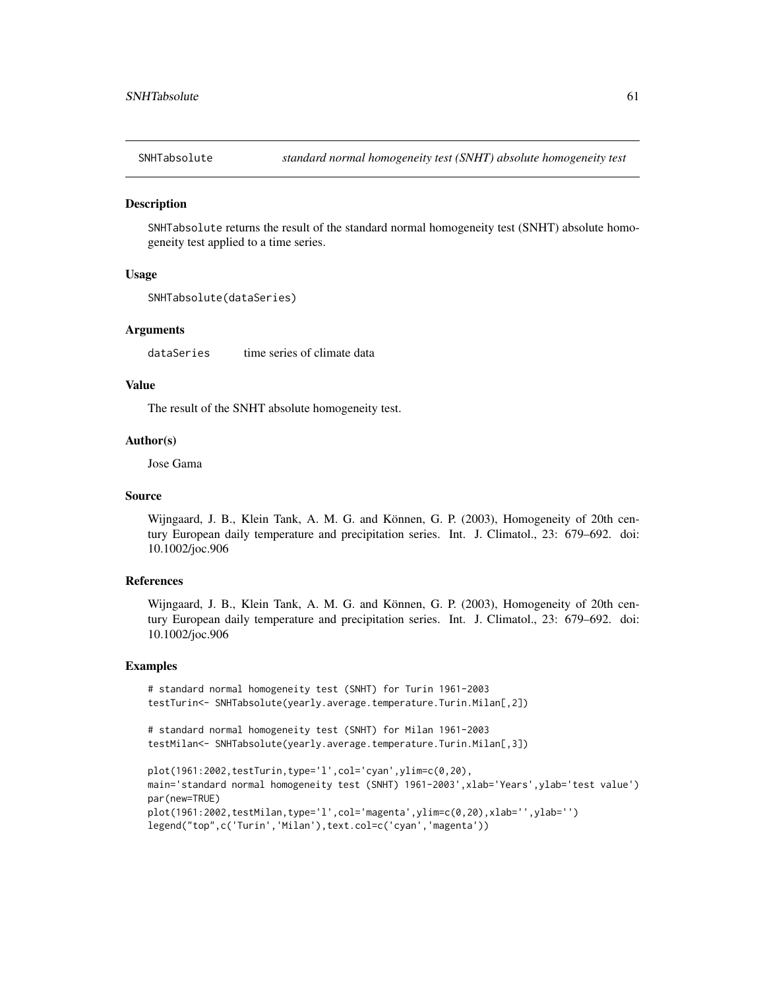#### **Description**

SNHTabsolute returns the result of the standard normal homogeneity test (SNHT) absolute homogeneity test applied to a time series.

# Usage

```
SNHTabsolute(dataSeries)
```
## Arguments

dataSeries time series of climate data

## Value

The result of the SNHT absolute homogeneity test.

#### Author(s)

Jose Gama

## Source

Wijngaard, J. B., Klein Tank, A. M. G. and Können, G. P. (2003), Homogeneity of 20th century European daily temperature and precipitation series. Int. J. Climatol., 23: 679–692. doi: 10.1002/joc.906

## References

Wijngaard, J. B., Klein Tank, A. M. G. and Können, G. P. (2003), Homogeneity of 20th century European daily temperature and precipitation series. Int. J. Climatol., 23: 679–692. doi: 10.1002/joc.906

# Examples

```
# standard normal homogeneity test (SNHT) for Turin 1961-2003
testTurin<- SNHTabsolute(yearly.average.temperature.Turin.Milan[,2])
```

```
# standard normal homogeneity test (SNHT) for Milan 1961-2003
testMilan<- SNHTabsolute(yearly.average.temperature.Turin.Milan[,3])
```

```
plot(1961:2002,testTurin,type='l',col='cyan',ylim=c(0,20),
main='standard normal homogeneity test (SNHT) 1961-2003',xlab='Years',ylab='test value')
par(new=TRUE)
plot(1961:2002,testMilan,type='l',col='magenta',ylim=c(0,20),xlab='',ylab='')
legend("top",c('Turin','Milan'),text.col=c('cyan','magenta'))
```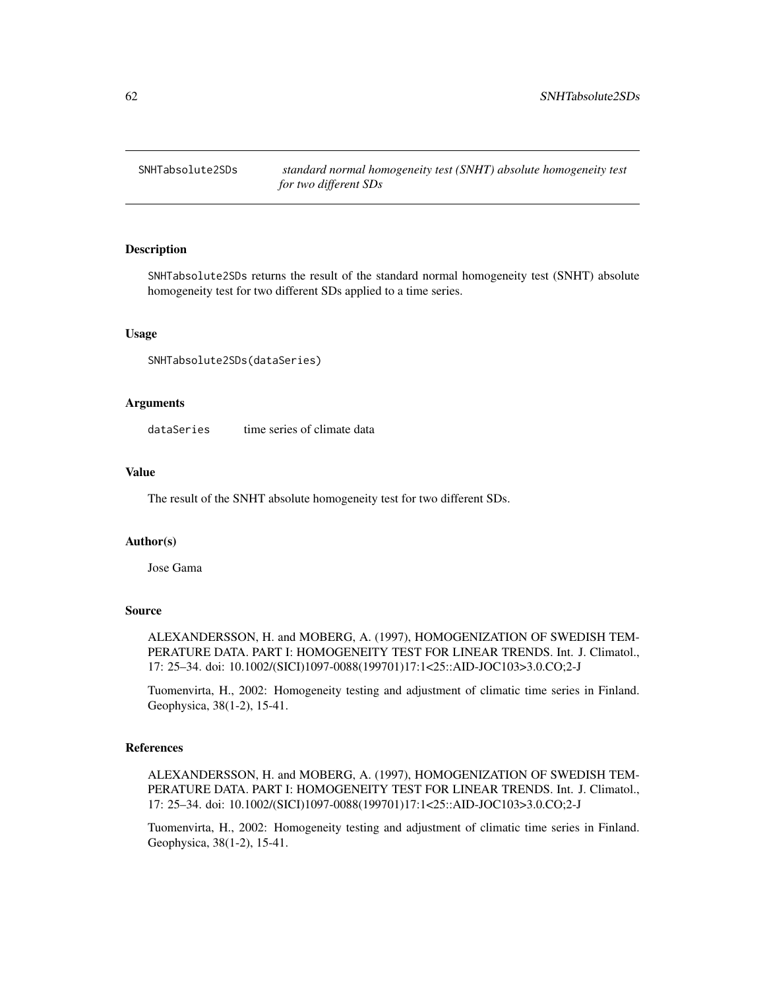## Description

SNHTabsolute2SDs returns the result of the standard normal homogeneity test (SNHT) absolute homogeneity test for two different SDs applied to a time series.

## Usage

SNHTabsolute2SDs(dataSeries)

## Arguments

dataSeries time series of climate data

#### Value

The result of the SNHT absolute homogeneity test for two different SDs.

#### Author(s)

Jose Gama

# Source

ALEXANDERSSON, H. and MOBERG, A. (1997), HOMOGENIZATION OF SWEDISH TEM-PERATURE DATA. PART I: HOMOGENEITY TEST FOR LINEAR TRENDS. Int. J. Climatol., 17: 25–34. doi: 10.1002/(SICI)1097-0088(199701)17:1<25::AID-JOC103>3.0.CO;2-J

Tuomenvirta, H., 2002: Homogeneity testing and adjustment of climatic time series in Finland. Geophysica, 38(1-2), 15-41.

#### References

ALEXANDERSSON, H. and MOBERG, A. (1997), HOMOGENIZATION OF SWEDISH TEM-PERATURE DATA. PART I: HOMOGENEITY TEST FOR LINEAR TRENDS. Int. J. Climatol., 17: 25–34. doi: 10.1002/(SICI)1097-0088(199701)17:1<25::AID-JOC103>3.0.CO;2-J

Tuomenvirta, H., 2002: Homogeneity testing and adjustment of climatic time series in Finland. Geophysica, 38(1-2), 15-41.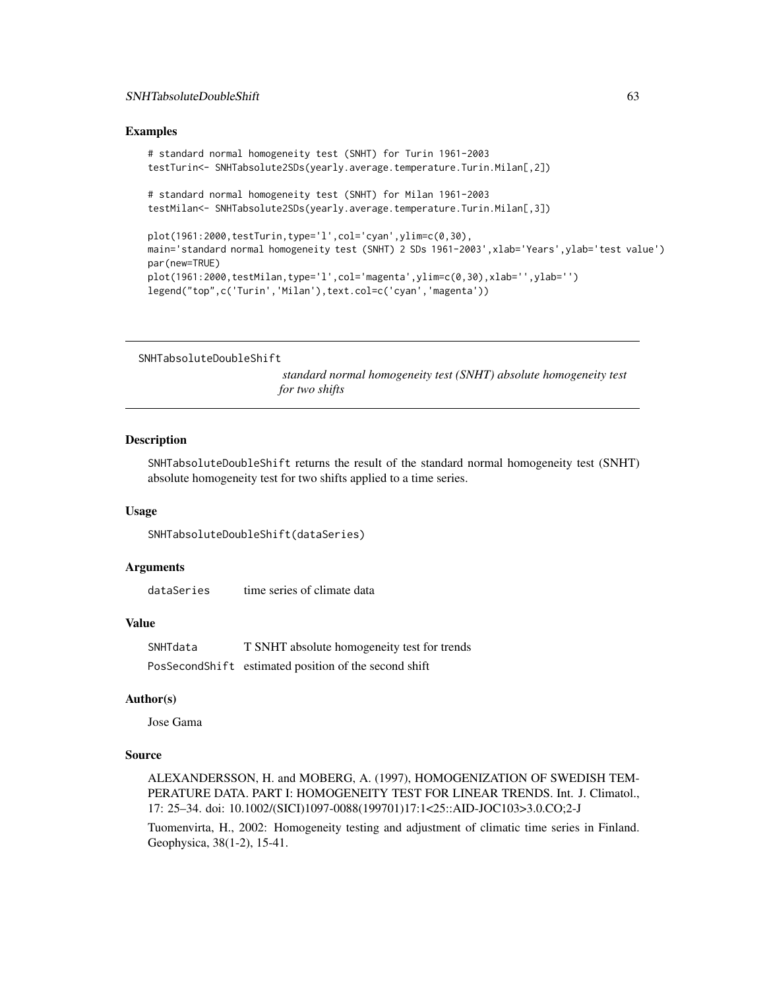#### Examples

```
# standard normal homogeneity test (SNHT) for Turin 1961-2003
testTurin<- SNHTabsolute2SDs(yearly.average.temperature.Turin.Milan[,2])
# standard normal homogeneity test (SNHT) for Milan 1961-2003
testMilan<- SNHTabsolute2SDs(yearly.average.temperature.Turin.Milan[,3])
plot(1961:2000,testTurin,type='l',col='cyan',ylim=c(0,30),
main='standard normal homogeneity test (SNHT) 2 SDs 1961-2003',xlab='Years',ylab='test value')
par(new=TRUE)
plot(1961:2000,testMilan,type='l',col='magenta',ylim=c(0,30),xlab='',ylab='')
legend("top",c('Turin','Milan'),text.col=c('cyan','magenta'))
```
SNHTabsoluteDoubleShift

*standard normal homogeneity test (SNHT) absolute homogeneity test for two shifts*

## Description

SNHTabsoluteDoubleShift returns the result of the standard normal homogeneity test (SNHT) absolute homogeneity test for two shifts applied to a time series.

## Usage

SNHTabsoluteDoubleShift(dataSeries)

## Arguments

dataSeries time series of climate data

#### Value

SNHTdata T SNHT absolute homogeneity test for trends PosSecondShift estimated position of the second shift

# Author(s)

Jose Gama

#### Source

ALEXANDERSSON, H. and MOBERG, A. (1997), HOMOGENIZATION OF SWEDISH TEM-PERATURE DATA. PART I: HOMOGENEITY TEST FOR LINEAR TRENDS. Int. J. Climatol., 17: 25–34. doi: 10.1002/(SICI)1097-0088(199701)17:1<25::AID-JOC103>3.0.CO;2-J

Tuomenvirta, H., 2002: Homogeneity testing and adjustment of climatic time series in Finland. Geophysica, 38(1-2), 15-41.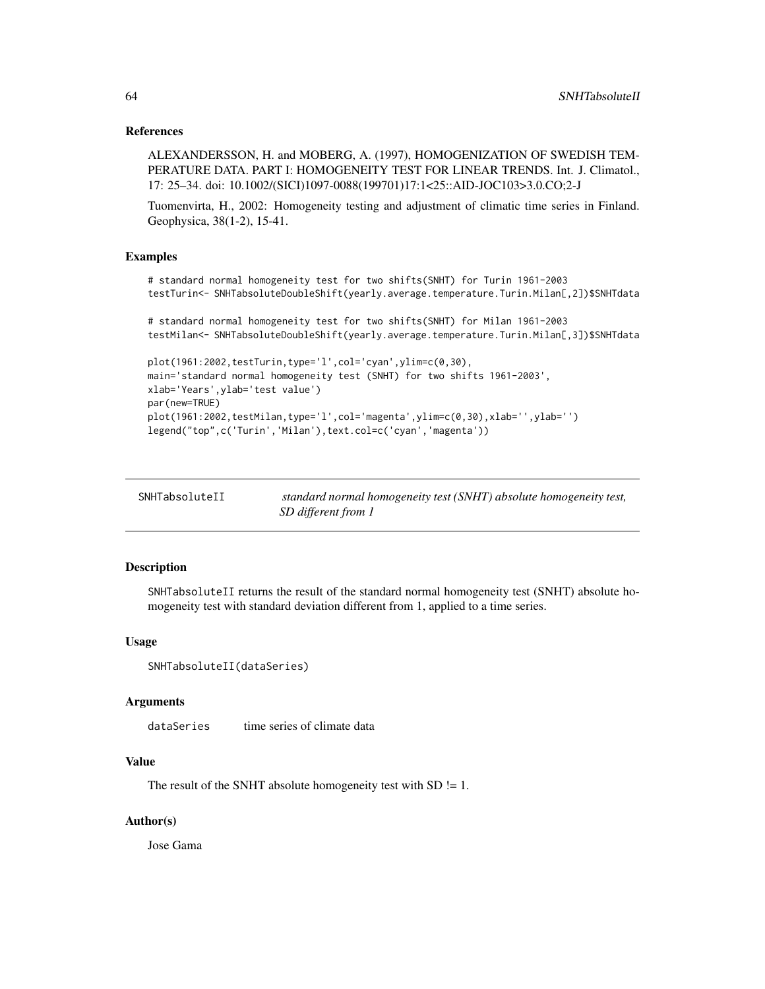## References

ALEXANDERSSON, H. and MOBERG, A. (1997), HOMOGENIZATION OF SWEDISH TEM-PERATURE DATA. PART I: HOMOGENEITY TEST FOR LINEAR TRENDS. Int. J. Climatol., 17: 25–34. doi: 10.1002/(SICI)1097-0088(199701)17:1<25::AID-JOC103>3.0.CO;2-J

Tuomenvirta, H., 2002: Homogeneity testing and adjustment of climatic time series in Finland. Geophysica, 38(1-2), 15-41.

#### Examples

```
# standard normal homogeneity test for two shifts(SNHT) for Turin 1961-2003
testTurin<- SNHTabsoluteDoubleShift(yearly.average.temperature.Turin.Milan[,2])$SNHTdata
# standard normal homogeneity test for two shifts(SNHT) for Milan 1961-2003
```
testMilan<- SNHTabsoluteDoubleShift(yearly.average.temperature.Turin.Milan[,3])\$SNHTdata

```
plot(1961:2002,testTurin,type='l',col='cyan',ylim=c(0,30),
main='standard normal homogeneity test (SNHT) for two shifts 1961-2003',
xlab='Years',ylab='test value')
par(new=TRUE)
plot(1961:2002,testMilan,type='l',col='magenta',ylim=c(0,30),xlab='',ylab='')
legend("top",c('Turin','Milan'),text.col=c('cyan','magenta'))
```

| SNHTabsoluteII | standard normal homogeneity test (SNHT) absolute homogeneity test, |
|----------------|--------------------------------------------------------------------|
|                | SD different from 1                                                |

## Description

SNHTabsoluteII returns the result of the standard normal homogeneity test (SNHT) absolute homogeneity test with standard deviation different from 1, applied to a time series.

#### Usage

```
SNHTabsoluteII(dataSeries)
```
#### Arguments

dataSeries time series of climate data

## Value

The result of the SNHT absolute homogeneity test with  $SD = 1$ .

## Author(s)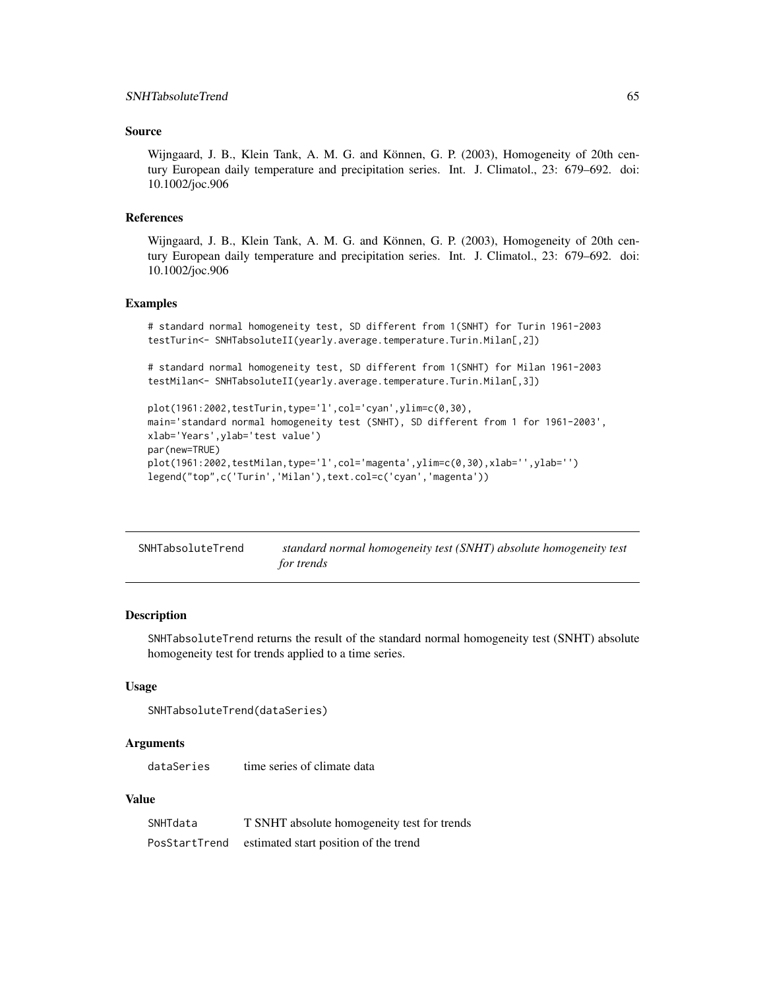# Source

Wijngaard, J. B., Klein Tank, A. M. G. and Können, G. P. (2003), Homogeneity of 20th century European daily temperature and precipitation series. Int. J. Climatol., 23: 679–692. doi: 10.1002/joc.906

#### References

Wijngaard, J. B., Klein Tank, A. M. G. and Können, G. P. (2003), Homogeneity of 20th century European daily temperature and precipitation series. Int. J. Climatol., 23: 679–692. doi: 10.1002/joc.906

## Examples

```
# standard normal homogeneity test, SD different from 1(SNHT) for Turin 1961-2003
testTurin<- SNHTabsoluteII(yearly.average.temperature.Turin.Milan[,2])
```
# standard normal homogeneity test, SD different from 1(SNHT) for Milan 1961-2003 testMilan<- SNHTabsoluteII(yearly.average.temperature.Turin.Milan[,3])

```
plot(1961:2002, testTurin, type='l', col='cyan', ylim=c(0,30),
main='standard normal homogeneity test (SNHT), SD different from 1 for 1961-2003',
xlab='Years',ylab='test value')
par(new=TRUE)
plot(1961:2002,testMilan,type='l',col='magenta',ylim=c(0,30),xlab='',ylab='')
legend("top",c('Turin','Milan'),text.col=c('cyan','magenta'))
```

| SNHTabsoluteTrend | standard normal homogeneity test (SNHT) absolute homogeneity test |
|-------------------|-------------------------------------------------------------------|
|                   | for trends                                                        |

# Description

SNHTabsoluteTrend returns the result of the standard normal homogeneity test (SNHT) absolute homogeneity test for trends applied to a time series.

#### Usage

```
SNHTabsoluteTrend(dataSeries)
```
#### Arguments

dataSeries time series of climate data

## Value

| SNHTdata      | T SNHT absolute homogeneity test for trends |
|---------------|---------------------------------------------|
| PosStartTrend | estimated start position of the trend       |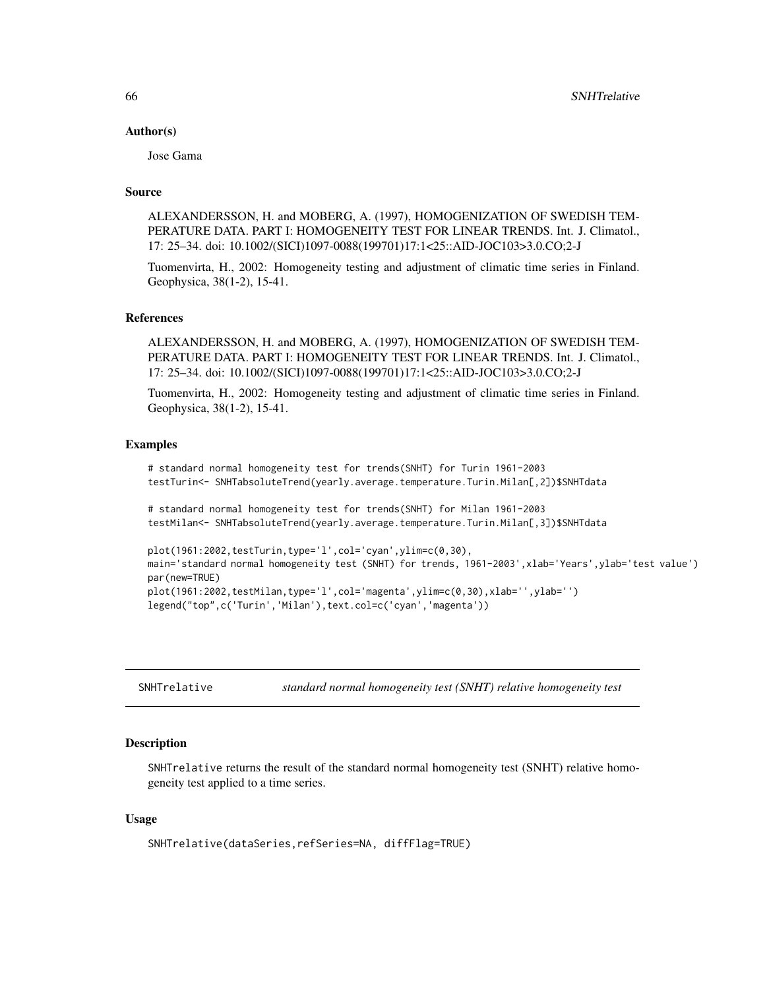#### Author(s)

Jose Gama

# Source

ALEXANDERSSON, H. and MOBERG, A. (1997), HOMOGENIZATION OF SWEDISH TEM-PERATURE DATA. PART I: HOMOGENEITY TEST FOR LINEAR TRENDS. Int. J. Climatol., 17: 25–34. doi: 10.1002/(SICI)1097-0088(199701)17:1<25::AID-JOC103>3.0.CO;2-J

Tuomenvirta, H., 2002: Homogeneity testing and adjustment of climatic time series in Finland. Geophysica, 38(1-2), 15-41.

# References

ALEXANDERSSON, H. and MOBERG, A. (1997), HOMOGENIZATION OF SWEDISH TEM-PERATURE DATA. PART I: HOMOGENEITY TEST FOR LINEAR TRENDS. Int. J. Climatol., 17: 25–34. doi: 10.1002/(SICI)1097-0088(199701)17:1<25::AID-JOC103>3.0.CO;2-J

Tuomenvirta, H., 2002: Homogeneity testing and adjustment of climatic time series in Finland. Geophysica, 38(1-2), 15-41.

#### Examples

```
# standard normal homogeneity test for trends(SNHT) for Turin 1961-2003
testTurin<- SNHTabsoluteTrend(yearly.average.temperature.Turin.Milan[,2])$SNHTdata
```
# standard normal homogeneity test for trends(SNHT) for Milan 1961-2003 testMilan<- SNHTabsoluteTrend(yearly.average.temperature.Turin.Milan[,3])\$SNHTdata

```
plot(1961:2002,testTurin,type='l',col='cyan',ylim=c(0,30),
main='standard normal homogeneity test (SNHT) for trends, 1961-2003',xlab='Years',ylab='test value')
par(new=TRUE)
plot(1961:2002,testMilan,type='l',col='magenta',ylim=c(0,30),xlab='',ylab='')
legend("top",c('Turin','Milan'),text.col=c('cyan','magenta'))
```
SNHTrelative *standard normal homogeneity test (SNHT) relative homogeneity test*

#### **Description**

SNHTrelative returns the result of the standard normal homogeneity test (SNHT) relative homogeneity test applied to a time series.

#### Usage

SNHTrelative(dataSeries,refSeries=NA, diffFlag=TRUE)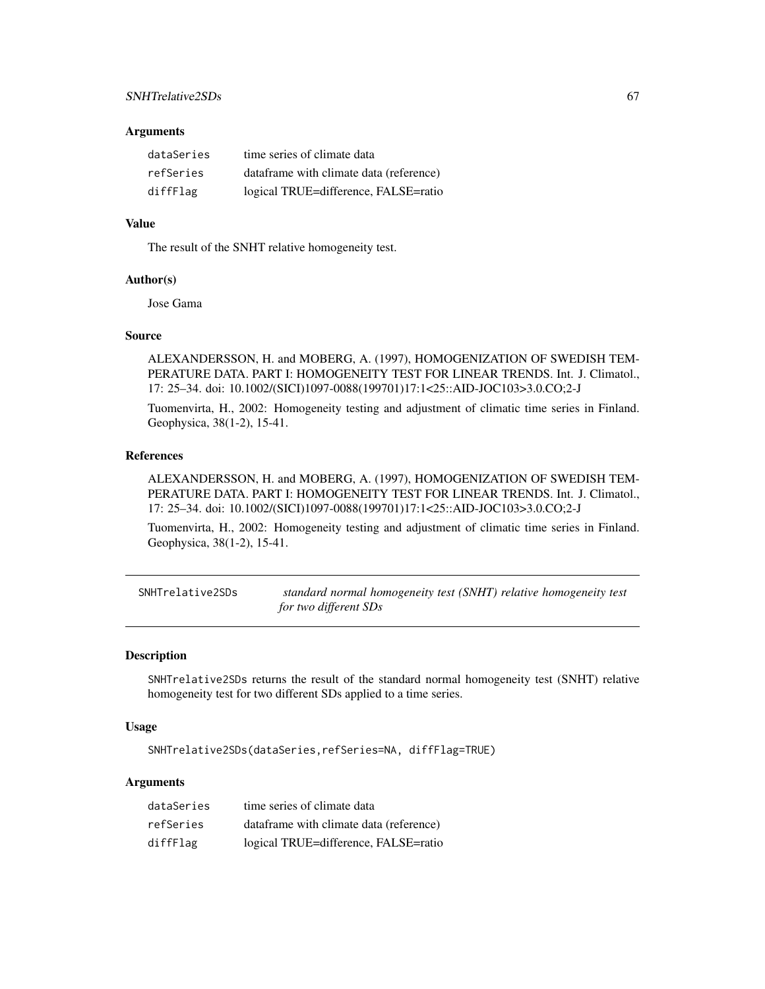#### **Arguments**

| dataSeries | time series of climate data             |
|------------|-----------------------------------------|
| refSeries  | dataframe with climate data (reference) |
| diffFlag   | logical TRUE=difference, FALSE=ratio    |

## Value

The result of the SNHT relative homogeneity test.

## Author(s)

Jose Gama

## Source

ALEXANDERSSON, H. and MOBERG, A. (1997), HOMOGENIZATION OF SWEDISH TEM-PERATURE DATA. PART I: HOMOGENEITY TEST FOR LINEAR TRENDS. Int. J. Climatol., 17: 25–34. doi: 10.1002/(SICI)1097-0088(199701)17:1<25::AID-JOC103>3.0.CO;2-J

Tuomenvirta, H., 2002: Homogeneity testing and adjustment of climatic time series in Finland. Geophysica, 38(1-2), 15-41.

## References

ALEXANDERSSON, H. and MOBERG, A. (1997), HOMOGENIZATION OF SWEDISH TEM-PERATURE DATA. PART I: HOMOGENEITY TEST FOR LINEAR TRENDS. Int. J. Climatol., 17: 25–34. doi: 10.1002/(SICI)1097-0088(199701)17:1<25::AID-JOC103>3.0.CO;2-J

Tuomenvirta, H., 2002: Homogeneity testing and adjustment of climatic time series in Finland. Geophysica, 38(1-2), 15-41.

SNHTrelative2SDs *standard normal homogeneity test (SNHT) relative homogeneity test for two different SDs*

## Description

SNHTrelative2SDs returns the result of the standard normal homogeneity test (SNHT) relative homogeneity test for two different SDs applied to a time series.

## Usage

SNHTrelative2SDs(dataSeries,refSeries=NA, diffFlag=TRUE)

# Arguments

| dataSeries | time series of climate data              |
|------------|------------------------------------------|
| refSeries  | data frame with climate data (reference) |
| diffFlag   | logical TRUE=difference, FALSE=ratio     |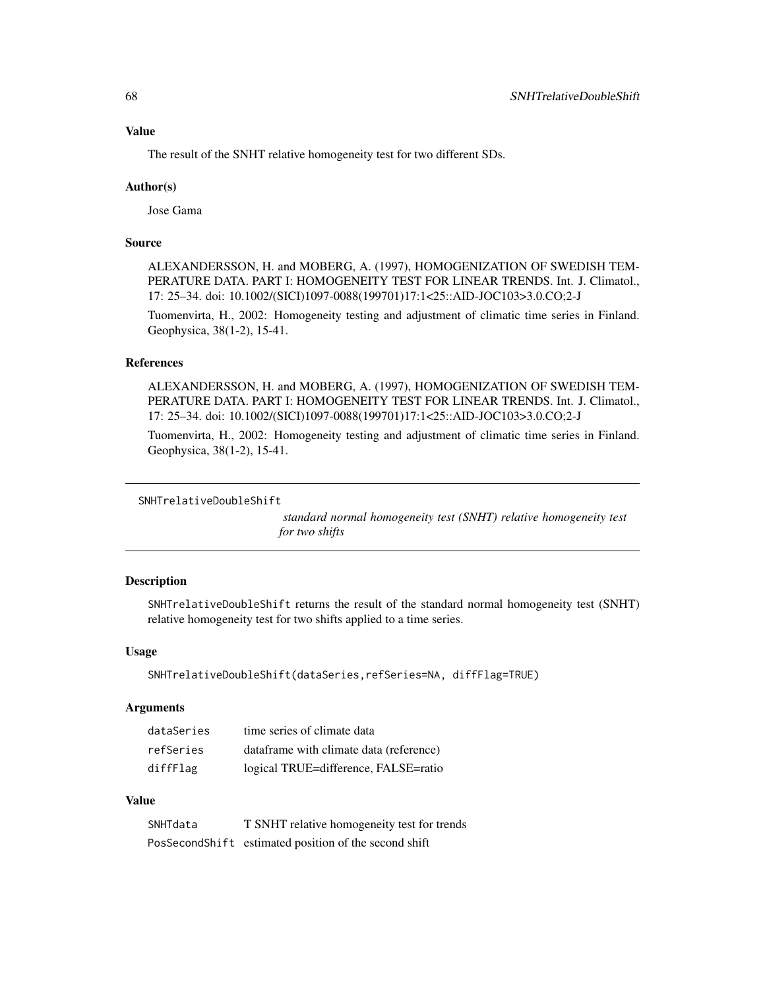The result of the SNHT relative homogeneity test for two different SDs.

#### Author(s)

Jose Gama

# Source

ALEXANDERSSON, H. and MOBERG, A. (1997), HOMOGENIZATION OF SWEDISH TEM-PERATURE DATA. PART I: HOMOGENEITY TEST FOR LINEAR TRENDS. Int. J. Climatol., 17: 25–34. doi: 10.1002/(SICI)1097-0088(199701)17:1<25::AID-JOC103>3.0.CO;2-J

Tuomenvirta, H., 2002: Homogeneity testing and adjustment of climatic time series in Finland. Geophysica, 38(1-2), 15-41.

# References

ALEXANDERSSON, H. and MOBERG, A. (1997), HOMOGENIZATION OF SWEDISH TEM-PERATURE DATA. PART I: HOMOGENEITY TEST FOR LINEAR TRENDS. Int. J. Climatol., 17: 25–34. doi: 10.1002/(SICI)1097-0088(199701)17:1<25::AID-JOC103>3.0.CO;2-J

Tuomenvirta, H., 2002: Homogeneity testing and adjustment of climatic time series in Finland. Geophysica, 38(1-2), 15-41.

```
SNHTrelativeDoubleShift
```
*standard normal homogeneity test (SNHT) relative homogeneity test for two shifts*

#### Description

SNHTrelativeDoubleShift returns the result of the standard normal homogeneity test (SNHT) relative homogeneity test for two shifts applied to a time series.

#### Usage

```
SNHTrelativeDoubleShift(dataSeries,refSeries=NA, diffFlag=TRUE)
```
#### Arguments

| dataSeries | time series of climate data             |
|------------|-----------------------------------------|
| refSeries  | dataframe with climate data (reference) |
| diffFlag   | logical TRUE=difference, FALSE=ratio    |

#### Value

| SNHTdata | T SNHT relative homogeneity test for trends           |
|----------|-------------------------------------------------------|
|          | PosSecondShift estimated position of the second shift |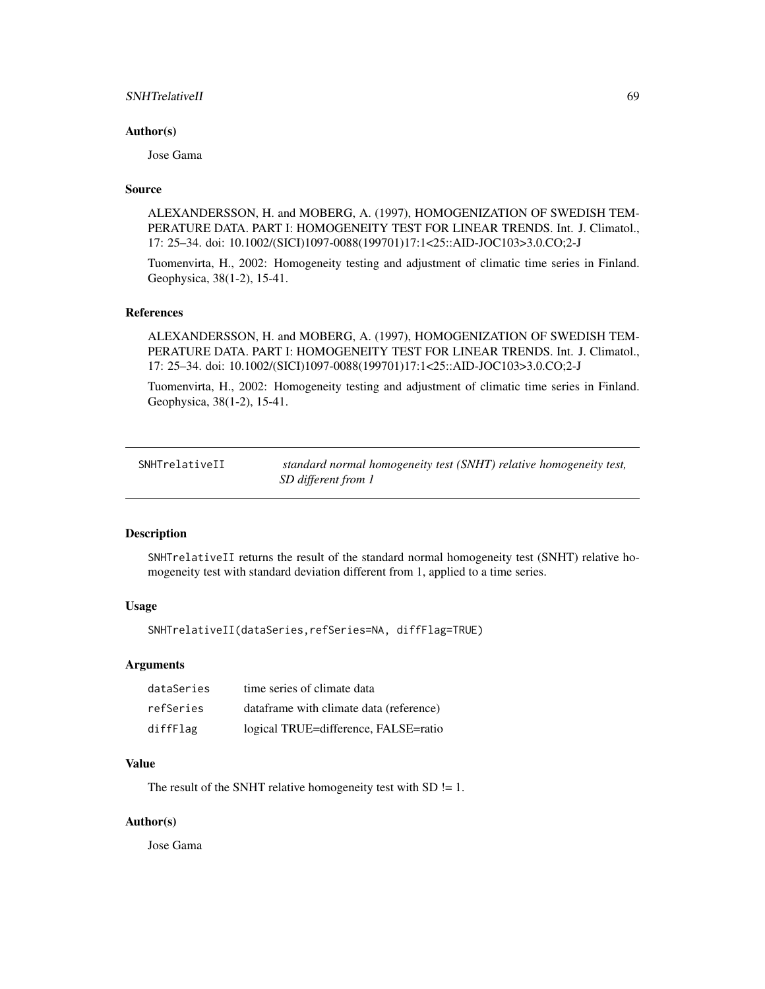## SNHTrelativeII 69

#### Author(s)

Jose Gama

## Source

ALEXANDERSSON, H. and MOBERG, A. (1997), HOMOGENIZATION OF SWEDISH TEM-PERATURE DATA. PART I: HOMOGENEITY TEST FOR LINEAR TRENDS. Int. J. Climatol., 17: 25–34. doi: 10.1002/(SICI)1097-0088(199701)17:1<25::AID-JOC103>3.0.CO;2-J

Tuomenvirta, H., 2002: Homogeneity testing and adjustment of climatic time series in Finland. Geophysica, 38(1-2), 15-41.

#### References

ALEXANDERSSON, H. and MOBERG, A. (1997), HOMOGENIZATION OF SWEDISH TEM-PERATURE DATA. PART I: HOMOGENEITY TEST FOR LINEAR TRENDS. Int. J. Climatol., 17: 25–34. doi: 10.1002/(SICI)1097-0088(199701)17:1<25::AID-JOC103>3.0.CO;2-J

Tuomenvirta, H., 2002: Homogeneity testing and adjustment of climatic time series in Finland. Geophysica, 38(1-2), 15-41.

| SNHTrelativeII | standard normal homogeneity test (SNHT) relative homogeneity test, |
|----------------|--------------------------------------------------------------------|
|                | SD different from 1                                                |

#### Description

SNHTrelativeII returns the result of the standard normal homogeneity test (SNHT) relative homogeneity test with standard deviation different from 1, applied to a time series.

## Usage

SNHTrelativeII(dataSeries,refSeries=NA, diffFlag=TRUE)

#### Arguments

| dataSeries | time series of climate data             |
|------------|-----------------------------------------|
| refSeries  | dataframe with climate data (reference) |
| diffFlag   | logical TRUE=difference, FALSE=ratio    |

## Value

The result of the SNHT relative homogeneity test with  $SD$  != 1.

#### Author(s)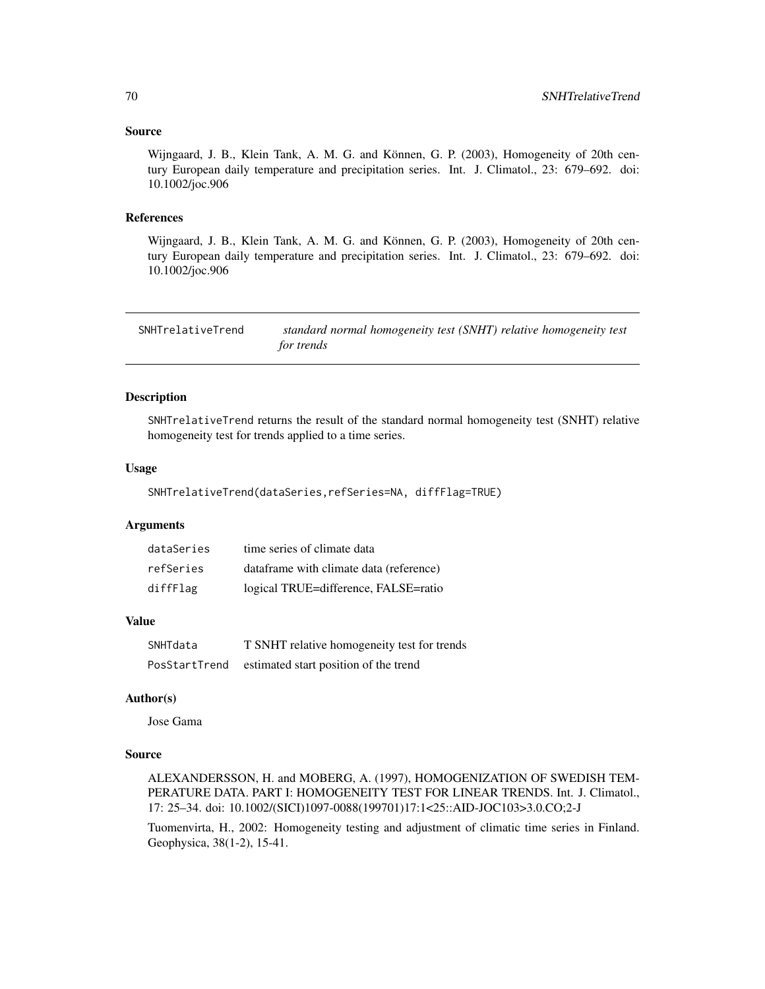## Source

Wijngaard, J. B., Klein Tank, A. M. G. and Können, G. P. (2003), Homogeneity of 20th century European daily temperature and precipitation series. Int. J. Climatol., 23: 679–692. doi: 10.1002/joc.906

#### References

Wijngaard, J. B., Klein Tank, A. M. G. and Können, G. P. (2003), Homogeneity of 20th century European daily temperature and precipitation series. Int. J. Climatol., 23: 679–692. doi: 10.1002/joc.906

SNHTrelativeTrend *standard normal homogeneity test (SNHT) relative homogeneity test for trends*

#### Description

SNHTrelativeTrend returns the result of the standard normal homogeneity test (SNHT) relative homogeneity test for trends applied to a time series.

#### Usage

SNHTrelativeTrend(dataSeries,refSeries=NA, diffFlag=TRUE)

# Arguments

| dataSeries | time series of climate data             |
|------------|-----------------------------------------|
| refSeries  | dataframe with climate data (reference) |
| diffFlag   | logical TRUE=difference, FALSE=ratio    |

# Value

| SNHTdata      | T SNHT relative homogeneity test for trends |
|---------------|---------------------------------------------|
| PosStartTrend | estimated start position of the trend       |

#### Author(s)

Jose Gama

#### Source

ALEXANDERSSON, H. and MOBERG, A. (1997), HOMOGENIZATION OF SWEDISH TEM-PERATURE DATA. PART I: HOMOGENEITY TEST FOR LINEAR TRENDS. Int. J. Climatol., 17: 25–34. doi: 10.1002/(SICI)1097-0088(199701)17:1<25::AID-JOC103>3.0.CO;2-J

Tuomenvirta, H., 2002: Homogeneity testing and adjustment of climatic time series in Finland. Geophysica, 38(1-2), 15-41.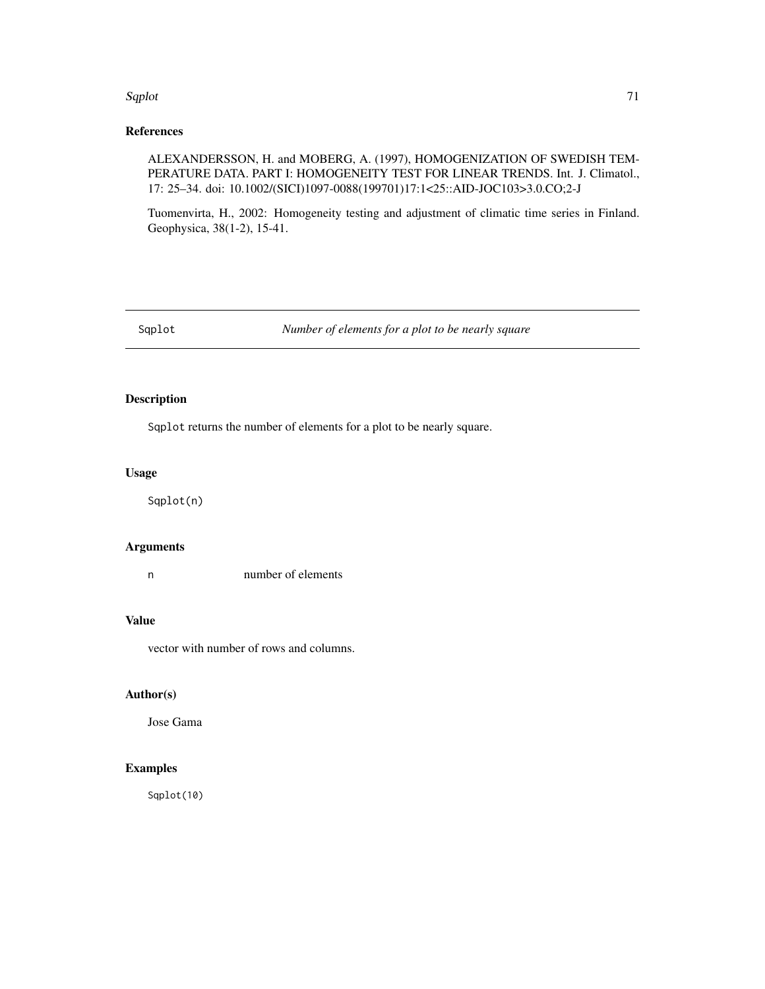#### Sqplot 71

# References

ALEXANDERSSON, H. and MOBERG, A. (1997), HOMOGENIZATION OF SWEDISH TEM-PERATURE DATA. PART I: HOMOGENEITY TEST FOR LINEAR TRENDS. Int. J. Climatol., 17: 25–34. doi: 10.1002/(SICI)1097-0088(199701)17:1<25::AID-JOC103>3.0.CO;2-J

Tuomenvirta, H., 2002: Homogeneity testing and adjustment of climatic time series in Finland. Geophysica, 38(1-2), 15-41.

Sqplot *Number of elements for a plot to be nearly square*

# Description

Sqplot returns the number of elements for a plot to be nearly square.

# Usage

Sqplot(n)

## Arguments

n number of elements

## Value

vector with number of rows and columns.

# Author(s)

Jose Gama

# Examples

Sqplot(10)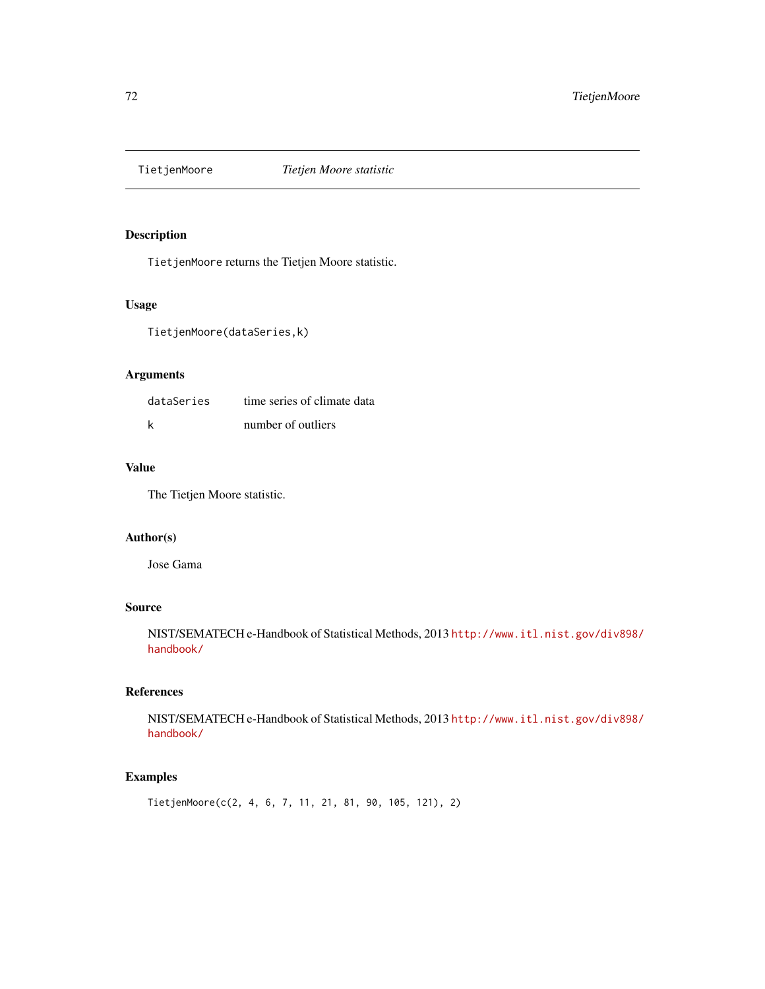## Description

TietjenMoore returns the Tietjen Moore statistic.

# Usage

TietjenMoore(dataSeries,k)

# Arguments

| dataSeries | time series of climate data |
|------------|-----------------------------|
|            | number of outliers          |

# Value

The Tietjen Moore statistic.

## Author(s)

Jose Gama

# Source

NIST/SEMATECH e-Handbook of Statistical Methods, 2013 [http://www.itl.nist.gov/div898/](http://www.itl.nist.gov/div898/handbook/) [handbook/](http://www.itl.nist.gov/div898/handbook/)

# References

NIST/SEMATECH e-Handbook of Statistical Methods, 2013 [http://www.itl.nist.gov/div898/](http://www.itl.nist.gov/div898/handbook/) [handbook/](http://www.itl.nist.gov/div898/handbook/)

# Examples

TietjenMoore(c(2, 4, 6, 7, 11, 21, 81, 90, 105, 121), 2)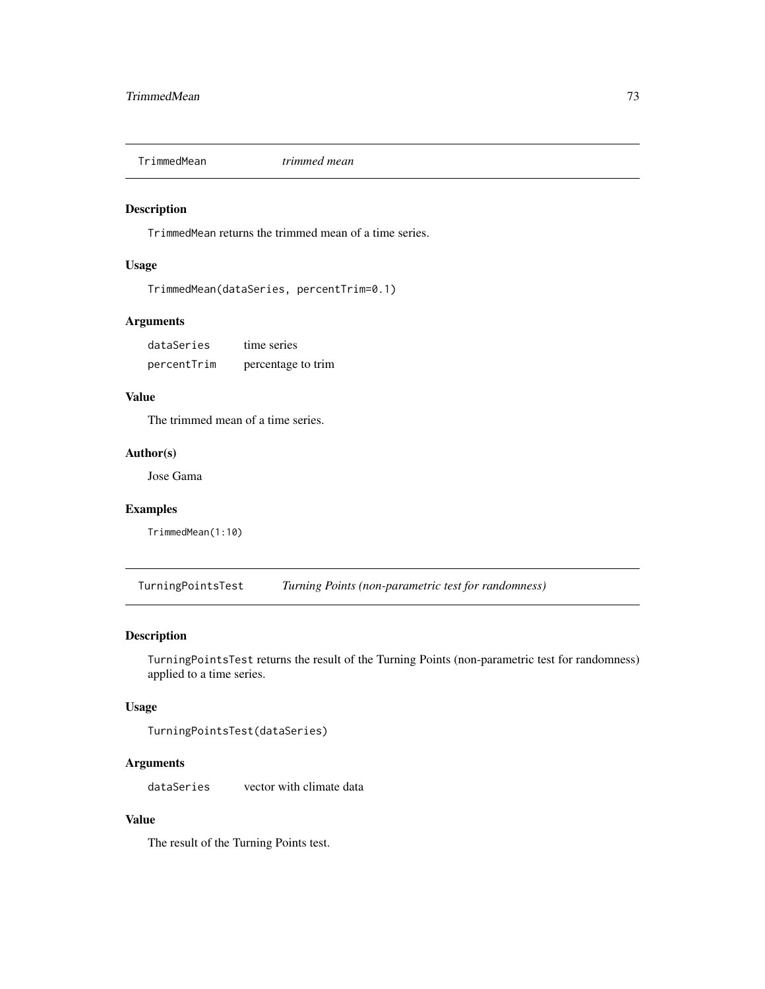<span id="page-72-0"></span>

## Description

TrimmedMean returns the trimmed mean of a time series.

#### Usage

```
TrimmedMean(dataSeries, percentTrim=0.1)
```
## Arguments

| dataSeries  | time series        |
|-------------|--------------------|
| percentTrim | percentage to trim |

# Value

The trimmed mean of a time series.

# Author(s)

Jose Gama

# Examples

TrimmedMean(1:10)

TurningPointsTest *Turning Points (non-parametric test for randomness)*

## Description

TurningPointsTest returns the result of the Turning Points (non-parametric test for randomness) applied to a time series.

# Usage

```
TurningPointsTest(dataSeries)
```
# Arguments

dataSeries vector with climate data

# Value

The result of the Turning Points test.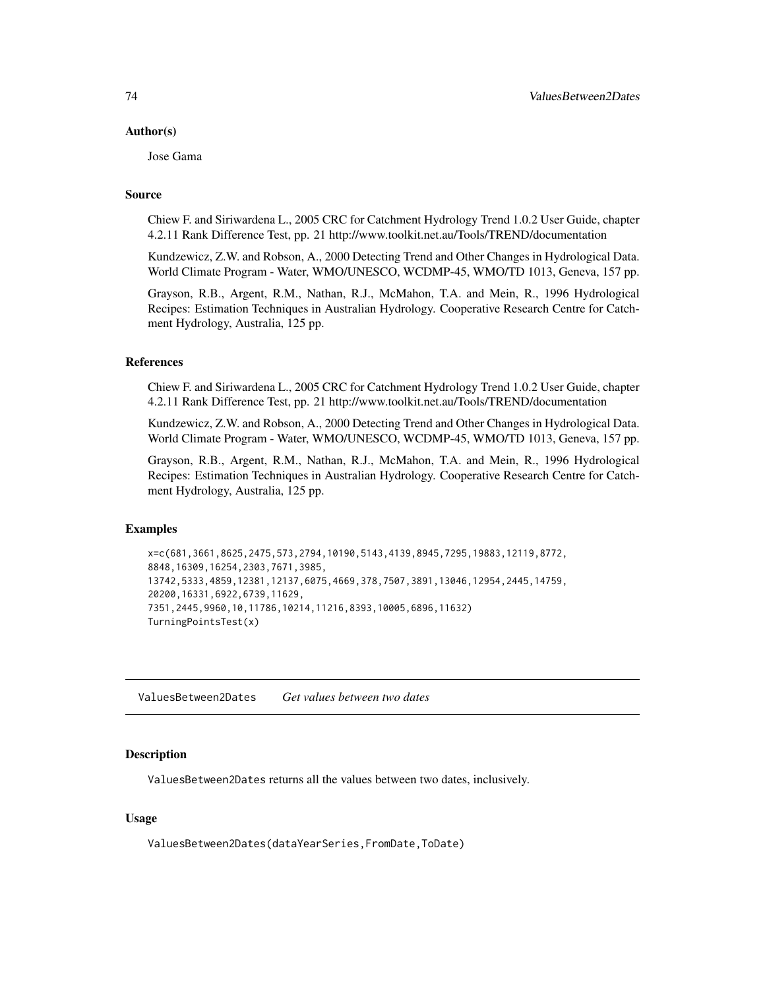#### <span id="page-73-0"></span>Author(s)

Jose Gama

## Source

Chiew F. and Siriwardena L., 2005 CRC for Catchment Hydrology Trend 1.0.2 User Guide, chapter 4.2.11 Rank Difference Test, pp. 21 http://www.toolkit.net.au/Tools/TREND/documentation

Kundzewicz, Z.W. and Robson, A., 2000 Detecting Trend and Other Changes in Hydrological Data. World Climate Program - Water, WMO/UNESCO, WCDMP-45, WMO/TD 1013, Geneva, 157 pp.

Grayson, R.B., Argent, R.M., Nathan, R.J., McMahon, T.A. and Mein, R., 1996 Hydrological Recipes: Estimation Techniques in Australian Hydrology. Cooperative Research Centre for Catchment Hydrology, Australia, 125 pp.

## References

Chiew F. and Siriwardena L., 2005 CRC for Catchment Hydrology Trend 1.0.2 User Guide, chapter 4.2.11 Rank Difference Test, pp. 21 http://www.toolkit.net.au/Tools/TREND/documentation

Kundzewicz, Z.W. and Robson, A., 2000 Detecting Trend and Other Changes in Hydrological Data. World Climate Program - Water, WMO/UNESCO, WCDMP-45, WMO/TD 1013, Geneva, 157 pp.

Grayson, R.B., Argent, R.M., Nathan, R.J., McMahon, T.A. and Mein, R., 1996 Hydrological Recipes: Estimation Techniques in Australian Hydrology. Cooperative Research Centre for Catchment Hydrology, Australia, 125 pp.

## Examples

```
x=c(681,3661,8625,2475,573,2794,10190,5143,4139,8945,7295,19883,12119,8772,
8848,16309,16254,2303,7671,3985,
13742,5333,4859,12381,12137,6075,4669,378,7507,3891,13046,12954,2445,14759,
20200,16331,6922,6739,11629,
7351,2445,9960,10,11786,10214,11216,8393,10005,6896,11632)
TurningPointsTest(x)
```
ValuesBetween2Dates *Get values between two dates*

#### **Description**

ValuesBetween2Dates returns all the values between two dates, inclusively.

#### Usage

ValuesBetween2Dates(dataYearSeries,FromDate,ToDate)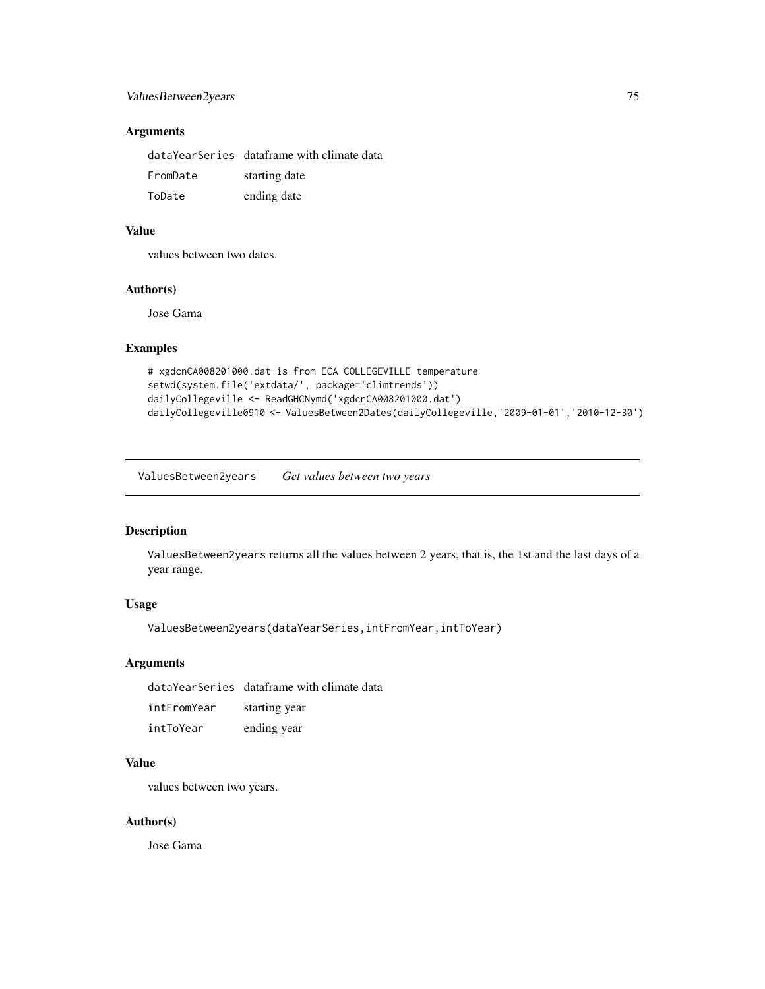# <span id="page-74-0"></span>ValuesBetween2years 75

# Arguments

|          | dataYearSeries dataframe with climate data |
|----------|--------------------------------------------|
| FromDate | starting date                              |
| ToDate   | ending date                                |

## Value

values between two dates.

## Author(s)

Jose Gama

## Examples

```
# xgdcnCA008201000.dat is from ECA COLLEGEVILLE temperature
setwd(system.file('extdata/', package='climtrends'))
dailyCollegeville <- ReadGHCNymd('xgdcnCA008201000.dat')
dailyCollegeville0910 <- ValuesBetween2Dates(dailyCollegeville,'2009-01-01','2010-12-30')
```
ValuesBetween2years *Get values between two years*

# Description

ValuesBetween2years returns all the values between 2 years, that is, the 1st and the last days of a year range.

# Usage

ValuesBetween2years(dataYearSeries,intFromYear,intToYear)

#### Arguments

dataYearSeries dataframe with climate data

| intFromYear | starting year |
|-------------|---------------|
| intToYear   | ending year   |

#### Value

values between two years.

#### Author(s)

Jose Gama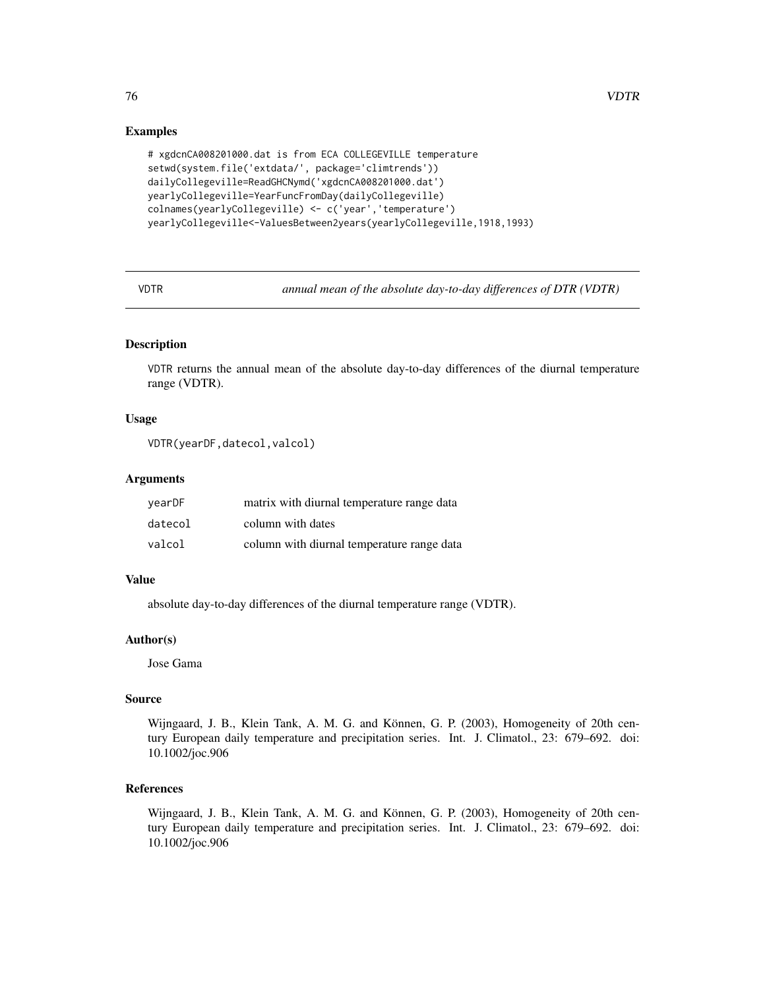## Examples

```
# xgdcnCA008201000.dat is from ECA COLLEGEVILLE temperature
setwd(system.file('extdata/', package='climtrends'))
dailyCollegeville=ReadGHCNymd('xgdcnCA008201000.dat')
yearlyCollegeville=YearFuncFromDay(dailyCollegeville)
colnames(yearlyCollegeville) <- c('year','temperature')
yearlyCollegeville<-ValuesBetween2years(yearlyCollegeville,1918,1993)
```
VDTR *annual mean of the absolute day-to-day differences of DTR (VDTR)*

## Description

VDTR returns the annual mean of the absolute day-to-day differences of the diurnal temperature range (VDTR).

## Usage

```
VDTR(yearDF,datecol,valcol)
```
## Arguments

| vearDF  | matrix with diurnal temperature range data |
|---------|--------------------------------------------|
| datecol | column with dates                          |
| valcol  | column with diurnal temperature range data |

## Value

absolute day-to-day differences of the diurnal temperature range (VDTR).

## Author(s)

Jose Gama

# Source

Wijngaard, J. B., Klein Tank, A. M. G. and Können, G. P. (2003), Homogeneity of 20th century European daily temperature and precipitation series. Int. J. Climatol., 23: 679–692. doi: 10.1002/joc.906

# References

Wijngaard, J. B., Klein Tank, A. M. G. and Können, G. P. (2003), Homogeneity of 20th century European daily temperature and precipitation series. Int. J. Climatol., 23: 679–692. doi: 10.1002/joc.906

<span id="page-75-0"></span>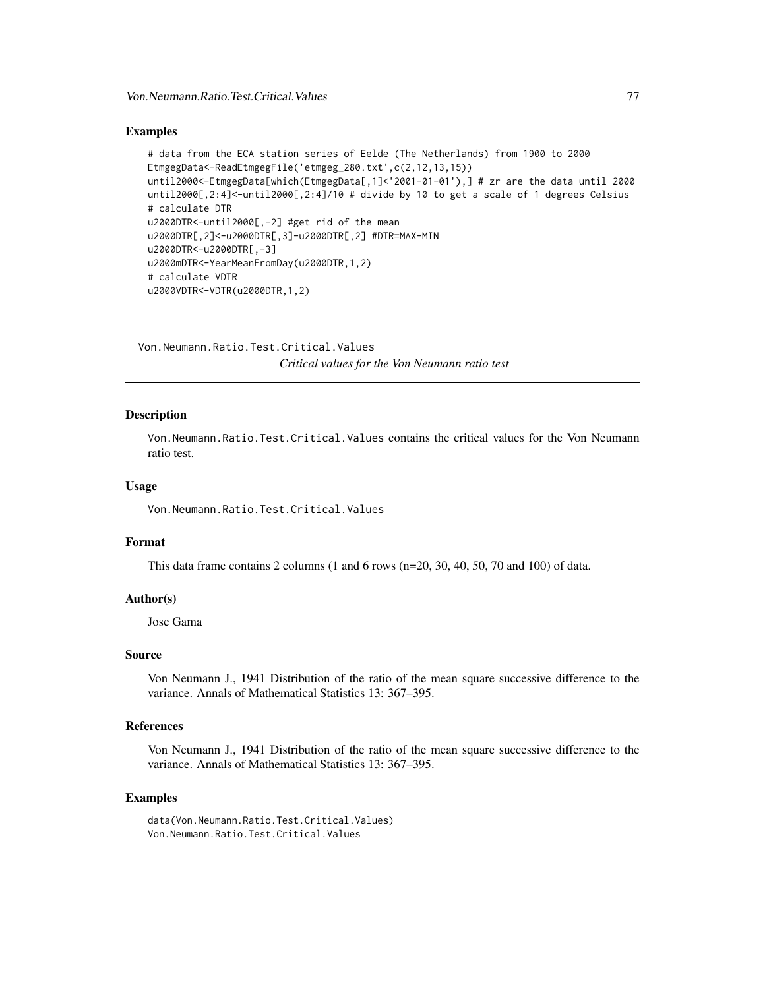#### <span id="page-76-0"></span>Examples

```
# data from the ECA station series of Eelde (The Netherlands) from 1900 to 2000
EtmgegData<-ReadEtmgegFile('etmgeg_280.txt',c(2,12,13,15))
until2000<-EtmgegData[which(EtmgegData[,1]<'2001-01-01'),] # zr are the data until 2000
until2000[,2:4]<-until2000[,2:4]/10 # divide by 10 to get a scale of 1 degrees Celsius
# calculate DTR
u2000DTR<-until2000[,-2] #get rid of the mean
u2000DTR[,2]<-u2000DTR[,3]-u2000DTR[,2] #DTR=MAX-MIN
u2000DTR<-u2000DTR[,-3]
u2000mDTR<-YearMeanFromDay(u2000DTR,1,2)
# calculate VDTR
u2000VDTR<-VDTR(u2000DTR,1,2)
```
Von.Neumann.Ratio.Test.Critical.Values *Critical values for the Von Neumann ratio test*

## **Description**

Von.Neumann.Ratio.Test.Critical.Values contains the critical values for the Von Neumann ratio test.

## Usage

Von.Neumann.Ratio.Test.Critical.Values

#### Format

This data frame contains 2 columns  $(1 \text{ and } 6 \text{ rows } (n=20, 30, 40, 50, 70 \text{ and } 100)$  of data.

#### Author(s)

Jose Gama

## Source

Von Neumann J., 1941 Distribution of the ratio of the mean square successive difference to the variance. Annals of Mathematical Statistics 13: 367–395.

#### References

Von Neumann J., 1941 Distribution of the ratio of the mean square successive difference to the variance. Annals of Mathematical Statistics 13: 367–395.

#### Examples

data(Von.Neumann.Ratio.Test.Critical.Values) Von.Neumann.Ratio.Test.Critical.Values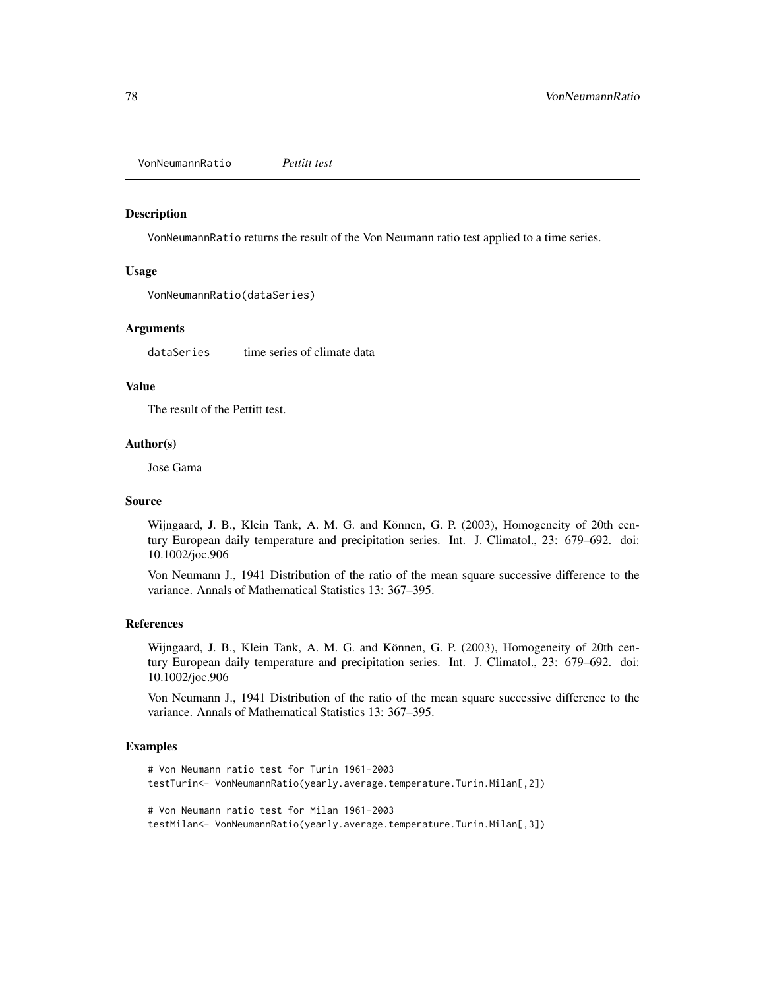<span id="page-77-0"></span>VonNeumannRatio *Pettitt test*

#### Description

VonNeumannRatio returns the result of the Von Neumann ratio test applied to a time series.

## Usage

```
VonNeumannRatio(dataSeries)
```
# Arguments

dataSeries time series of climate data

# Value

The result of the Pettitt test.

#### Author(s)

Jose Gama

# Source

Wijngaard, J. B., Klein Tank, A. M. G. and Können, G. P. (2003), Homogeneity of 20th century European daily temperature and precipitation series. Int. J. Climatol., 23: 679–692. doi: 10.1002/joc.906

Von Neumann J., 1941 Distribution of the ratio of the mean square successive difference to the variance. Annals of Mathematical Statistics 13: 367–395.

## References

Wijngaard, J. B., Klein Tank, A. M. G. and Können, G. P. (2003), Homogeneity of 20th century European daily temperature and precipitation series. Int. J. Climatol., 23: 679–692. doi: 10.1002/joc.906

Von Neumann J., 1941 Distribution of the ratio of the mean square successive difference to the variance. Annals of Mathematical Statistics 13: 367–395.

## Examples

```
# Von Neumann ratio test for Turin 1961-2003
testTurin<- VonNeumannRatio(yearly.average.temperature.Turin.Milan[,2])
# Von Neumann ratio test for Milan 1961-2003
testMilan<- VonNeumannRatio(yearly.average.temperature.Turin.Milan[,3])
```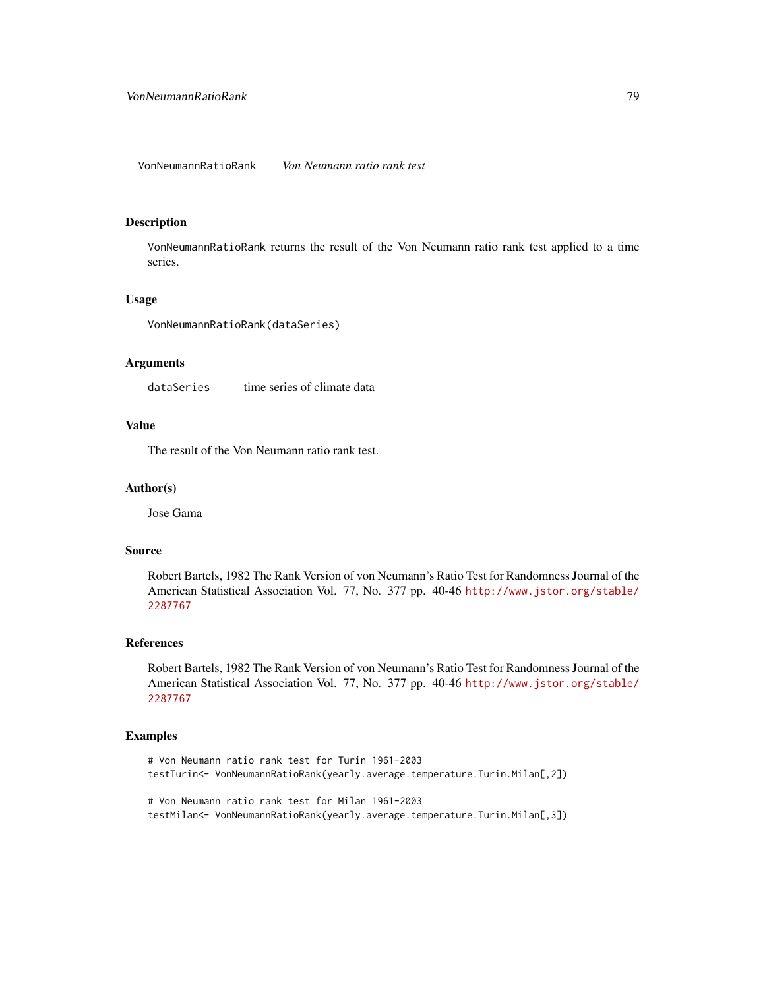<span id="page-78-0"></span>VonNeumannRatioRank *Von Neumann ratio rank test*

#### Description

VonNeumannRatioRank returns the result of the Von Neumann ratio rank test applied to a time series.

#### Usage

VonNeumannRatioRank(dataSeries)

## Arguments

dataSeries time series of climate data

# Value

The result of the Von Neumann ratio rank test.

#### Author(s)

Jose Gama

#### Source

Robert Bartels, 1982 The Rank Version of von Neumann's Ratio Test for Randomness Journal of the American Statistical Association Vol. 77, No. 377 pp. 40-46 [http://www.jstor.org/stable/](http://www.jstor.org/stable/2287767) [2287767](http://www.jstor.org/stable/2287767)

#### References

Robert Bartels, 1982 The Rank Version of von Neumann's Ratio Test for Randomness Journal of the American Statistical Association Vol. 77, No. 377 pp. 40-46 [http://www.jstor.org/stable/](http://www.jstor.org/stable/2287767) [2287767](http://www.jstor.org/stable/2287767)

# Examples

```
# Von Neumann ratio rank test for Turin 1961-2003
testTurin<- VonNeumannRatioRank(yearly.average.temperature.Turin.Milan[,2])
```
# Von Neumann ratio rank test for Milan 1961-2003 testMilan<- VonNeumannRatioRank(yearly.average.temperature.Turin.Milan[,3])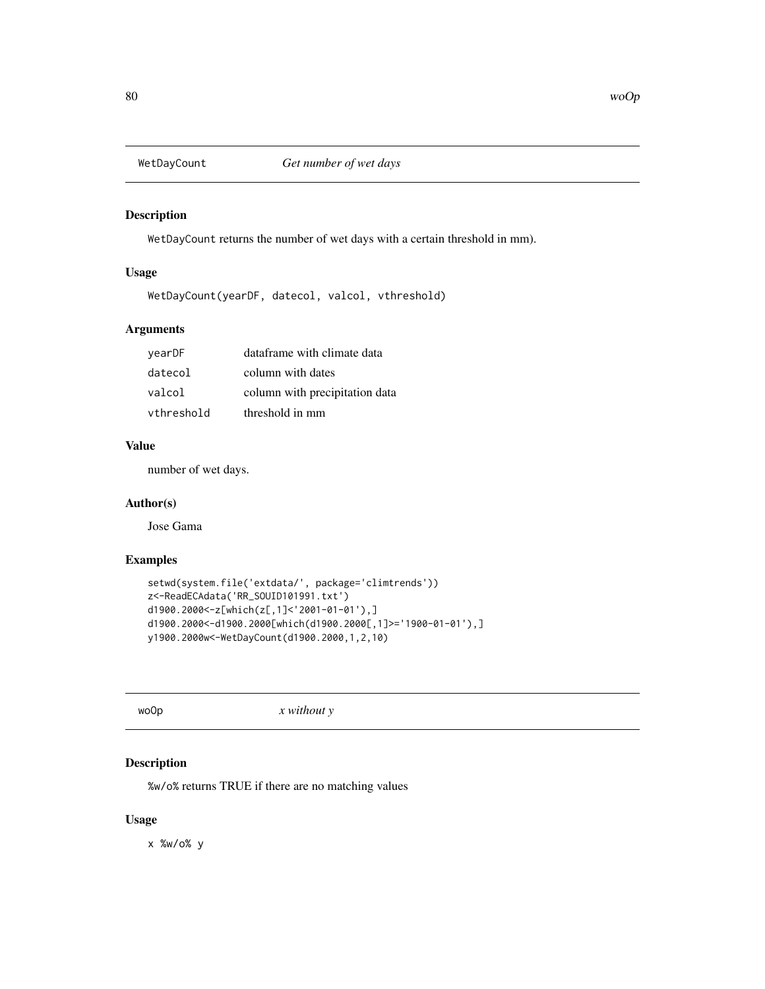<span id="page-79-0"></span>

# Description

WetDayCount returns the number of wet days with a certain threshold in mm).

# Usage

WetDayCount(yearDF, datecol, valcol, vthreshold)

# Arguments

| yearDF     | dataframe with climate data    |
|------------|--------------------------------|
| datecol    | column with dates              |
| valcol     | column with precipitation data |
| vthreshold | threshold in mm                |

# Value

number of wet days.

## Author(s)

Jose Gama

# Examples

```
setwd(system.file('extdata/', package='climtrends'))
z<-ReadECAdata('RR_SOUID101991.txt')
d1900.2000<-z[which(z[,1]<'2001-01-01'),]
d1900.2000<-d1900.2000[which(d1900.2000[,1]>='1900-01-01'),]
y1900.2000w<-WetDayCount(d1900.2000,1,2,10)
```
woOp *x without y*

# Description

%w/o% returns TRUE if there are no matching values

#### Usage

x %w/o% y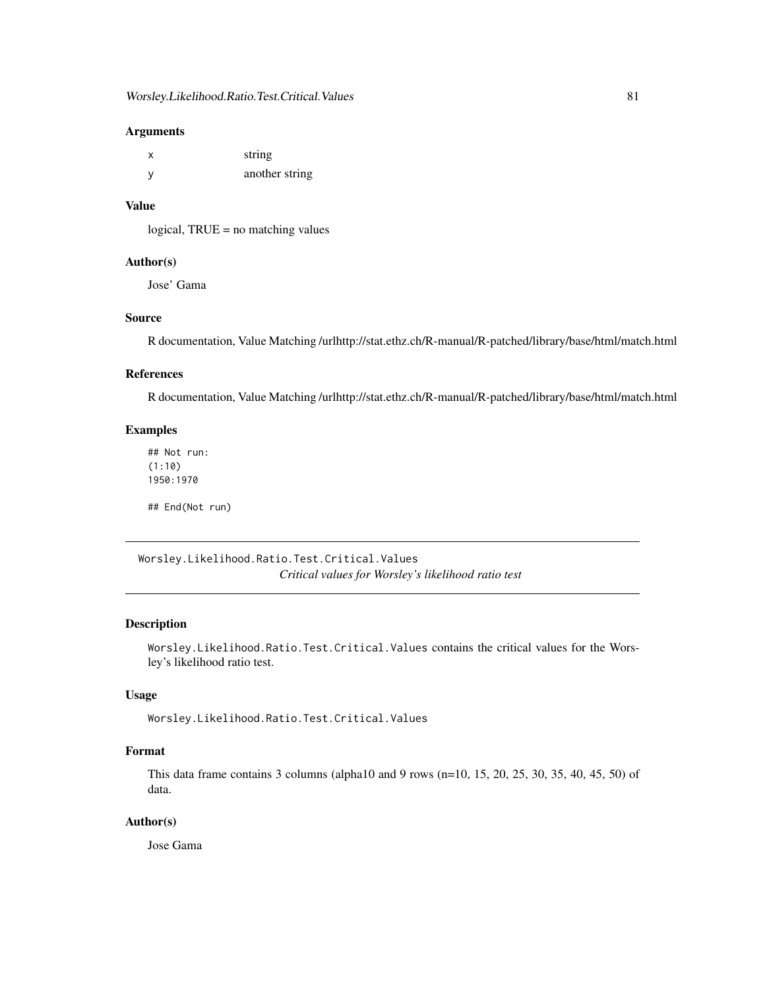## <span id="page-80-0"></span>Arguments

| X        | string         |
|----------|----------------|
| <b>V</b> | another string |

# Value

logical, TRUE = no matching values

# Author(s)

Jose' Gama

# Source

R documentation, Value Matching /urlhttp://stat.ethz.ch/R-manual/R-patched/library/base/html/match.html

## References

R documentation, Value Matching /urlhttp://stat.ethz.ch/R-manual/R-patched/library/base/html/match.html

# Examples

## Not run: (1:10) 1950:1970

## End(Not run)

Worsley.Likelihood.Ratio.Test.Critical.Values *Critical values for Worsley's likelihood ratio test*

## Description

Worsley.Likelihood.Ratio.Test.Critical.Values contains the critical values for the Worsley's likelihood ratio test.

#### Usage

Worsley.Likelihood.Ratio.Test.Critical.Values

## Format

This data frame contains 3 columns (alpha10 and 9 rows (n=10, 15, 20, 25, 30, 35, 40, 45, 50) of data.

## Author(s)

Jose Gama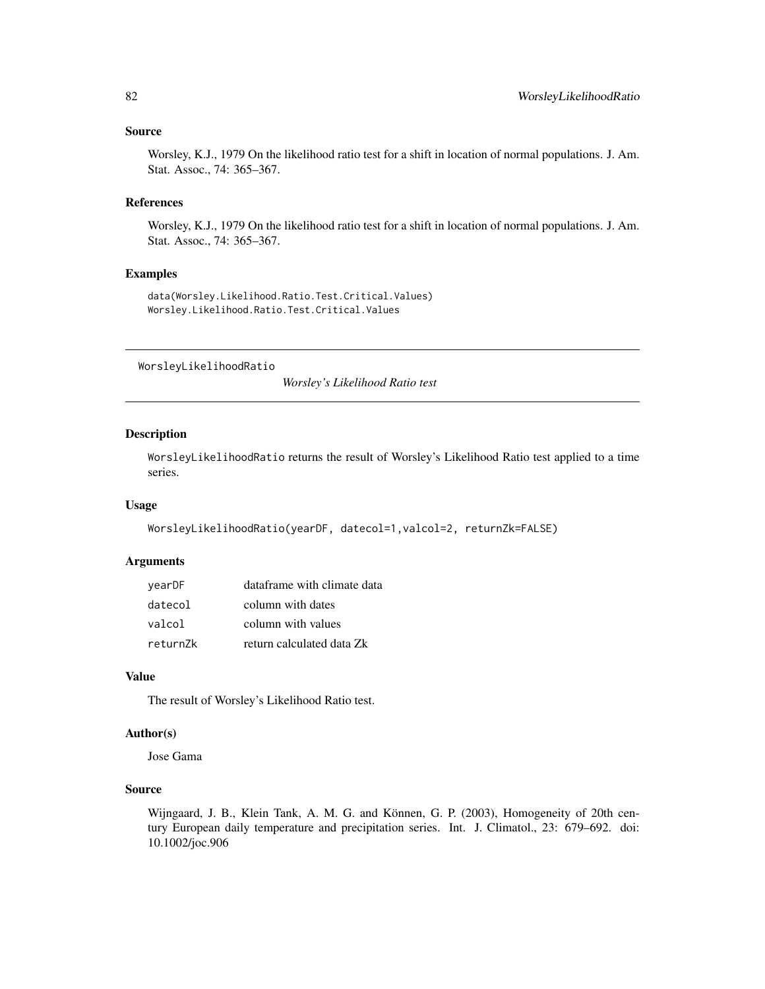#### <span id="page-81-0"></span>Source

Worsley, K.J., 1979 On the likelihood ratio test for a shift in location of normal populations. J. Am. Stat. Assoc., 74: 365–367.

## References

Worsley, K.J., 1979 On the likelihood ratio test for a shift in location of normal populations. J. Am. Stat. Assoc., 74: 365–367.

# Examples

data(Worsley.Likelihood.Ratio.Test.Critical.Values) Worsley.Likelihood.Ratio.Test.Critical.Values

WorsleyLikelihoodRatio

*Worsley's Likelihood Ratio test*

# Description

WorsleyLikelihoodRatio returns the result of Worsley's Likelihood Ratio test applied to a time series.

## Usage

```
WorsleyLikelihoodRatio(yearDF, datecol=1,valcol=2, returnZk=FALSE)
```
## Arguments

| vearDF   | dataframe with climate data |
|----------|-----------------------------|
| datecol  | column with dates           |
| valcol   | column with values          |
| return7k | return calculated data Zk   |

#### Value

The result of Worsley's Likelihood Ratio test.

# Author(s)

Jose Gama

# Source

Wijngaard, J. B., Klein Tank, A. M. G. and Können, G. P. (2003), Homogeneity of 20th century European daily temperature and precipitation series. Int. J. Climatol., 23: 679–692. doi: 10.1002/joc.906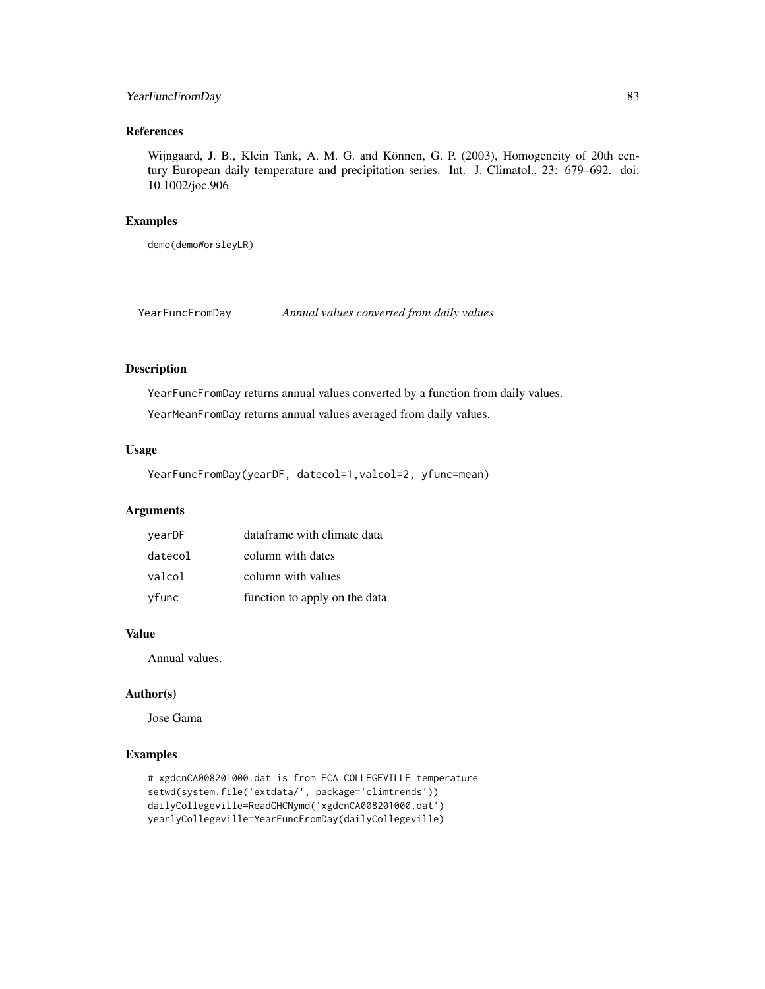# <span id="page-82-0"></span>YearFuncFromDay 83

# References

Wijngaard, J. B., Klein Tank, A. M. G. and Können, G. P. (2003), Homogeneity of 20th century European daily temperature and precipitation series. Int. J. Climatol., 23: 679–692. doi: 10.1002/joc.906

# Examples

demo(demoWorsleyLR)

YearFuncFromDay *Annual values converted from daily values*

#### Description

YearFuncFromDay returns annual values converted by a function from daily values.

YearMeanFromDay returns annual values averaged from daily values.

#### Usage

YearFuncFromDay(yearDF, datecol=1,valcol=2, yfunc=mean)

# Arguments

| vearDF  | dataframe with climate data   |
|---------|-------------------------------|
| datecol | column with dates             |
| valcol  | column with values            |
| vfunc   | function to apply on the data |

## Value

Annual values.

## Author(s)

Jose Gama

## Examples

```
# xgdcnCA008201000.dat is from ECA COLLEGEVILLE temperature
setwd(system.file('extdata/', package='climtrends'))
dailyCollegeville=ReadGHCNymd('xgdcnCA008201000.dat')
yearlyCollegeville=YearFuncFromDay(dailyCollegeville)
```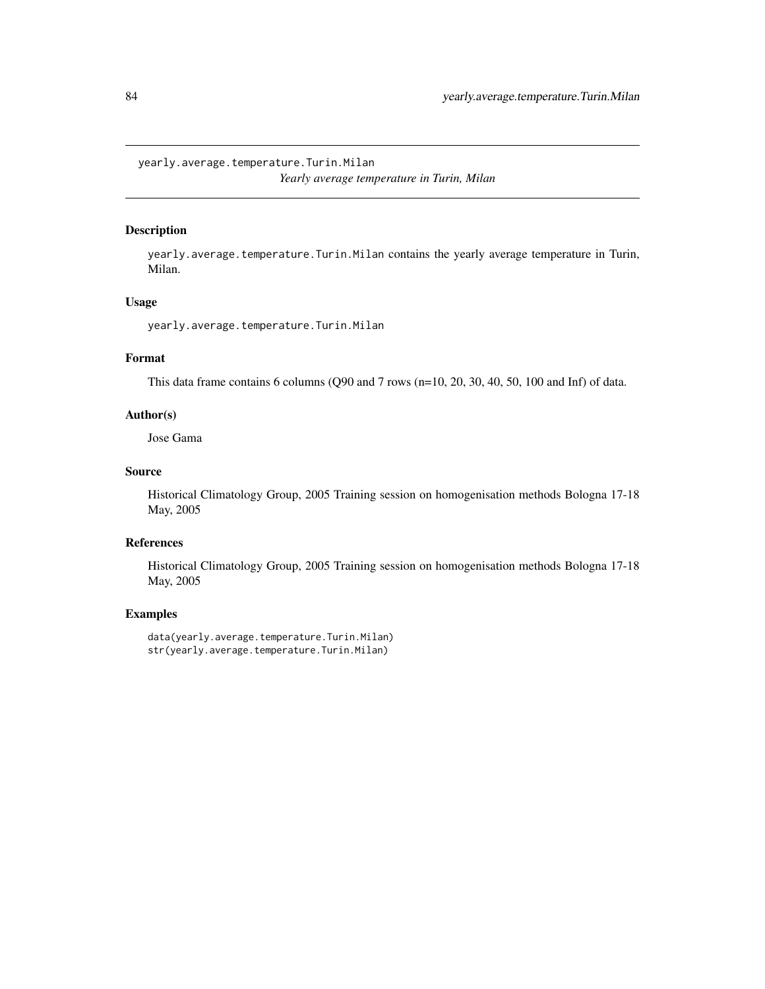<span id="page-83-0"></span>yearly.average.temperature.Turin.Milan *Yearly average temperature in Turin, Milan*

## Description

yearly.average.temperature.Turin.Milan contains the yearly average temperature in Turin, Milan.

# Usage

yearly.average.temperature.Turin.Milan

# Format

This data frame contains 6 columns (Q90 and 7 rows (n=10, 20, 30, 40, 50, 100 and Inf) of data.

#### Author(s)

Jose Gama

## Source

Historical Climatology Group, 2005 Training session on homogenisation methods Bologna 17-18 May, 2005

# References

Historical Climatology Group, 2005 Training session on homogenisation methods Bologna 17-18 May, 2005

## Examples

data(yearly.average.temperature.Turin.Milan) str(yearly.average.temperature.Turin.Milan)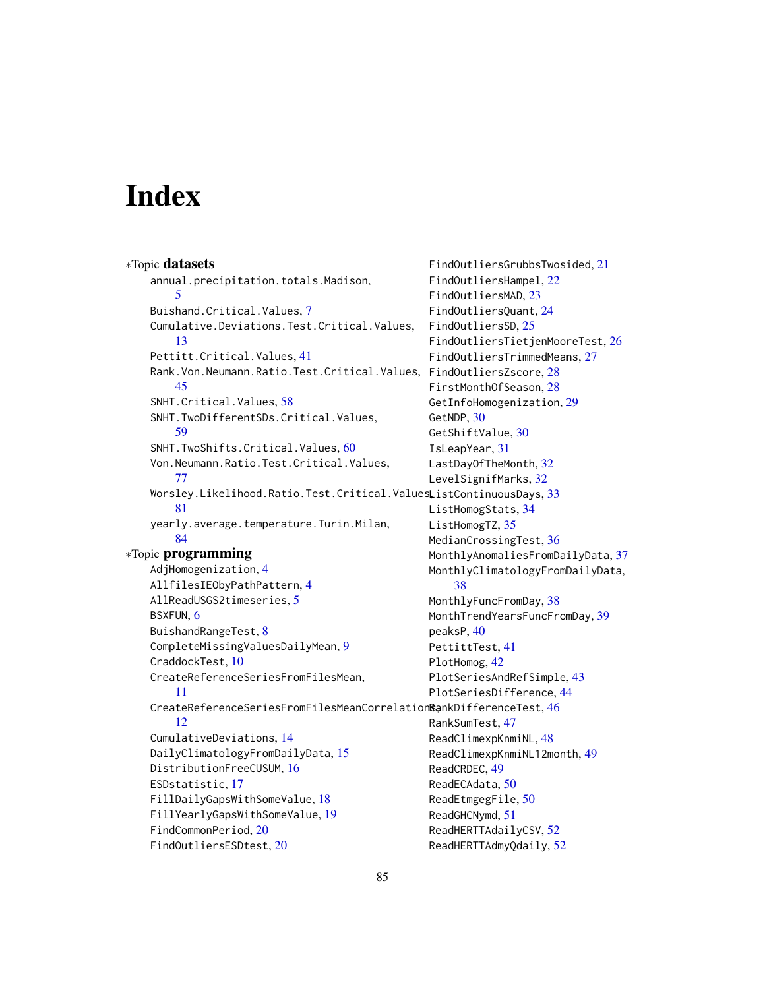# **Index**

∗Topic datasets annual.precipitation.totals.Madison, [5](#page-4-0) Buishand.Critical.Values, [7](#page-6-0) Cumulative.Deviations.Test.Critical.Values, [13](#page-12-0) Pettitt.Critical.Values, [41](#page-40-0) Rank.Von.Neumann.Ratio.Test.Critical.Values, FindOutliersZscore, [28](#page-27-0) [45](#page-44-0) SNHT.Critical.Values, [58](#page-57-0) SNHT.TwoDifferentSDs.Critical.Values, [59](#page-58-0) SNHT.TwoShifts.Critical.Values, [60](#page-59-0) Von.Neumann.Ratio.Test.Critical.Values, [77](#page-76-0) <code>Worsley.Likelihood.Ratio.Test.Critical.Values</code> <code>ListContinuousDays, [33](#page-32-0)</code> [81](#page-80-0) yearly.average.temperature.Turin.Milan, [84](#page-83-0) ∗Topic programming AdjHomogenization, [4](#page-3-0) AllfilesIEObyPathPattern, [4](#page-3-0) AllReadUSGS2timeseries, [5](#page-4-0) BSXFUN, [6](#page-5-0) BuishandRangeTest, [8](#page-7-0) CompleteMissingValuesDailyMean, [9](#page-8-0) CraddockTest, [10](#page-9-0) CreateReferenceSeriesFromFilesMean, [11](#page-10-0) CreateReferenceSeriesFromFilesMeanCorrelation®ankDifferenceTest,[46](#page-45-0) [12](#page-11-0) CumulativeDeviations, [14](#page-13-0) DailyClimatologyFromDailyData, [15](#page-14-0) DistributionFreeCUSUM, [16](#page-15-0) ESDstatistic, [17](#page-16-0) FillDailyGapsWithSomeValue, [18](#page-17-0) FillYearlyGapsWithSomeValue, [19](#page-18-0) FindCommonPeriod, [20](#page-19-0) FindOutliersESDtest, [20](#page-19-0) GetNDP, [30](#page-29-0) IsLeapYear, [31](#page-30-0) [38](#page-37-0) peaksP, [40](#page-39-0) PlotHomog, [42](#page-41-0) ReadCRDEC, [49](#page-48-0) ReadHERTTAdmyQdaily, [52](#page-51-0)

FindOutliersGrubbsTwosided, [21](#page-20-0) FindOutliersHampel, [22](#page-21-0) FindOutliersMAD, [23](#page-22-0) FindOutliersQuant, [24](#page-23-0) FindOutliersSD, [25](#page-24-0) FindOutliersTietjenMooreTest, [26](#page-25-0) FindOutliersTrimmedMeans, [27](#page-26-0) FirstMonthOfSeason, [28](#page-27-0) GetInfoHomogenization, [29](#page-28-0) GetShiftValue, [30](#page-29-0) LastDayOfTheMonth, [32](#page-31-0) LevelSignifMarks, [32](#page-31-0) ListHomogStats, [34](#page-33-0) ListHomogTZ, [35](#page-34-0) MedianCrossingTest, [36](#page-35-0) MonthlyAnomaliesFromDailyData, [37](#page-36-0) MonthlyClimatologyFromDailyData, MonthlyFuncFromDay, [38](#page-37-0) MonthTrendYearsFuncFromDay, [39](#page-38-0) PettittTest, [41](#page-40-0) PlotSeriesAndRefSimple, [43](#page-42-0) PlotSeriesDifference, [44](#page-43-0) RankSumTest, [47](#page-46-0) ReadClimexpKnmiNL, [48](#page-47-0) ReadClimexpKnmiNL12month, [49](#page-48-0) ReadECAdata, [50](#page-49-0) ReadEtmgegFile, [50](#page-49-0) ReadGHCNymd, [51](#page-50-0) ReadHERTTAdailyCSV, [52](#page-51-0)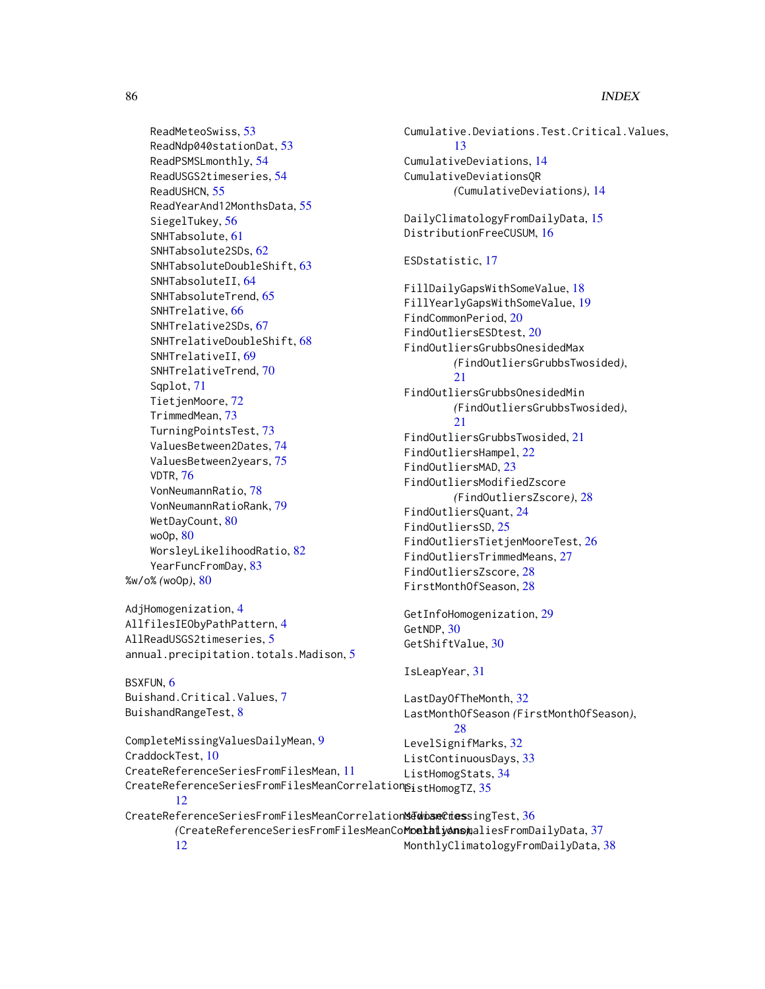ReadMeteoSwiss, [53](#page-52-0) ReadNdp040stationDat, [53](#page-52-0) ReadPSMSLmonthly, [54](#page-53-0) ReadUSGS2timeseries, [54](#page-53-0) ReadUSHCN, [55](#page-54-0) ReadYearAnd12MonthsData, [55](#page-54-0) SiegelTukey, [56](#page-55-0) SNHTabsolute, [61](#page-60-0) SNHTabsolute2SDs, [62](#page-61-0) SNHTabsoluteDoubleShift, [63](#page-62-0) SNHTabsoluteII, [64](#page-63-0) SNHTabsoluteTrend, [65](#page-64-0) SNHTrelative, [66](#page-65-0) SNHTrelative2SDs, [67](#page-66-0) SNHTrelativeDoubleShift, [68](#page-67-0) SNHTrelativeII, [69](#page-68-0) SNHTrelativeTrend, [70](#page-69-0) Sqplot, [71](#page-70-0) TietjenMoore, [72](#page-71-0) TrimmedMean, [73](#page-72-0) TurningPointsTest, [73](#page-72-0) ValuesBetween2Dates, [74](#page-73-0) ValuesBetween2years, [75](#page-74-0) VDTR, [76](#page-75-0) VonNeumannRatio, [78](#page-77-0) VonNeumannRatioRank, [79](#page-78-0) WetDayCount, [80](#page-79-0) woOp, [80](#page-79-0) WorsleyLikelihoodRatio, [82](#page-81-0) YearFuncFromDay, [83](#page-82-0) %w/o% *(*woOp*)*, [80](#page-79-0)

```
AdjHomogenization, 4
AllfilesIEObyPathPattern, 4
AllReadUSGS2timeseries, 5
annual.precipitation.totals.Madison, 5
```
BSXFUN, [6](#page-5-0) Buishand.Critical.Values, [7](#page-6-0) BuishandRangeTest, [8](#page-7-0)

CraddockTest, [10](#page-9-0)

CompleteMissingValuesDailyMean, [9](#page-8-0)

CreateReferenceSeriesFromFilesMean, [11](#page-10-0)

Cumulative.Deviations.Test.Critical.Values, [13](#page-12-0) CumulativeDeviations, [14](#page-13-0) CumulativeDeviationsQR *(*CumulativeDeviations*)*, [14](#page-13-0) DailyClimatologyFromDailyData, [15](#page-14-0) DistributionFreeCUSUM, [16](#page-15-0) ESDstatistic, [17](#page-16-0) FillDailyGapsWithSomeValue, [18](#page-17-0) FillYearlyGapsWithSomeValue, [19](#page-18-0) FindCommonPeriod, [20](#page-19-0) FindOutliersESDtest, [20](#page-19-0) FindOutliersGrubbsOnesidedMax *(*FindOutliersGrubbsTwosided*)*, [21](#page-20-0) FindOutliersGrubbsOnesidedMin *(*FindOutliersGrubbsTwosided*)*,  $21$ FindOutliersGrubbsTwosided, [21](#page-20-0) FindOutliersHampel, [22](#page-21-0) FindOutliersMAD, [23](#page-22-0) FindOutliersModifiedZscore *(*FindOutliersZscore*)*, [28](#page-27-0) FindOutliersQuant, [24](#page-23-0) FindOutliersSD, [25](#page-24-0) FindOutliersTietjenMooreTest, [26](#page-25-0) FindOutliersTrimmedMeans, [27](#page-26-0) FindOutliersZscore, [28](#page-27-0) FirstMonthOfSeason, [28](#page-27-0) GetInfoHomogenization, [29](#page-28-0) GetNDP, [30](#page-29-0) GetShiftValue, [30](#page-29-0) IsLeapYear, [31](#page-30-0)

```
35
                                LastDayOfTheMonth, 32
                                LastMonthOfSeason (FirstMonthOfSeason),
                                      28
                                LevelSignifMarks, 32
                                ListContinuousDays, 33
                                ListHomogStats, 34
```
[12](#page-11-0) CreateReferenceSeriesFromFilesMeanCorrelation**sTwiseCries**singTest,[36](#page-35-0) *(*CreateReferenceSeriesFromFilesMeanCorrelations*)*, MonthlyAnomaliesFromDailyData, [37](#page-36-0) [12](#page-11-0) MonthlyClimatologyFromDailyData, [38](#page-37-0)